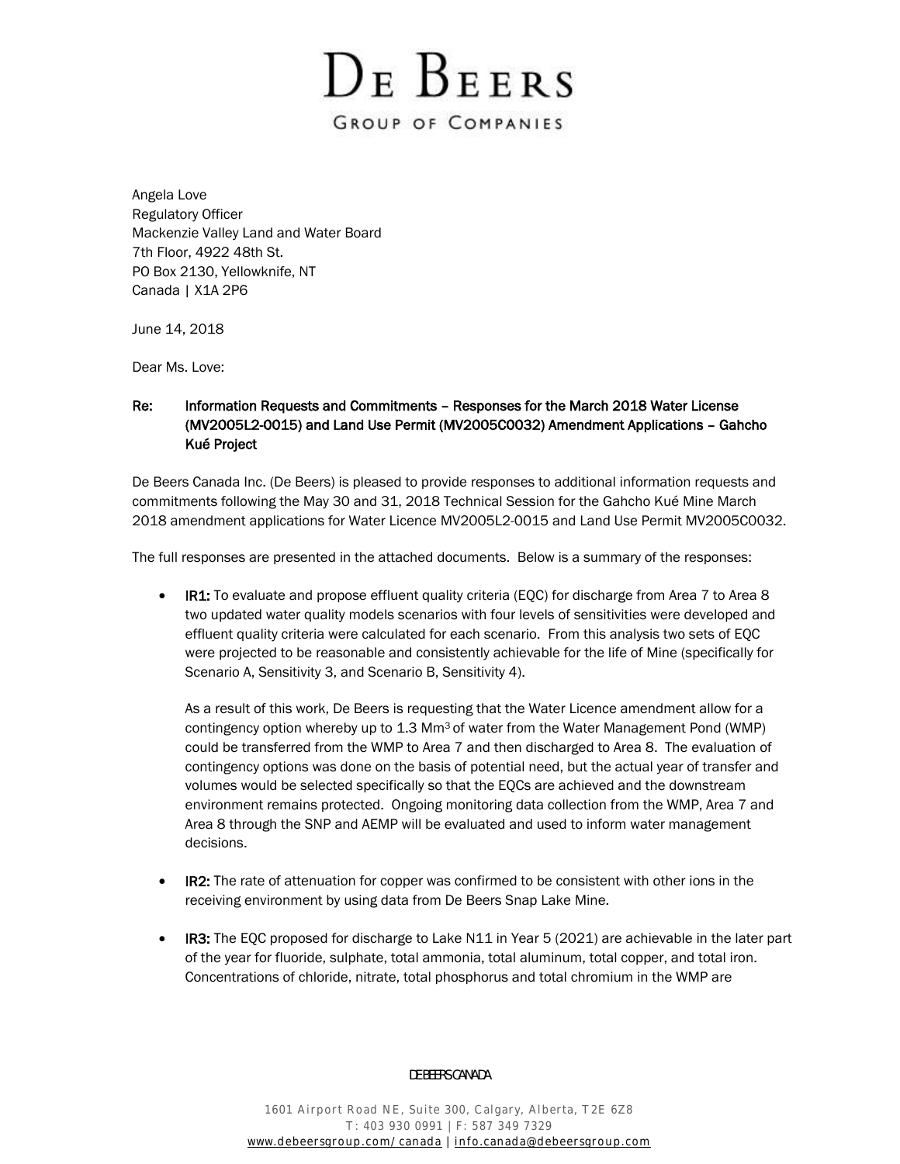DE BEERS **GROUP OF COMPANIES** 

Angela Love Regulatory Officer Mackenzie Valley Land and Water Board 7th Floor, 4922 48th St. PO Box 2130, Yellowknife, NT Canada | X1A 2P6

June 14, 2018

Dear Ms. Love:

# Re: Information Requests and Commitments – Responses for the March 2018 Water License (MV2005L2-0015) and Land Use Permit (MV2005C0032) Amendment Applications – Gahcho Kué Project

De Beers Canada Inc. (De Beers) is pleased to provide responses to additional information requests and commitments following the May 30 and 31, 2018 Technical Session for the Gahcho Kué Mine March 2018 amendment applications for Water Licence MV2005L2-0015 and Land Use Permit MV2005C0032.

The full responses are presented in the attached documents. Below is a summary of the responses:

• IR1: To evaluate and propose effluent quality criteria (EQC) for discharge from Area 7 to Area 8 two updated water quality models scenarios with four levels of sensitivities were developed and effluent quality criteria were calculated for each scenario. From this analysis two sets of EQC were projected to be reasonable and consistently achievable for the life of Mine (specifically for Scenario A, Sensitivity 3, and Scenario B, Sensitivity 4).

As a result of this work, De Beers is requesting that the Water Licence amendment allow for a contingency option whereby up to 1.3 Mm3 of water from the Water Management Pond (WMP) could be transferred from the WMP to Area 7 and then discharged to Area 8. The evaluation of contingency options was done on the basis of potential need, but the actual year of transfer and volumes would be selected specifically so that the EQCs are achieved and the downstream environment remains protected. Ongoing monitoring data collection from the WMP, Area 7 and Area 8 through the SNP and AEMP will be evaluated and used to inform water management decisions.

- IR2: The rate of attenuation for copper was confirmed to be consistent with other ions in the receiving environment by using data from De Beers Snap Lake Mine.
- IR3: The EQC proposed for discharge to Lake N11 in Year 5 (2021) are achievable in the later part of the year for fluoride, sulphate, total ammonia, total aluminum, total copper, and total iron. Concentrations of chloride, nitrate, total phosphorus and total chromium in the WMP are

DE BEERS CANADA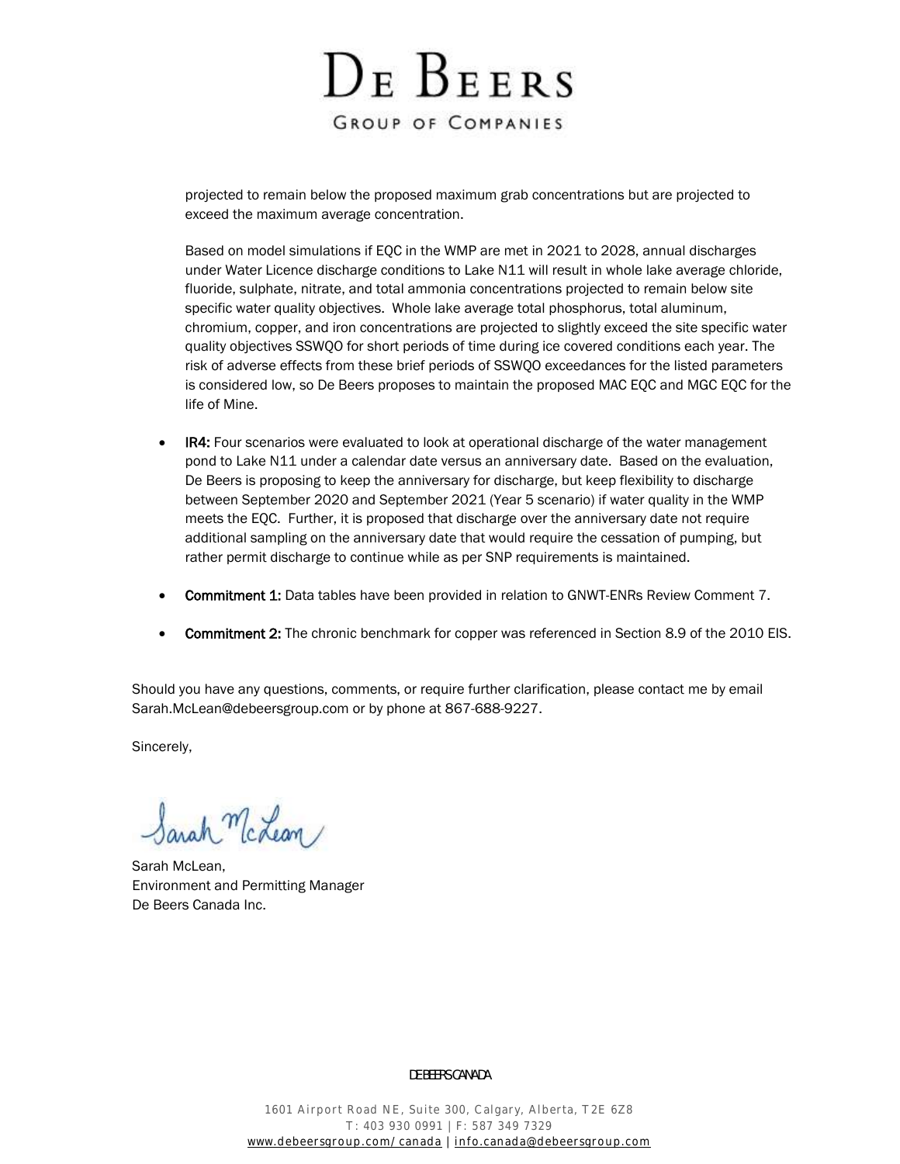DE BEERS **GROUP OF COMPANIES** 

projected to remain below the proposed maximum grab concentrations but are projected to exceed the maximum average concentration.

Based on model simulations if EQC in the WMP are met in 2021 to 2028, annual discharges under Water Licence discharge conditions to Lake N11 will result in whole lake average chloride, fluoride, sulphate, nitrate, and total ammonia concentrations projected to remain below site specific water quality objectives. Whole lake average total phosphorus, total aluminum, chromium, copper, and iron concentrations are projected to slightly exceed the site specific water quality objectives SSWQO for short periods of time during ice covered conditions each year. The risk of adverse effects from these brief periods of SSWQO exceedances for the listed parameters is considered low, so De Beers proposes to maintain the proposed MAC EQC and MGC EQC for the life of Mine.

- IR4: Four scenarios were evaluated to look at operational discharge of the water management pond to Lake N11 under a calendar date versus an anniversary date. Based on the evaluation, De Beers is proposing to keep the anniversary for discharge, but keep flexibility to discharge between September 2020 and September 2021 (Year 5 scenario) if water quality in the WMP meets the EQC. Further, it is proposed that discharge over the anniversary date not require additional sampling on the anniversary date that would require the cessation of pumping, but rather permit discharge to continue while as per SNP requirements is maintained.
- **Commitment 1:** Data tables have been provided in relation to GNWT-ENRs Review Comment 7.
- **Commitment 2:** The chronic benchmark for copper was referenced in Section 8.9 of the 2010 EIS.

Should you have any questions, comments, or require further clarification, please contact me by email [Sarah.McLean@debeersgroup.com](mailto:Sarah.McLean@debeersgroup.com) or by phone at 867-688-9227.

Sincerely,

arah McLean/

Sarah McLean, Environment and Permitting Manager De Beers Canada Inc.

#### DE BEERS CANADA

1601 Airport Road NE, Suite 300, Calgary, Alberta, T2E 6Z8 T: 403 930 0991 | F: 587 349 7329 [www.debeersgroup.com/canada](http://www.debeersgroup.com/canada) | [info.canada@debeersgroup.com](mailto:info.canada@debeersgroup.com)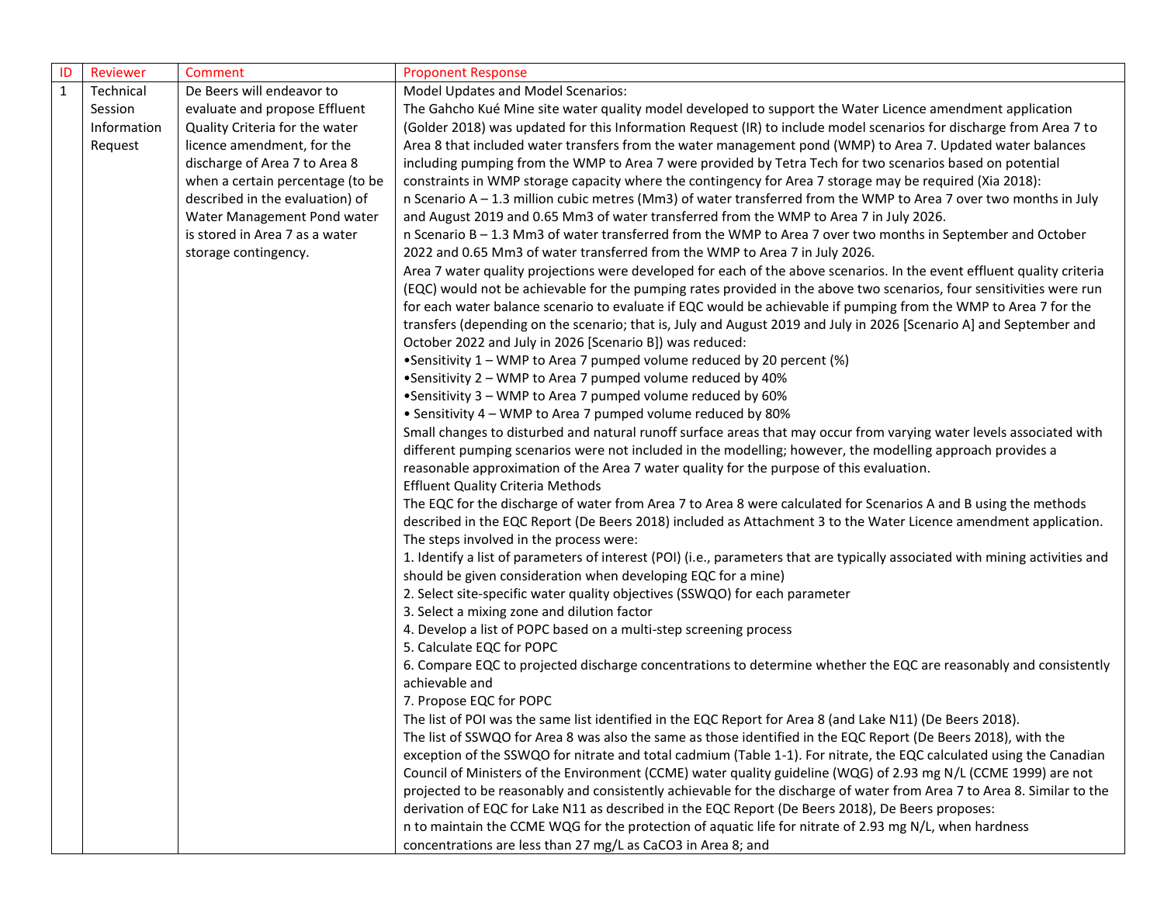| ID           | Reviewer    | Comment                          | <b>Proponent Response</b>                                                                                                     |
|--------------|-------------|----------------------------------|-------------------------------------------------------------------------------------------------------------------------------|
| $\mathbf{1}$ | Technical   | De Beers will endeavor to        | Model Updates and Model Scenarios:                                                                                            |
|              | Session     | evaluate and propose Effluent    | The Gahcho Kué Mine site water quality model developed to support the Water Licence amendment application                     |
|              | Information | Quality Criteria for the water   | (Golder 2018) was updated for this Information Request (IR) to include model scenarios for discharge from Area 7 to           |
|              | Request     | licence amendment, for the       | Area 8 that included water transfers from the water management pond (WMP) to Area 7. Updated water balances                   |
|              |             | discharge of Area 7 to Area 8    | including pumping from the WMP to Area 7 were provided by Tetra Tech for two scenarios based on potential                     |
|              |             | when a certain percentage (to be | constraints in WMP storage capacity where the contingency for Area 7 storage may be required (Xia 2018):                      |
|              |             | described in the evaluation) of  | n Scenario A – 1.3 million cubic metres (Mm3) of water transferred from the WMP to Area 7 over two months in July             |
|              |             | Water Management Pond water      | and August 2019 and 0.65 Mm3 of water transferred from the WMP to Area 7 in July 2026.                                        |
|              |             | is stored in Area 7 as a water   | n Scenario B - 1.3 Mm3 of water transferred from the WMP to Area 7 over two months in September and October                   |
|              |             | storage contingency.             | 2022 and 0.65 Mm3 of water transferred from the WMP to Area 7 in July 2026.                                                   |
|              |             |                                  | Area 7 water quality projections were developed for each of the above scenarios. In the event effluent quality criteria       |
|              |             |                                  | (EQC) would not be achievable for the pumping rates provided in the above two scenarios, four sensitivities were run          |
|              |             |                                  | for each water balance scenario to evaluate if EQC would be achievable if pumping from the WMP to Area 7 for the              |
|              |             |                                  | transfers (depending on the scenario; that is, July and August 2019 and July in 2026 [Scenario A] and September and           |
|              |             |                                  | October 2022 and July in 2026 [Scenario B]) was reduced:                                                                      |
|              |             |                                  | •Sensitivity 1 - WMP to Area 7 pumped volume reduced by 20 percent (%)                                                        |
|              |             |                                  | •Sensitivity 2 - WMP to Area 7 pumped volume reduced by 40%                                                                   |
|              |             |                                  | •Sensitivity 3 - WMP to Area 7 pumped volume reduced by 60%                                                                   |
|              |             |                                  | • Sensitivity 4 - WMP to Area 7 pumped volume reduced by 80%                                                                  |
|              |             |                                  | Small changes to disturbed and natural runoff surface areas that may occur from varying water levels associated with          |
|              |             |                                  | different pumping scenarios were not included in the modelling; however, the modelling approach provides a                    |
|              |             |                                  | reasonable approximation of the Area 7 water quality for the purpose of this evaluation.                                      |
|              |             |                                  | <b>Effluent Quality Criteria Methods</b>                                                                                      |
|              |             |                                  | The EQC for the discharge of water from Area 7 to Area 8 were calculated for Scenarios A and B using the methods              |
|              |             |                                  | described in the EQC Report (De Beers 2018) included as Attachment 3 to the Water Licence amendment application.              |
|              |             |                                  | The steps involved in the process were:                                                                                       |
|              |             |                                  | 1. Identify a list of parameters of interest (POI) (i.e., parameters that are typically associated with mining activities and |
|              |             |                                  | should be given consideration when developing EQC for a mine)                                                                 |
|              |             |                                  | 2. Select site-specific water quality objectives (SSWQO) for each parameter                                                   |
|              |             |                                  | 3. Select a mixing zone and dilution factor                                                                                   |
|              |             |                                  | 4. Develop a list of POPC based on a multi-step screening process                                                             |
|              |             |                                  | 5. Calculate EQC for POPC                                                                                                     |
|              |             |                                  | 6. Compare EQC to projected discharge concentrations to determine whether the EQC are reasonably and consistently             |
|              |             |                                  | achievable and                                                                                                                |
|              |             |                                  | 7. Propose EQC for POPC                                                                                                       |
|              |             |                                  | The list of POI was the same list identified in the EQC Report for Area 8 (and Lake N11) (De Beers 2018).                     |
|              |             |                                  | The list of SSWQO for Area 8 was also the same as those identified in the EQC Report (De Beers 2018), with the                |
|              |             |                                  | exception of the SSWQO for nitrate and total cadmium (Table 1-1). For nitrate, the EQC calculated using the Canadian          |
|              |             |                                  | Council of Ministers of the Environment (CCME) water quality guideline (WQG) of 2.93 mg N/L (CCME 1999) are not               |
|              |             |                                  | projected to be reasonably and consistently achievable for the discharge of water from Area 7 to Area 8. Similar to the       |
|              |             |                                  | derivation of EQC for Lake N11 as described in the EQC Report (De Beers 2018), De Beers proposes:                             |
|              |             |                                  | n to maintain the CCME WQG for the protection of aquatic life for nitrate of 2.93 mg N/L, when hardness                       |
|              |             |                                  | concentrations are less than 27 mg/L as CaCO3 in Area 8; and                                                                  |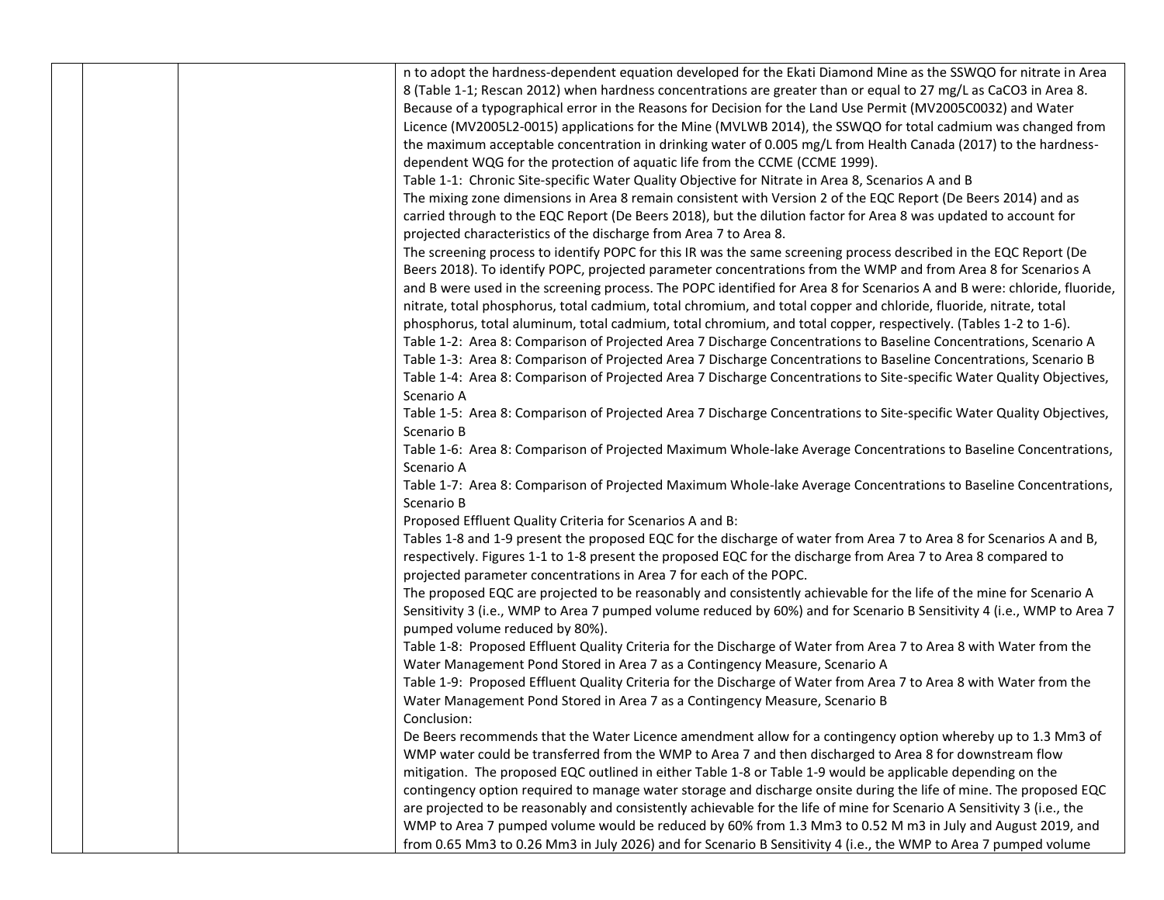|  | n to adopt the hardness-dependent equation developed for the Ekati Diamond Mine as the SSWQO for nitrate in Area                                                                                                                 |
|--|----------------------------------------------------------------------------------------------------------------------------------------------------------------------------------------------------------------------------------|
|  |                                                                                                                                                                                                                                  |
|  | 8 (Table 1-1; Rescan 2012) when hardness concentrations are greater than or equal to 27 mg/L as CaCO3 in Area 8.<br>Because of a typographical error in the Reasons for Decision for the Land Use Permit (MV2005C0032) and Water |
|  |                                                                                                                                                                                                                                  |
|  | Licence (MV2005L2-0015) applications for the Mine (MVLWB 2014), the SSWQO for total cadmium was changed from                                                                                                                     |
|  | the maximum acceptable concentration in drinking water of 0.005 mg/L from Health Canada (2017) to the hardness-                                                                                                                  |
|  | dependent WQG for the protection of aquatic life from the CCME (CCME 1999).                                                                                                                                                      |
|  | Table 1-1: Chronic Site-specific Water Quality Objective for Nitrate in Area 8, Scenarios A and B                                                                                                                                |
|  | The mixing zone dimensions in Area 8 remain consistent with Version 2 of the EQC Report (De Beers 2014) and as                                                                                                                   |
|  | carried through to the EQC Report (De Beers 2018), but the dilution factor for Area 8 was updated to account for                                                                                                                 |
|  | projected characteristics of the discharge from Area 7 to Area 8.                                                                                                                                                                |
|  | The screening process to identify POPC for this IR was the same screening process described in the EQC Report (De                                                                                                                |
|  | Beers 2018). To identify POPC, projected parameter concentrations from the WMP and from Area 8 for Scenarios A                                                                                                                   |
|  | and B were used in the screening process. The POPC identified for Area 8 for Scenarios A and B were: chloride, fluoride,                                                                                                         |
|  | nitrate, total phosphorus, total cadmium, total chromium, and total copper and chloride, fluoride, nitrate, total                                                                                                                |
|  | phosphorus, total aluminum, total cadmium, total chromium, and total copper, respectively. (Tables 1-2 to 1-6).                                                                                                                  |
|  | Table 1-2: Area 8: Comparison of Projected Area 7 Discharge Concentrations to Baseline Concentrations, Scenario A                                                                                                                |
|  | Table 1-3: Area 8: Comparison of Projected Area 7 Discharge Concentrations to Baseline Concentrations, Scenario B                                                                                                                |
|  | Table 1-4: Area 8: Comparison of Projected Area 7 Discharge Concentrations to Site-specific Water Quality Objectives,                                                                                                            |
|  | Scenario A                                                                                                                                                                                                                       |
|  | Table 1-5: Area 8: Comparison of Projected Area 7 Discharge Concentrations to Site-specific Water Quality Objectives,                                                                                                            |
|  | Scenario B                                                                                                                                                                                                                       |
|  | Table 1-6: Area 8: Comparison of Projected Maximum Whole-lake Average Concentrations to Baseline Concentrations,                                                                                                                 |
|  | Scenario A                                                                                                                                                                                                                       |
|  | Table 1-7: Area 8: Comparison of Projected Maximum Whole-lake Average Concentrations to Baseline Concentrations,                                                                                                                 |
|  | Scenario B                                                                                                                                                                                                                       |
|  | Proposed Effluent Quality Criteria for Scenarios A and B:                                                                                                                                                                        |
|  | Tables 1-8 and 1-9 present the proposed EQC for the discharge of water from Area 7 to Area 8 for Scenarios A and B,                                                                                                              |
|  | respectively. Figures 1-1 to 1-8 present the proposed EQC for the discharge from Area 7 to Area 8 compared to                                                                                                                    |
|  | projected parameter concentrations in Area 7 for each of the POPC.                                                                                                                                                               |
|  | The proposed EQC are projected to be reasonably and consistently achievable for the life of the mine for Scenario A                                                                                                              |
|  | Sensitivity 3 (i.e., WMP to Area 7 pumped volume reduced by 60%) and for Scenario B Sensitivity 4 (i.e., WMP to Area 7                                                                                                           |
|  | pumped volume reduced by 80%).                                                                                                                                                                                                   |
|  | Table 1-8: Proposed Effluent Quality Criteria for the Discharge of Water from Area 7 to Area 8 with Water from the                                                                                                               |
|  | Water Management Pond Stored in Area 7 as a Contingency Measure, Scenario A                                                                                                                                                      |
|  | Table 1-9: Proposed Effluent Quality Criteria for the Discharge of Water from Area 7 to Area 8 with Water from the                                                                                                               |
|  | Water Management Pond Stored in Area 7 as a Contingency Measure, Scenario B                                                                                                                                                      |
|  | Conclusion:                                                                                                                                                                                                                      |
|  | De Beers recommends that the Water Licence amendment allow for a contingency option whereby up to 1.3 Mm3 of                                                                                                                     |
|  | WMP water could be transferred from the WMP to Area 7 and then discharged to Area 8 for downstream flow                                                                                                                          |
|  | mitigation. The proposed EQC outlined in either Table 1-8 or Table 1-9 would be applicable depending on the                                                                                                                      |
|  | contingency option required to manage water storage and discharge onsite during the life of mine. The proposed EQC                                                                                                               |
|  | are projected to be reasonably and consistently achievable for the life of mine for Scenario A Sensitivity 3 (i.e., the                                                                                                          |
|  | WMP to Area 7 pumped volume would be reduced by 60% from 1.3 Mm3 to 0.52 M m3 in July and August 2019, and                                                                                                                       |
|  | from 0.65 Mm3 to 0.26 Mm3 in July 2026) and for Scenario B Sensitivity 4 (i.e., the WMP to Area 7 pumped volume                                                                                                                  |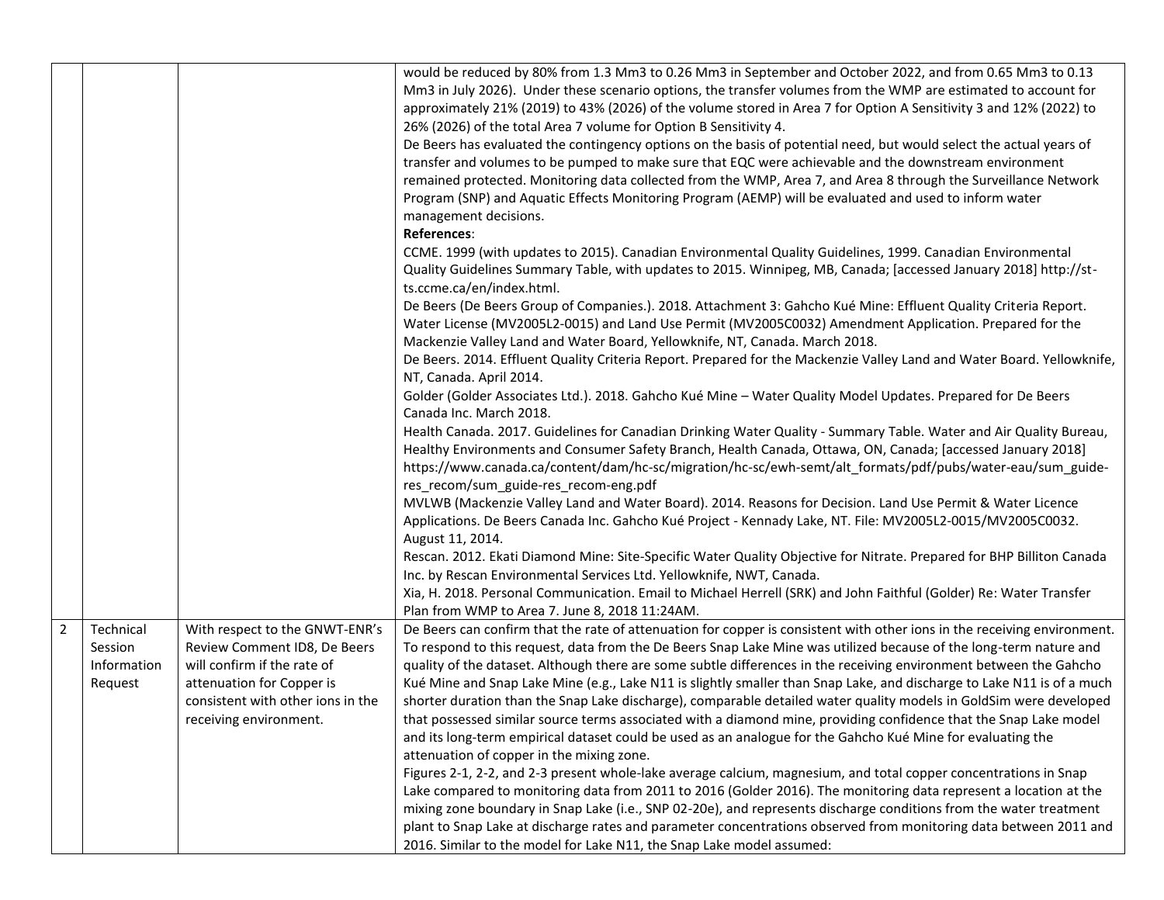|   |                                                |                                                                                                                                                                                           | would be reduced by 80% from 1.3 Mm3 to 0.26 Mm3 in September and October 2022, and from 0.65 Mm3 to 0.13<br>Mm3 in July 2026). Under these scenario options, the transfer volumes from the WMP are estimated to account for<br>approximately 21% (2019) to 43% (2026) of the volume stored in Area 7 for Option A Sensitivity 3 and 12% (2022) to<br>26% (2026) of the total Area 7 volume for Option B Sensitivity 4.<br>De Beers has evaluated the contingency options on the basis of potential need, but would select the actual years of<br>transfer and volumes to be pumped to make sure that EQC were achievable and the downstream environment<br>remained protected. Monitoring data collected from the WMP, Area 7, and Area 8 through the Surveillance Network<br>Program (SNP) and Aquatic Effects Monitoring Program (AEMP) will be evaluated and used to inform water<br>management decisions.<br>References: |
|---|------------------------------------------------|-------------------------------------------------------------------------------------------------------------------------------------------------------------------------------------------|-------------------------------------------------------------------------------------------------------------------------------------------------------------------------------------------------------------------------------------------------------------------------------------------------------------------------------------------------------------------------------------------------------------------------------------------------------------------------------------------------------------------------------------------------------------------------------------------------------------------------------------------------------------------------------------------------------------------------------------------------------------------------------------------------------------------------------------------------------------------------------------------------------------------------------|
|   |                                                |                                                                                                                                                                                           | CCME. 1999 (with updates to 2015). Canadian Environmental Quality Guidelines, 1999. Canadian Environmental<br>Quality Guidelines Summary Table, with updates to 2015. Winnipeg, MB, Canada; [accessed January 2018] http://st-<br>ts.ccme.ca/en/index.html.                                                                                                                                                                                                                                                                                                                                                                                                                                                                                                                                                                                                                                                                   |
|   |                                                |                                                                                                                                                                                           | De Beers (De Beers Group of Companies.). 2018. Attachment 3: Gahcho Kué Mine: Effluent Quality Criteria Report.<br>Water License (MV2005L2-0015) and Land Use Permit (MV2005C0032) Amendment Application. Prepared for the<br>Mackenzie Valley Land and Water Board, Yellowknife, NT, Canada. March 2018.                                                                                                                                                                                                                                                                                                                                                                                                                                                                                                                                                                                                                     |
|   |                                                |                                                                                                                                                                                           | De Beers. 2014. Effluent Quality Criteria Report. Prepared for the Mackenzie Valley Land and Water Board. Yellowknife,<br>NT, Canada. April 2014.                                                                                                                                                                                                                                                                                                                                                                                                                                                                                                                                                                                                                                                                                                                                                                             |
|   |                                                |                                                                                                                                                                                           | Golder (Golder Associates Ltd.). 2018. Gahcho Kué Mine - Water Quality Model Updates. Prepared for De Beers<br>Canada Inc. March 2018.                                                                                                                                                                                                                                                                                                                                                                                                                                                                                                                                                                                                                                                                                                                                                                                        |
|   |                                                |                                                                                                                                                                                           | Health Canada. 2017. Guidelines for Canadian Drinking Water Quality - Summary Table. Water and Air Quality Bureau,<br>Healthy Environments and Consumer Safety Branch, Health Canada, Ottawa, ON, Canada; [accessed January 2018]<br>https://www.canada.ca/content/dam/hc-sc/migration/hc-sc/ewh-semt/alt_formats/pdf/pubs/water-eau/sum_guide-<br>res_recom/sum_guide-res_recom-eng.pdf                                                                                                                                                                                                                                                                                                                                                                                                                                                                                                                                      |
|   |                                                |                                                                                                                                                                                           | MVLWB (Mackenzie Valley Land and Water Board). 2014. Reasons for Decision. Land Use Permit & Water Licence<br>Applications. De Beers Canada Inc. Gahcho Kué Project - Kennady Lake, NT. File: MV2005L2-0015/MV2005C0032.<br>August 11, 2014.                                                                                                                                                                                                                                                                                                                                                                                                                                                                                                                                                                                                                                                                                  |
|   |                                                |                                                                                                                                                                                           | Rescan. 2012. Ekati Diamond Mine: Site-Specific Water Quality Objective for Nitrate. Prepared for BHP Billiton Canada<br>Inc. by Rescan Environmental Services Ltd. Yellowknife, NWT, Canada.                                                                                                                                                                                                                                                                                                                                                                                                                                                                                                                                                                                                                                                                                                                                 |
|   |                                                |                                                                                                                                                                                           | Xia, H. 2018. Personal Communication. Email to Michael Herrell (SRK) and John Faithful (Golder) Re: Water Transfer<br>Plan from WMP to Area 7. June 8, 2018 11:24AM.                                                                                                                                                                                                                                                                                                                                                                                                                                                                                                                                                                                                                                                                                                                                                          |
| 2 | Technical<br>Session<br>Information<br>Request | With respect to the GNWT-ENR's<br>Review Comment ID8, De Beers<br>will confirm if the rate of<br>attenuation for Copper is<br>consistent with other ions in the<br>receiving environment. | De Beers can confirm that the rate of attenuation for copper is consistent with other ions in the receiving environment.<br>To respond to this request, data from the De Beers Snap Lake Mine was utilized because of the long-term nature and<br>quality of the dataset. Although there are some subtle differences in the receiving environment between the Gahcho<br>Kué Mine and Snap Lake Mine (e.g., Lake N11 is slightly smaller than Snap Lake, and discharge to Lake N11 is of a much<br>shorter duration than the Snap Lake discharge), comparable detailed water quality models in GoldSim were developed<br>that possessed similar source terms associated with a diamond mine, providing confidence that the Snap Lake model<br>and its long-term empirical dataset could be used as an analogue for the Gahcho Kué Mine for evaluating the<br>attenuation of copper in the mixing zone.                         |
|   |                                                |                                                                                                                                                                                           | Figures 2-1, 2-2, and 2-3 present whole-lake average calcium, magnesium, and total copper concentrations in Snap<br>Lake compared to monitoring data from 2011 to 2016 (Golder 2016). The monitoring data represent a location at the<br>mixing zone boundary in Snap Lake (i.e., SNP 02-20e), and represents discharge conditions from the water treatment<br>plant to Snap Lake at discharge rates and parameter concentrations observed from monitoring data between 2011 and<br>2016. Similar to the model for Lake N11, the Snap Lake model assumed:                                                                                                                                                                                                                                                                                                                                                                     |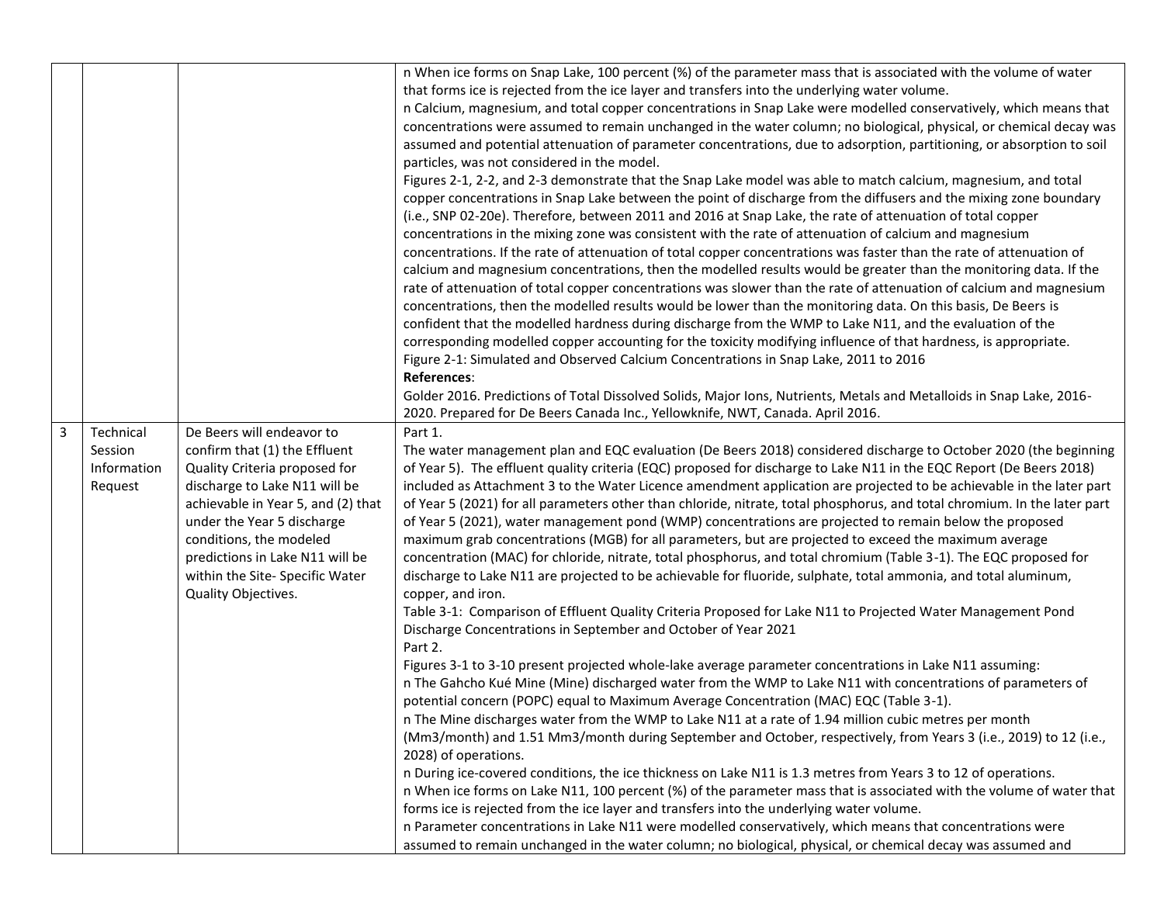|   |                                                |                                                                                                                                                                                                                                                                                                                          | n When ice forms on Snap Lake, 100 percent (%) of the parameter mass that is associated with the volume of water<br>that forms ice is rejected from the ice layer and transfers into the underlying water volume.<br>n Calcium, magnesium, and total copper concentrations in Snap Lake were modelled conservatively, which means that<br>concentrations were assumed to remain unchanged in the water column; no biological, physical, or chemical decay was<br>assumed and potential attenuation of parameter concentrations, due to adsorption, partitioning, or absorption to soil<br>particles, was not considered in the model.<br>Figures 2-1, 2-2, and 2-3 demonstrate that the Snap Lake model was able to match calcium, magnesium, and total<br>copper concentrations in Snap Lake between the point of discharge from the diffusers and the mixing zone boundary<br>(i.e., SNP 02-20e). Therefore, between 2011 and 2016 at Snap Lake, the rate of attenuation of total copper<br>concentrations in the mixing zone was consistent with the rate of attenuation of calcium and magnesium<br>concentrations. If the rate of attenuation of total copper concentrations was faster than the rate of attenuation of<br>calcium and magnesium concentrations, then the modelled results would be greater than the monitoring data. If the<br>rate of attenuation of total copper concentrations was slower than the rate of attenuation of calcium and magnesium<br>concentrations, then the modelled results would be lower than the monitoring data. On this basis, De Beers is<br>confident that the modelled hardness during discharge from the WMP to Lake N11, and the evaluation of the<br>corresponding modelled copper accounting for the toxicity modifying influence of that hardness, is appropriate.<br>Figure 2-1: Simulated and Observed Calcium Concentrations in Snap Lake, 2011 to 2016<br>References:<br>Golder 2016. Predictions of Total Dissolved Solids, Major Ions, Nutrients, Metals and Metalloids in Snap Lake, 2016-<br>2020. Prepared for De Beers Canada Inc., Yellowknife, NWT, Canada. April 2016.                                                                                                                                                                                        |
|---|------------------------------------------------|--------------------------------------------------------------------------------------------------------------------------------------------------------------------------------------------------------------------------------------------------------------------------------------------------------------------------|-----------------------------------------------------------------------------------------------------------------------------------------------------------------------------------------------------------------------------------------------------------------------------------------------------------------------------------------------------------------------------------------------------------------------------------------------------------------------------------------------------------------------------------------------------------------------------------------------------------------------------------------------------------------------------------------------------------------------------------------------------------------------------------------------------------------------------------------------------------------------------------------------------------------------------------------------------------------------------------------------------------------------------------------------------------------------------------------------------------------------------------------------------------------------------------------------------------------------------------------------------------------------------------------------------------------------------------------------------------------------------------------------------------------------------------------------------------------------------------------------------------------------------------------------------------------------------------------------------------------------------------------------------------------------------------------------------------------------------------------------------------------------------------------------------------------------------------------------------------------------------------------------------------------------------------------------------------------------------------------------------------------------------------------------------------------------------------------------------------------------------------------------------------------------------------------------------------------------------------------------------------------------------------------------------------------------------------|
| 3 | Technical<br>Session<br>Information<br>Request | De Beers will endeavor to<br>confirm that (1) the Effluent<br>Quality Criteria proposed for<br>discharge to Lake N11 will be<br>achievable in Year 5, and (2) that<br>under the Year 5 discharge<br>conditions, the modeled<br>predictions in Lake N11 will be<br>within the Site- Specific Water<br>Quality Objectives. | Part 1.<br>The water management plan and EQC evaluation (De Beers 2018) considered discharge to October 2020 (the beginning<br>of Year 5). The effluent quality criteria (EQC) proposed for discharge to Lake N11 in the EQC Report (De Beers 2018)<br>included as Attachment 3 to the Water Licence amendment application are projected to be achievable in the later part<br>of Year 5 (2021) for all parameters other than chloride, nitrate, total phosphorus, and total chromium. In the later part<br>of Year 5 (2021), water management pond (WMP) concentrations are projected to remain below the proposed<br>maximum grab concentrations (MGB) for all parameters, but are projected to exceed the maximum average<br>concentration (MAC) for chloride, nitrate, total phosphorus, and total chromium (Table 3-1). The EQC proposed for<br>discharge to Lake N11 are projected to be achievable for fluoride, sulphate, total ammonia, and total aluminum,<br>copper, and iron.<br>Table 3-1: Comparison of Effluent Quality Criteria Proposed for Lake N11 to Projected Water Management Pond<br>Discharge Concentrations in September and October of Year 2021<br>Part 2.<br>Figures 3-1 to 3-10 present projected whole-lake average parameter concentrations in Lake N11 assuming:<br>n The Gahcho Kué Mine (Mine) discharged water from the WMP to Lake N11 with concentrations of parameters of<br>potential concern (POPC) equal to Maximum Average Concentration (MAC) EQC (Table 3-1).<br>n The Mine discharges water from the WMP to Lake N11 at a rate of 1.94 million cubic metres per month<br>(Mm3/month) and 1.51 Mm3/month during September and October, respectively, from Years 3 (i.e., 2019) to 12 (i.e.,<br>2028) of operations.<br>n During ice-covered conditions, the ice thickness on Lake N11 is 1.3 metres from Years 3 to 12 of operations.<br>n When ice forms on Lake N11, 100 percent (%) of the parameter mass that is associated with the volume of water that<br>forms ice is rejected from the ice layer and transfers into the underlying water volume.<br>n Parameter concentrations in Lake N11 were modelled conservatively, which means that concentrations were<br>assumed to remain unchanged in the water column; no biological, physical, or chemical decay was assumed and |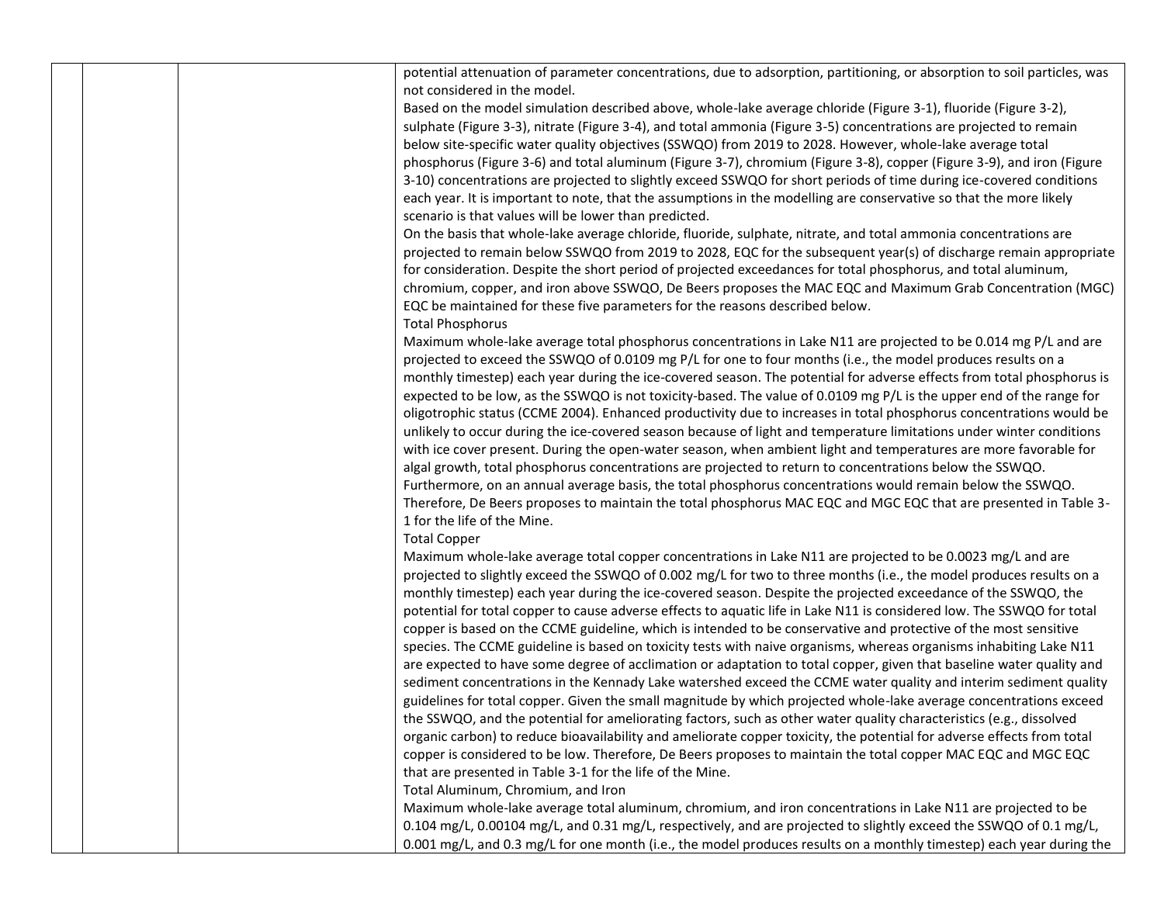|  |  | potential attenuation of parameter concentrations, due to adsorption, partitioning, or absorption to soil particles, was |
|--|--|--------------------------------------------------------------------------------------------------------------------------|
|  |  | not considered in the model.                                                                                             |
|  |  | Based on the model simulation described above, whole-lake average chloride (Figure 3-1), fluoride (Figure 3-2),          |
|  |  | sulphate (Figure 3-3), nitrate (Figure 3-4), and total ammonia (Figure 3-5) concentrations are projected to remain       |
|  |  | below site-specific water quality objectives (SSWQO) from 2019 to 2028. However, whole-lake average total                |
|  |  | phosphorus (Figure 3-6) and total aluminum (Figure 3-7), chromium (Figure 3-8), copper (Figure 3-9), and iron (Figure    |
|  |  | 3-10) concentrations are projected to slightly exceed SSWQO for short periods of time during ice-covered conditions      |
|  |  | each year. It is important to note, that the assumptions in the modelling are conservative so that the more likely       |
|  |  | scenario is that values will be lower than predicted.                                                                    |
|  |  | On the basis that whole-lake average chloride, fluoride, sulphate, nitrate, and total ammonia concentrations are         |
|  |  | projected to remain below SSWQO from 2019 to 2028, EQC for the subsequent year(s) of discharge remain appropriate        |
|  |  | for consideration. Despite the short period of projected exceedances for total phosphorus, and total aluminum,           |
|  |  | chromium, copper, and iron above SSWQO, De Beers proposes the MAC EQC and Maximum Grab Concentration (MGC)               |
|  |  | EQC be maintained for these five parameters for the reasons described below.                                             |
|  |  | <b>Total Phosphorus</b>                                                                                                  |
|  |  | Maximum whole-lake average total phosphorus concentrations in Lake N11 are projected to be 0.014 mg P/L and are          |
|  |  | projected to exceed the SSWQO of 0.0109 mg P/L for one to four months (i.e., the model produces results on a             |
|  |  | monthly timestep) each year during the ice-covered season. The potential for adverse effects from total phosphorus is    |
|  |  | expected to be low, as the SSWQO is not toxicity-based. The value of 0.0109 mg P/L is the upper end of the range for     |
|  |  | oligotrophic status (CCME 2004). Enhanced productivity due to increases in total phosphorus concentrations would be      |
|  |  | unlikely to occur during the ice-covered season because of light and temperature limitations under winter conditions     |
|  |  | with ice cover present. During the open-water season, when ambient light and temperatures are more favorable for         |
|  |  | algal growth, total phosphorus concentrations are projected to return to concentrations below the SSWQO.                 |
|  |  | Furthermore, on an annual average basis, the total phosphorus concentrations would remain below the SSWQO.               |
|  |  | Therefore, De Beers proposes to maintain the total phosphorus MAC EQC and MGC EQC that are presented in Table 3-         |
|  |  | 1 for the life of the Mine.                                                                                              |
|  |  | <b>Total Copper</b>                                                                                                      |
|  |  | Maximum whole-lake average total copper concentrations in Lake N11 are projected to be 0.0023 mg/L and are               |
|  |  | projected to slightly exceed the SSWQO of 0.002 mg/L for two to three months (i.e., the model produces results on a      |
|  |  | monthly timestep) each year during the ice-covered season. Despite the projected exceedance of the SSWQO, the            |
|  |  | potential for total copper to cause adverse effects to aquatic life in Lake N11 is considered low. The SSWQO for total   |
|  |  | copper is based on the CCME guideline, which is intended to be conservative and protective of the most sensitive         |
|  |  | species. The CCME guideline is based on toxicity tests with naive organisms, whereas organisms inhabiting Lake N11       |
|  |  | are expected to have some degree of acclimation or adaptation to total copper, given that baseline water quality and     |
|  |  | sediment concentrations in the Kennady Lake watershed exceed the CCME water quality and interim sediment quality         |
|  |  | guidelines for total copper. Given the small magnitude by which projected whole-lake average concentrations exceed       |
|  |  | the SSWQO, and the potential for ameliorating factors, such as other water quality characteristics (e.g., dissolved      |
|  |  | organic carbon) to reduce bioavailability and ameliorate copper toxicity, the potential for adverse effects from total   |
|  |  | copper is considered to be low. Therefore, De Beers proposes to maintain the total copper MAC EQC and MGC EQC            |
|  |  | that are presented in Table 3-1 for the life of the Mine.                                                                |
|  |  | Total Aluminum, Chromium, and Iron                                                                                       |
|  |  | Maximum whole-lake average total aluminum, chromium, and iron concentrations in Lake N11 are projected to be             |
|  |  | 0.104 mg/L, 0.00104 mg/L, and 0.31 mg/L, respectively, and are projected to slightly exceed the SSWQO of 0.1 mg/L,       |
|  |  | 0.001 mg/L, and 0.3 mg/L for one month (i.e., the model produces results on a monthly timestep) each year during the     |
|  |  |                                                                                                                          |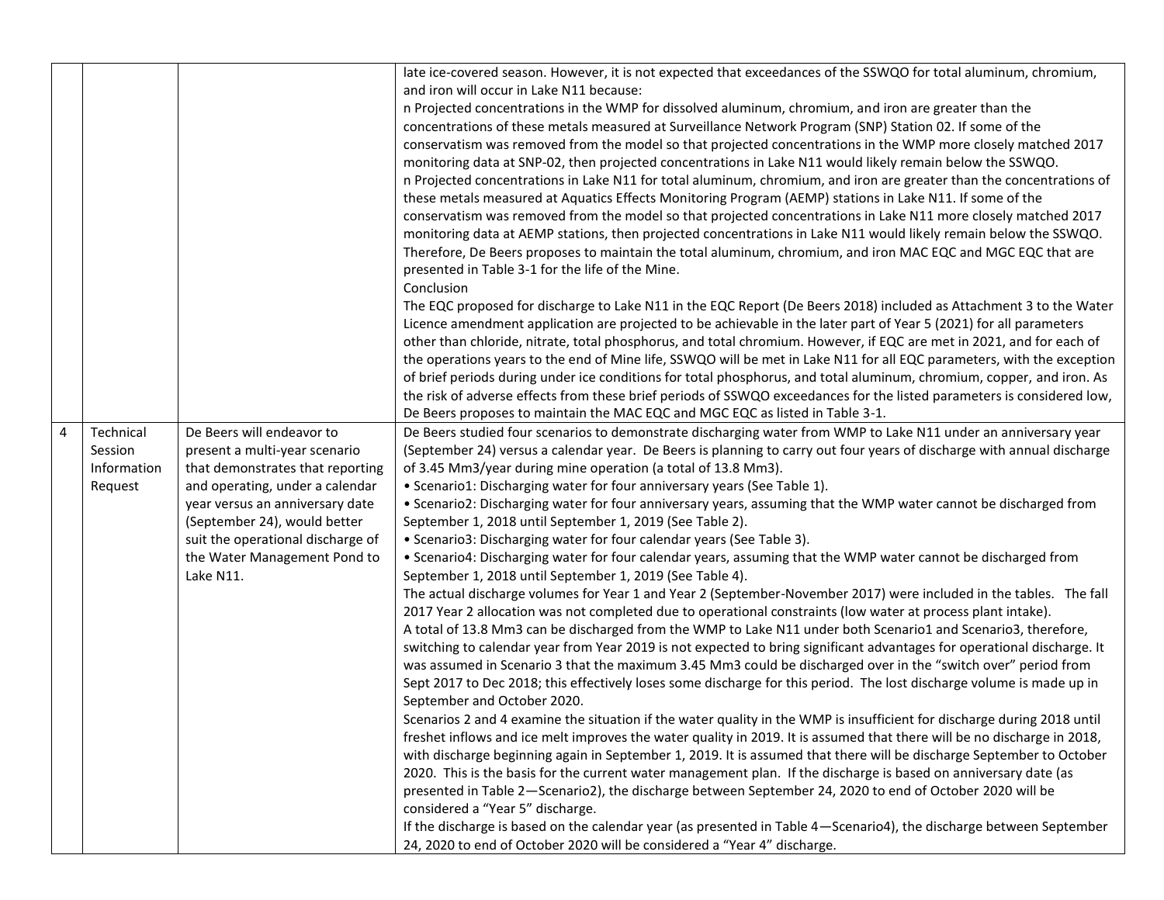|   |             |                                                                    | late ice-covered season. However, it is not expected that exceedances of the SSWQO for total aluminum, chromium,                                                                             |
|---|-------------|--------------------------------------------------------------------|----------------------------------------------------------------------------------------------------------------------------------------------------------------------------------------------|
|   |             |                                                                    | and iron will occur in Lake N11 because:                                                                                                                                                     |
|   |             |                                                                    | n Projected concentrations in the WMP for dissolved aluminum, chromium, and iron are greater than the                                                                                        |
|   |             |                                                                    | concentrations of these metals measured at Surveillance Network Program (SNP) Station 02. If some of the                                                                                     |
|   |             |                                                                    | conservatism was removed from the model so that projected concentrations in the WMP more closely matched 2017                                                                                |
|   |             |                                                                    | monitoring data at SNP-02, then projected concentrations in Lake N11 would likely remain below the SSWQO.                                                                                    |
|   |             |                                                                    | n Projected concentrations in Lake N11 for total aluminum, chromium, and iron are greater than the concentrations of                                                                         |
|   |             |                                                                    | these metals measured at Aquatics Effects Monitoring Program (AEMP) stations in Lake N11. If some of the                                                                                     |
|   |             |                                                                    | conservatism was removed from the model so that projected concentrations in Lake N11 more closely matched 2017                                                                               |
|   |             |                                                                    | monitoring data at AEMP stations, then projected concentrations in Lake N11 would likely remain below the SSWQO.                                                                             |
|   |             |                                                                    | Therefore, De Beers proposes to maintain the total aluminum, chromium, and iron MAC EQC and MGC EQC that are                                                                                 |
|   |             |                                                                    | presented in Table 3-1 for the life of the Mine.                                                                                                                                             |
|   |             |                                                                    | Conclusion                                                                                                                                                                                   |
|   |             |                                                                    | The EQC proposed for discharge to Lake N11 in the EQC Report (De Beers 2018) included as Attachment 3 to the Water                                                                           |
|   |             |                                                                    | Licence amendment application are projected to be achievable in the later part of Year 5 (2021) for all parameters                                                                           |
|   |             |                                                                    | other than chloride, nitrate, total phosphorus, and total chromium. However, if EQC are met in 2021, and for each of                                                                         |
|   |             |                                                                    | the operations years to the end of Mine life, SSWQO will be met in Lake N11 for all EQC parameters, with the exception                                                                       |
|   |             |                                                                    | of brief periods during under ice conditions for total phosphorus, and total aluminum, chromium, copper, and iron. As                                                                        |
|   |             |                                                                    | the risk of adverse effects from these brief periods of SSWQO exceedances for the listed parameters is considered low,                                                                       |
|   |             |                                                                    | De Beers proposes to maintain the MAC EQC and MGC EQC as listed in Table 3-1.                                                                                                                |
| 4 | Technical   | De Beers will endeavor to                                          | De Beers studied four scenarios to demonstrate discharging water from WMP to Lake N11 under an anniversary year                                                                              |
|   | Session     | present a multi-year scenario                                      | (September 24) versus a calendar year. De Beers is planning to carry out four years of discharge with annual discharge                                                                       |
|   | Information | that demonstrates that reporting                                   | of 3.45 Mm3/year during mine operation (a total of 13.8 Mm3).                                                                                                                                |
|   | Request     | and operating, under a calendar<br>year versus an anniversary date | • Scenario1: Discharging water for four anniversary years (See Table 1).<br>. Scenario2: Discharging water for four anniversary years, assuming that the WMP water cannot be discharged from |
|   |             | (September 24), would better                                       | September 1, 2018 until September 1, 2019 (See Table 2).                                                                                                                                     |
|   |             | suit the operational discharge of                                  | • Scenario3: Discharging water for four calendar years (See Table 3).                                                                                                                        |
|   |             | the Water Management Pond to                                       | . Scenario4: Discharging water for four calendar years, assuming that the WMP water cannot be discharged from                                                                                |
|   |             | Lake N11.                                                          | September 1, 2018 until September 1, 2019 (See Table 4).                                                                                                                                     |
|   |             |                                                                    | The actual discharge volumes for Year 1 and Year 2 (September-November 2017) were included in the tables. The fall                                                                           |
|   |             |                                                                    | 2017 Year 2 allocation was not completed due to operational constraints (low water at process plant intake).                                                                                 |
|   |             |                                                                    | A total of 13.8 Mm3 can be discharged from the WMP to Lake N11 under both Scenario1 and Scenario3, therefore,                                                                                |
|   |             |                                                                    | switching to calendar year from Year 2019 is not expected to bring significant advantages for operational discharge. It                                                                      |
|   |             |                                                                    | was assumed in Scenario 3 that the maximum 3.45 Mm3 could be discharged over in the "switch over" period from                                                                                |
|   |             |                                                                    | Sept 2017 to Dec 2018; this effectively loses some discharge for this period. The lost discharge volume is made up in                                                                        |
|   |             |                                                                    | September and October 2020.                                                                                                                                                                  |
|   |             |                                                                    | Scenarios 2 and 4 examine the situation if the water quality in the WMP is insufficient for discharge during 2018 until                                                                      |
|   |             |                                                                    | freshet inflows and ice melt improves the water quality in 2019. It is assumed that there will be no discharge in 2018,                                                                      |
|   |             |                                                                    | with discharge beginning again in September 1, 2019. It is assumed that there will be discharge September to October                                                                         |
|   |             |                                                                    | 2020. This is the basis for the current water management plan. If the discharge is based on anniversary date (as                                                                             |
|   |             |                                                                    | presented in Table 2-Scenario2), the discharge between September 24, 2020 to end of October 2020 will be                                                                                     |
|   |             |                                                                    | considered a "Year 5" discharge.                                                                                                                                                             |
|   |             |                                                                    | If the discharge is based on the calendar year (as presented in Table 4-Scenario4), the discharge between September                                                                          |
|   |             |                                                                    | 24, 2020 to end of October 2020 will be considered a "Year 4" discharge.                                                                                                                     |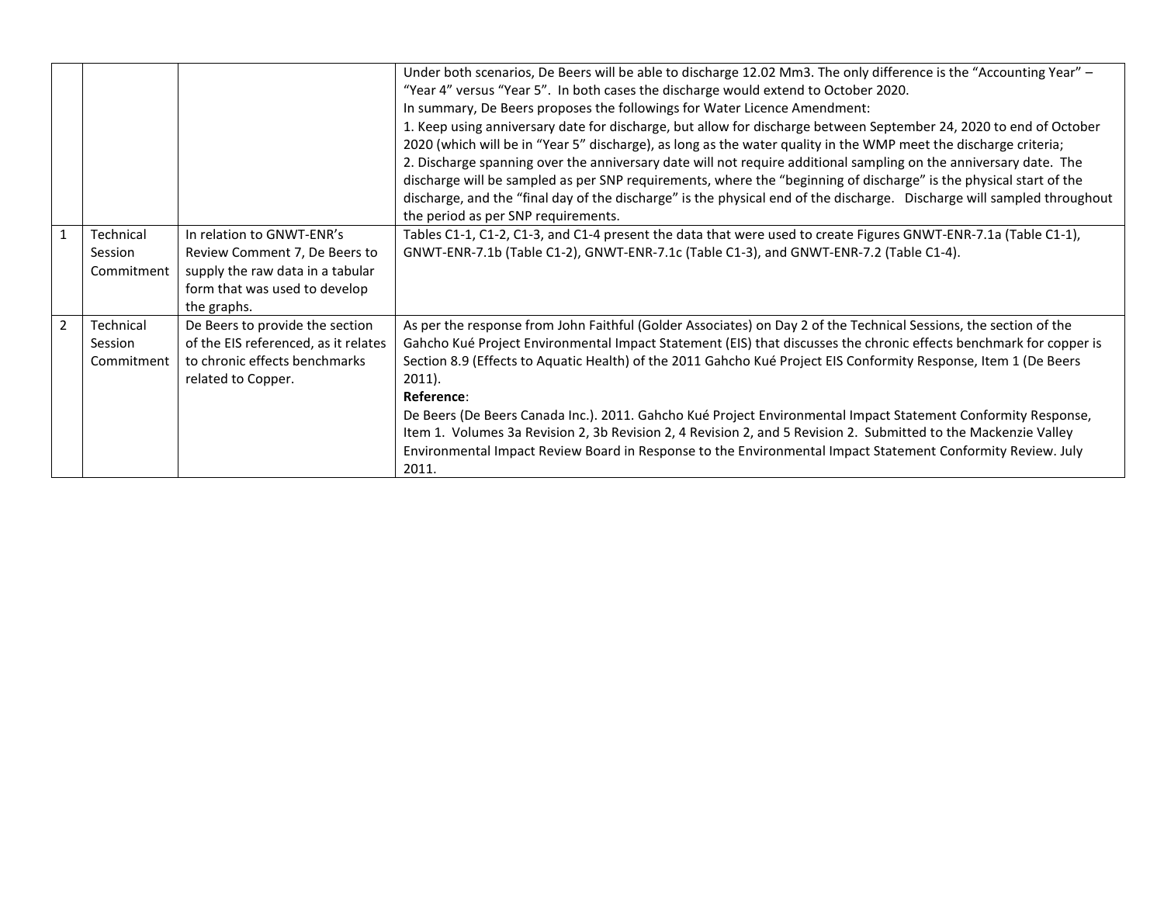|                |                                    |                                                                                                                                                | Under both scenarios, De Beers will be able to discharge 12.02 Mm3. The only difference is the "Accounting Year" -<br>"Year 4" versus "Year 5". In both cases the discharge would extend to October 2020.<br>In summary, De Beers proposes the followings for Water Licence Amendment:<br>1. Keep using anniversary date for discharge, but allow for discharge between September 24, 2020 to end of October<br>2020 (which will be in "Year 5" discharge), as long as the water quality in the WMP meet the discharge criteria;<br>2. Discharge spanning over the anniversary date will not require additional sampling on the anniversary date. The                                                                                              |
|----------------|------------------------------------|------------------------------------------------------------------------------------------------------------------------------------------------|----------------------------------------------------------------------------------------------------------------------------------------------------------------------------------------------------------------------------------------------------------------------------------------------------------------------------------------------------------------------------------------------------------------------------------------------------------------------------------------------------------------------------------------------------------------------------------------------------------------------------------------------------------------------------------------------------------------------------------------------------|
|                |                                    |                                                                                                                                                | discharge will be sampled as per SNP requirements, where the "beginning of discharge" is the physical start of the<br>discharge, and the "final day of the discharge" is the physical end of the discharge. Discharge will sampled throughout<br>the period as per SNP requirements.                                                                                                                                                                                                                                                                                                                                                                                                                                                               |
|                | Technical<br>Session<br>Commitment | In relation to GNWT-ENR's<br>Review Comment 7, De Beers to<br>supply the raw data in a tabular<br>form that was used to develop<br>the graphs. | Tables C1-1, C1-2, C1-3, and C1-4 present the data that were used to create Figures GNWT-ENR-7.1a (Table C1-1),<br>GNWT-ENR-7.1b (Table C1-2), GNWT-ENR-7.1c (Table C1-3), and GNWT-ENR-7.2 (Table C1-4).                                                                                                                                                                                                                                                                                                                                                                                                                                                                                                                                          |
| $\mathfrak{p}$ | Technical<br>Session<br>Commitment | De Beers to provide the section<br>of the EIS referenced, as it relates<br>to chronic effects benchmarks<br>related to Copper.                 | As per the response from John Faithful (Golder Associates) on Day 2 of the Technical Sessions, the section of the<br>Gahcho Kué Project Environmental Impact Statement (EIS) that discusses the chronic effects benchmark for copper is<br>Section 8.9 (Effects to Aquatic Health) of the 2011 Gahcho Kué Project EIS Conformity Response, Item 1 (De Beers<br>$2011$ ).<br>Reference:<br>De Beers (De Beers Canada Inc.). 2011. Gahcho Kué Project Environmental Impact Statement Conformity Response,<br>Item 1. Volumes 3a Revision 2, 3b Revision 2, 4 Revision 2, and 5 Revision 2. Submitted to the Mackenzie Valley<br>Environmental Impact Review Board in Response to the Environmental Impact Statement Conformity Review. July<br>2011. |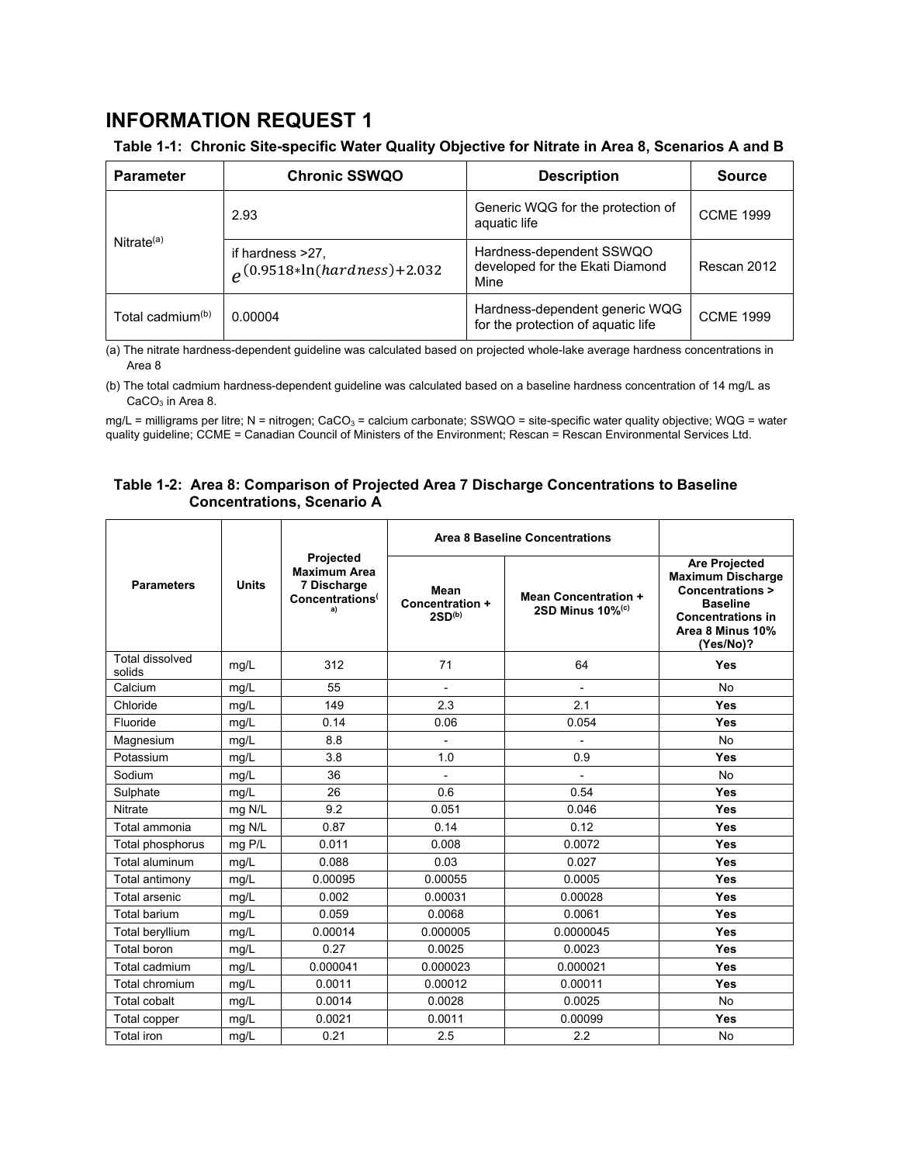# **INFORMATION REQUEST 1**

## **Table 1-1: Chronic Site-specific Water Quality Objective for Nitrate in Area 8, Scenarios A and B**

| <b>Parameter</b>             | <b>Chronic SSWQO</b>                                  | <b>Description</b>                                                   | <b>Source</b>    |
|------------------------------|-------------------------------------------------------|----------------------------------------------------------------------|------------------|
|                              | 2.93                                                  | Generic WQG for the protection of<br>aquatic life                    | <b>CCME 1999</b> |
| Nitrate $(a)$                | if hardness >27,<br>$\rho$ (0.9518*ln(hardness)+2.032 | Hardness-dependent SSWQO<br>developed for the Ekati Diamond<br>Mine  | Rescan 2012      |
| Total cadmium <sup>(b)</sup> | 0.00004                                               | Hardness-dependent generic WQG<br>for the protection of aquatic life | <b>CCME 1999</b> |

(a) The nitrate hardness-dependent guideline was calculated based on projected whole-lake average hardness concentrations in Area 8

(b) The total cadmium hardness-dependent guideline was calculated based on a baseline hardness concentration of 14 mg/L as CaCO<sub>3</sub> in Area 8.

 $mg/L$  = milligrams per litre; N = nitrogen; CaCO<sub>3</sub> = calcium carbonate; SSWQO = site-specific water quality objective; WQG = water quality guideline; CCME = Canadian Council of Ministers of the Environment; Rescan = Rescan Environmental Services Ltd.

## **Table 1-2: Area 8: Comparison of Projected Area 7 Discharge Concentrations to Baseline Concentrations, Scenario A**

|                                  |              |                                                                                             | <b>Area 8 Baseline Concentrations</b>         |                                                                |                                                                                                                                                      |
|----------------------------------|--------------|---------------------------------------------------------------------------------------------|-----------------------------------------------|----------------------------------------------------------------|------------------------------------------------------------------------------------------------------------------------------------------------------|
| <b>Parameters</b>                | <b>Units</b> | <b>Projected</b><br><b>Maximum Area</b><br>7 Discharge<br>Concentrations <sup>(</sup><br>a) | Mean<br>Concentration +<br>2SD <sub>(b)</sub> | <b>Mean Concentration +</b><br>2SD Minus $10\%$ <sup>(c)</sup> | <b>Are Projected</b><br><b>Maximum Discharge</b><br>Concentrations ><br><b>Baseline</b><br><b>Concentrations in</b><br>Area 8 Minus 10%<br>(Yes/No)? |
| <b>Total dissolved</b><br>solids | mg/L         | 312                                                                                         | 71                                            | 64                                                             | <b>Yes</b>                                                                                                                                           |
| Calcium                          | mg/L         | 55                                                                                          | ۰                                             |                                                                | No                                                                                                                                                   |
| Chloride                         | mg/L         | 149                                                                                         | 2.3                                           | 2.1                                                            | <b>Yes</b>                                                                                                                                           |
| Fluoride                         | mg/L         | 0.14                                                                                        | 0.06                                          | 0.054                                                          | <b>Yes</b>                                                                                                                                           |
| Magnesium                        | mg/L         | 8.8                                                                                         | $\overline{\phantom{0}}$                      |                                                                | No.                                                                                                                                                  |
| Potassium                        | mg/L         | 3.8                                                                                         | 1.0                                           | 0.9                                                            | <b>Yes</b>                                                                                                                                           |
| Sodium                           | mg/L         | 36                                                                                          | $\overline{\phantom{0}}$                      | $\overline{\phantom{a}}$                                       | <b>No</b>                                                                                                                                            |
| Sulphate                         | mg/L         | 26                                                                                          | 0.6                                           | 0.54                                                           | <b>Yes</b>                                                                                                                                           |
| Nitrate                          | mg N/L       | 9.2                                                                                         | 0.051                                         | 0.046                                                          | <b>Yes</b>                                                                                                                                           |
| Total ammonia                    | mg N/L       | 0.87                                                                                        | 0.14                                          | 0.12                                                           | <b>Yes</b>                                                                                                                                           |
| Total phosphorus                 | $mg$ P/L     | 0.011                                                                                       | 0.008                                         | 0.0072                                                         | <b>Yes</b>                                                                                                                                           |
| Total aluminum                   | mg/L         | 0.088                                                                                       | 0.03                                          | 0.027                                                          | <b>Yes</b>                                                                                                                                           |
| Total antimony                   | mg/L         | 0.00095                                                                                     | 0.00055                                       | 0.0005                                                         | <b>Yes</b>                                                                                                                                           |
| Total arsenic                    | mg/L         | 0.002                                                                                       | 0.00031                                       | 0.00028                                                        | <b>Yes</b>                                                                                                                                           |
| <b>Total barium</b>              | mg/L         | 0.059                                                                                       | 0.0068                                        | 0.0061                                                         | <b>Yes</b>                                                                                                                                           |
| Total beryllium                  | mg/L         | 0.00014                                                                                     | 0.000005                                      | 0.0000045                                                      | <b>Yes</b>                                                                                                                                           |
| Total boron                      | mg/L         | 0.27                                                                                        | 0.0025                                        | 0.0023                                                         | <b>Yes</b>                                                                                                                                           |
| Total cadmium                    | mg/L         | 0.000041                                                                                    | 0.000023                                      | 0.000021                                                       | <b>Yes</b>                                                                                                                                           |
| Total chromium                   | mg/L         | 0.0011                                                                                      | 0.00012                                       | 0.00011                                                        | <b>Yes</b>                                                                                                                                           |
| <b>Total cobalt</b>              | mg/L         | 0.0014                                                                                      | 0.0028                                        | 0.0025                                                         | No                                                                                                                                                   |
| Total copper                     | mg/L         | 0.0021                                                                                      | 0.0011                                        | 0.00099                                                        | <b>Yes</b>                                                                                                                                           |
| <b>Total iron</b>                | mq/L         | 0.21                                                                                        | 2.5                                           | 2.2                                                            | No                                                                                                                                                   |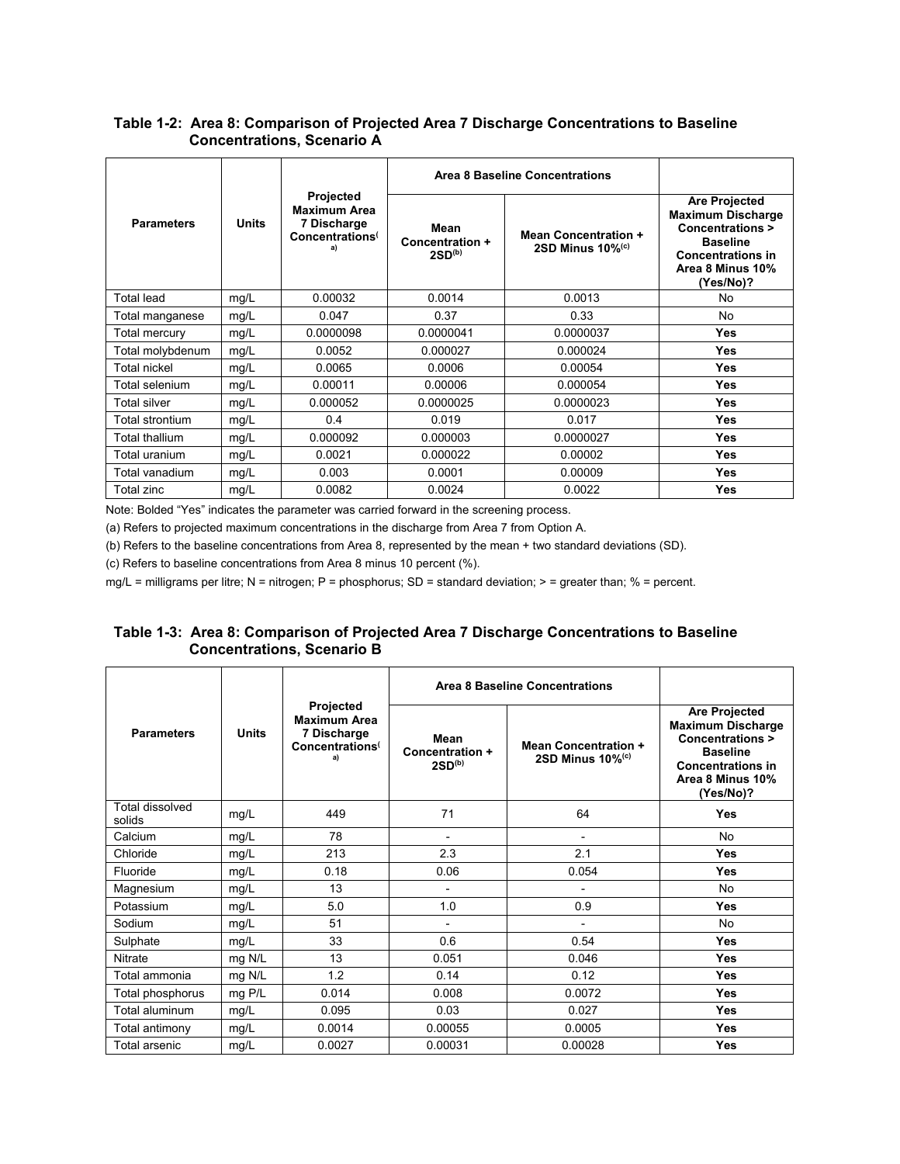## **Table 1-2: Area 8: Comparison of Projected Area 7 Discharge Concentrations to Baseline Concentrations, Scenario A**

|                   |       |                                                                                | Area 8 Baseline Concentrations                |                                                                |                                                                                                                                                                |
|-------------------|-------|--------------------------------------------------------------------------------|-----------------------------------------------|----------------------------------------------------------------|----------------------------------------------------------------------------------------------------------------------------------------------------------------|
| <b>Parameters</b> | Units | Projected<br><b>Maximum Area</b><br>7 Discharge<br>Concentrations <sup>(</sup> | Mean<br>Concentration +<br>2SD <sup>(b)</sup> | <b>Mean Concentration +</b><br>2SD Minus $10\%$ <sup>(c)</sup> | <b>Are Projected</b><br><b>Maximum Discharge</b><br><b>Concentrations &gt;</b><br><b>Baseline</b><br><b>Concentrations in</b><br>Area 8 Minus 10%<br>(Yes/No)? |
| Total lead        | mg/L  | 0.00032                                                                        | 0.0014                                        | 0.0013                                                         | No                                                                                                                                                             |
| Total manganese   | mq/L  | 0.047                                                                          | 0.37                                          | 0.33                                                           | No                                                                                                                                                             |
| Total mercury     | mg/L  | 0.0000098                                                                      | 0.0000041                                     | 0.0000037                                                      | <b>Yes</b>                                                                                                                                                     |
| Total molybdenum  | mq/L  | 0.0052                                                                         | 0.000027                                      | 0.000024                                                       | <b>Yes</b>                                                                                                                                                     |
| Total nickel      | mg/L  | 0.0065                                                                         | 0.0006                                        | 0.00054                                                        | <b>Yes</b>                                                                                                                                                     |
| Total selenium    | mg/L  | 0.00011                                                                        | 0.00006                                       | 0.000054                                                       | <b>Yes</b>                                                                                                                                                     |
| Total silver      | mg/L  | 0.000052                                                                       | 0.0000025                                     | 0.0000023                                                      | <b>Yes</b>                                                                                                                                                     |
| Total strontium   | mg/L  | 0.4                                                                            | 0.019                                         | 0.017                                                          | <b>Yes</b>                                                                                                                                                     |
| Total thallium    | mg/L  | 0.000092                                                                       | 0.000003                                      | 0.0000027                                                      | <b>Yes</b>                                                                                                                                                     |
| Total uranium     | mg/L  | 0.0021                                                                         | 0.000022                                      | 0.00002                                                        | <b>Yes</b>                                                                                                                                                     |
| Total vanadium    | mg/L  | 0.003                                                                          | 0.0001                                        | 0.00009                                                        | <b>Yes</b>                                                                                                                                                     |
| Total zinc        | mg/L  | 0.0082                                                                         | 0.0024                                        | 0.0022                                                         | <b>Yes</b>                                                                                                                                                     |

Note: Bolded "Yes" indicates the parameter was carried forward in the screening process.

(a) Refers to projected maximum concentrations in the discharge from Area 7 from Option A.

(b) Refers to the baseline concentrations from Area 8, represented by the mean + two standard deviations (SD).

(c) Refers to baseline concentrations from Area 8 minus 10 percent (%).

mg/L = milligrams per litre; N = nitrogen; P = phosphorus; SD = standard deviation; > = greater than; % = percent.

# **Table 1-3: Area 8: Comparison of Projected Area 7 Discharge Concentrations to Baseline Concentrations, Scenario B**

|                           |              |                                                                                      | Area 8 Baseline Concentrations                |                                                                |                                                                                                                                                                |
|---------------------------|--------------|--------------------------------------------------------------------------------------|-----------------------------------------------|----------------------------------------------------------------|----------------------------------------------------------------------------------------------------------------------------------------------------------------|
| <b>Parameters</b>         | <b>Units</b> | Projected<br><b>Maximum Area</b><br>7 Discharge<br>Concentrations <sup>(</sup><br>a) | Mean<br>Concentration +<br>2SD <sup>(b)</sup> | <b>Mean Concentration +</b><br>2SD Minus $10\%$ <sup>(c)</sup> | <b>Are Projected</b><br><b>Maximum Discharge</b><br><b>Concentrations &gt;</b><br><b>Baseline</b><br><b>Concentrations in</b><br>Area 8 Minus 10%<br>(Yes/No)? |
| Total dissolved<br>solids | mg/L         | 449                                                                                  | 71                                            | 64                                                             | Yes                                                                                                                                                            |
| Calcium                   | mg/L         | 78                                                                                   | $\overline{a}$                                |                                                                | No                                                                                                                                                             |
| Chloride                  | mg/L         | 213                                                                                  | 2.3                                           | 2.1                                                            | <b>Yes</b>                                                                                                                                                     |
| Fluoride                  | mg/L         | 0.18                                                                                 | 0.06                                          | 0.054                                                          | <b>Yes</b>                                                                                                                                                     |
| Magnesium                 | mg/L         | 13                                                                                   | $\overline{a}$                                |                                                                | <b>No</b>                                                                                                                                                      |
| Potassium                 | mg/L         | 5.0                                                                                  | 1.0                                           | 0.9                                                            | <b>Yes</b>                                                                                                                                                     |
| Sodium                    | mg/L         | 51                                                                                   |                                               |                                                                | <b>No</b>                                                                                                                                                      |
| Sulphate                  | mg/L         | 33                                                                                   | 0.6                                           | 0.54                                                           | <b>Yes</b>                                                                                                                                                     |
| <b>Nitrate</b>            | mg N/L       | 13                                                                                   | 0.051                                         | 0.046                                                          | <b>Yes</b>                                                                                                                                                     |
| Total ammonia             | mg N/L       | 1.2                                                                                  | 0.14                                          | 0.12                                                           | <b>Yes</b>                                                                                                                                                     |
| Total phosphorus          | $mg$ P/L     | 0.014                                                                                | 0.008                                         | 0.0072                                                         | <b>Yes</b>                                                                                                                                                     |
| Total aluminum            | mg/L         | 0.095                                                                                | 0.03                                          | 0.027                                                          | <b>Yes</b>                                                                                                                                                     |
| Total antimony            | mg/L         | 0.0014                                                                               | 0.00055                                       | 0.0005                                                         | <b>Yes</b>                                                                                                                                                     |
| Total arsenic             | mg/L         | 0.0027                                                                               | 0.00031                                       | 0.00028                                                        | Yes                                                                                                                                                            |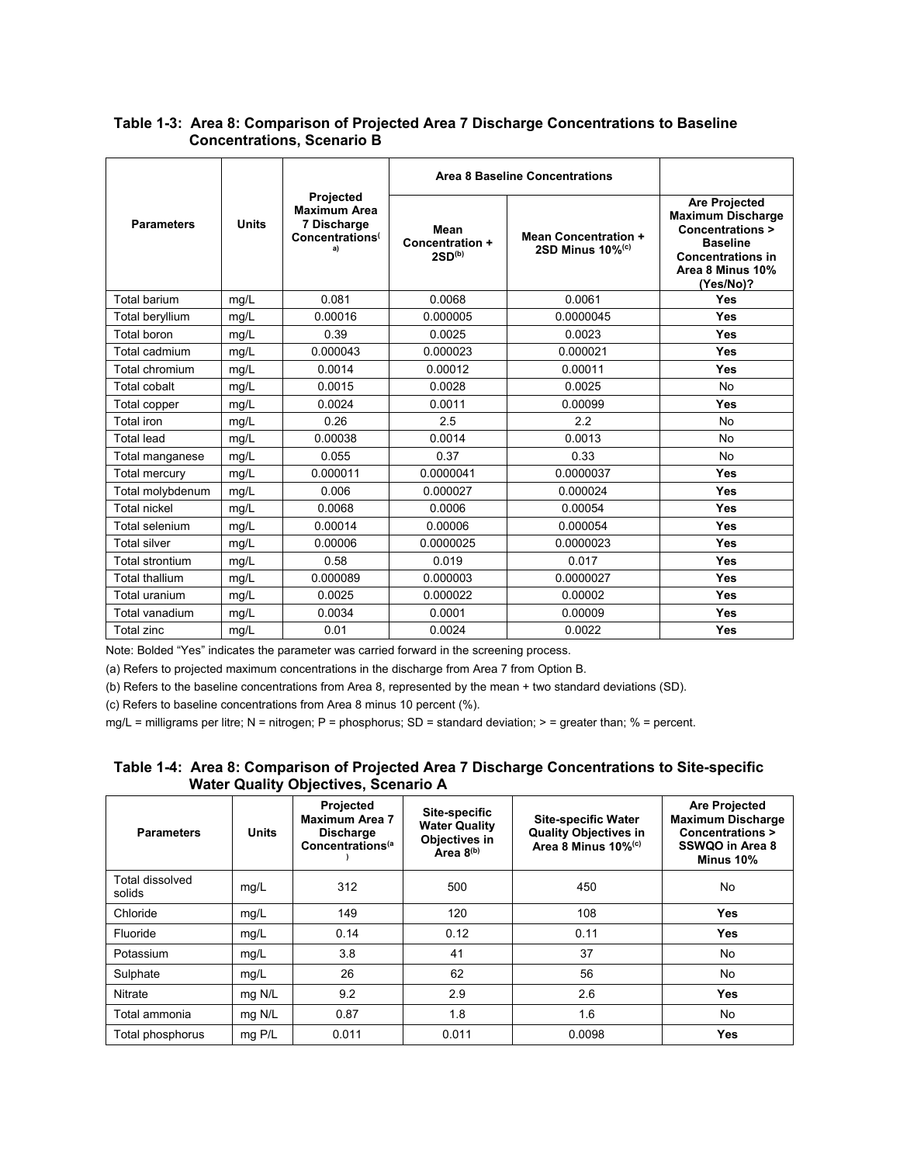|                       |              |                                                                                      | Area 8 Baseline Concentrations                |                                                                |                                                                                                                                                                |
|-----------------------|--------------|--------------------------------------------------------------------------------------|-----------------------------------------------|----------------------------------------------------------------|----------------------------------------------------------------------------------------------------------------------------------------------------------------|
| <b>Parameters</b>     | <b>Units</b> | Projected<br><b>Maximum Area</b><br>7 Discharge<br>Concentrations <sup>(</sup><br>a) | Mean<br>Concentration +<br>2SD <sup>(b)</sup> | <b>Mean Concentration +</b><br>2SD Minus $10\%$ <sup>(c)</sup> | <b>Are Projected</b><br><b>Maximum Discharge</b><br><b>Concentrations &gt;</b><br><b>Baseline</b><br><b>Concentrations in</b><br>Area 8 Minus 10%<br>(Yes/No)? |
| Total barium          | mq/L         | 0.081                                                                                | 0.0068                                        | 0.0061                                                         | Yes                                                                                                                                                            |
| Total beryllium       | mg/L         | 0.00016                                                                              | 0.000005                                      | 0.0000045                                                      | Yes                                                                                                                                                            |
| Total boron           | mq/L         | 0.39                                                                                 | 0.0025                                        | 0.0023                                                         | Yes                                                                                                                                                            |
| Total cadmium         | mg/L         | 0.000043                                                                             | 0.000023                                      | 0.000021                                                       | Yes                                                                                                                                                            |
| Total chromium        | mg/L         | 0.0014                                                                               | 0.00012                                       | 0.00011                                                        | Yes                                                                                                                                                            |
| <b>Total cobalt</b>   | mg/L         | 0.0015                                                                               | 0.0028                                        | 0.0025                                                         | No                                                                                                                                                             |
| Total copper          | mg/L         | 0.0024                                                                               | 0.0011                                        | 0.00099                                                        | Yes                                                                                                                                                            |
| <b>Total</b> iron     | mg/L         | 0.26                                                                                 | 2.5                                           | 22                                                             | <b>No</b>                                                                                                                                                      |
| <b>Total lead</b>     | mg/L         | 0.00038                                                                              | 0.0014                                        | 0.0013                                                         | <b>No</b>                                                                                                                                                      |
| Total manganese       | mg/L         | 0.055                                                                                | 0.37                                          | 0.33                                                           | <b>No</b>                                                                                                                                                      |
| <b>Total mercury</b>  | mg/L         | 0.000011                                                                             | 0.0000041                                     | 0.0000037                                                      | Yes                                                                                                                                                            |
| Total molybdenum      | mg/L         | 0.006                                                                                | 0.000027                                      | 0.000024                                                       | Yes                                                                                                                                                            |
| <b>Total nickel</b>   | mg/L         | 0.0068                                                                               | 0.0006                                        | 0.00054                                                        | Yes                                                                                                                                                            |
| Total selenium        | mq/L         | 0.00014                                                                              | 0.00006                                       | 0.000054                                                       | Yes                                                                                                                                                            |
| <b>Total silver</b>   | mg/L         | 0.00006                                                                              | 0.0000025                                     | 0.0000023                                                      | Yes                                                                                                                                                            |
| Total strontium       | mg/L         | 0.58                                                                                 | 0.019                                         | 0.017                                                          | Yes                                                                                                                                                            |
| <b>Total thallium</b> | mg/L         | 0.000089                                                                             | 0.000003                                      | 0.0000027                                                      | Yes                                                                                                                                                            |
| Total uranium         | mg/L         | 0.0025                                                                               | 0.000022                                      | 0.00002                                                        | Yes                                                                                                                                                            |
| Total vanadium        | mg/L         | 0.0034                                                                               | 0.0001                                        | 0.00009                                                        | Yes                                                                                                                                                            |
| Total zinc            | mg/L         | 0.01                                                                                 | 0.0024                                        | 0.0022                                                         | Yes                                                                                                                                                            |

## **Table 1-3: Area 8: Comparison of Projected Area 7 Discharge Concentrations to Baseline Concentrations, Scenario B**

Note: Bolded "Yes" indicates the parameter was carried forward in the screening process.

(a) Refers to projected maximum concentrations in the discharge from Area 7 from Option B.

(b) Refers to the baseline concentrations from Area 8, represented by the mean + two standard deviations (SD).

(c) Refers to baseline concentrations from Area 8 minus 10 percent (%).

 $mg/L =$  milligrams per litre; N = nitrogen; P = phosphorus; SD = standard deviation; > = greater than; % = percent.

## **Table 1-4: Area 8: Comparison of Projected Area 7 Discharge Concentrations to Site-specific Water Quality Objectives, Scenario A**

| <b>Parameters</b>         | <b>Units</b> | Projected<br>Site-specific<br><b>Maximum Area 7</b><br><b>Water Quality</b><br><b>Discharge</b><br>Objectives in<br>Concentrations <sup>(a</sup><br>Area 8(b) |       | <b>Site-specific Water</b><br><b>Quality Objectives in</b><br>Area 8 Minus 10% <sup>(c)</sup> | <b>Are Projected</b><br><b>Maximum Discharge</b><br>Concentrations ><br>SSWQO in Area 8<br>Minus 10% |
|---------------------------|--------------|---------------------------------------------------------------------------------------------------------------------------------------------------------------|-------|-----------------------------------------------------------------------------------------------|------------------------------------------------------------------------------------------------------|
| Total dissolved<br>solids | mg/L         | 312                                                                                                                                                           | 500   | 450                                                                                           | <b>No</b>                                                                                            |
| Chloride                  | mg/L         | 149                                                                                                                                                           | 120   | 108                                                                                           | <b>Yes</b>                                                                                           |
| Fluoride                  | mg/L         | 0.14                                                                                                                                                          | 0.12  | 0.11                                                                                          | <b>Yes</b>                                                                                           |
| Potassium                 | mg/L         | 3.8                                                                                                                                                           | 41    | 37                                                                                            | No                                                                                                   |
| Sulphate                  | mg/L         | 26                                                                                                                                                            | 62    | 56                                                                                            | No                                                                                                   |
| Nitrate                   | mg N/L       | 9.2                                                                                                                                                           | 2.9   | 2.6                                                                                           | <b>Yes</b>                                                                                           |
| Total ammonia             | mg N/L       | 0.87                                                                                                                                                          | 1.8   | 1.6                                                                                           | <b>No</b>                                                                                            |
| Total phosphorus          | mg P/L       | 0.011                                                                                                                                                         | 0.011 | 0.0098                                                                                        | <b>Yes</b>                                                                                           |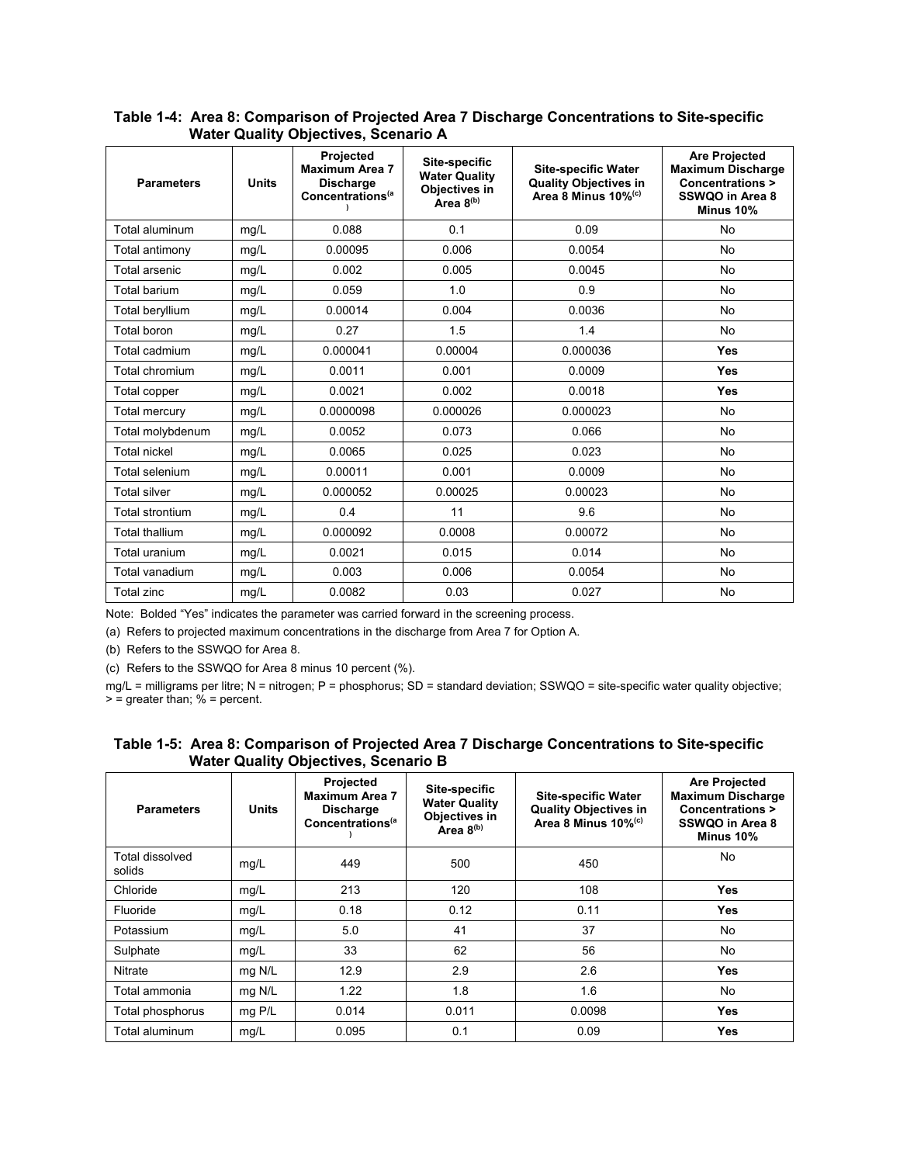| <b>Parameters</b>     | <b>Units</b> | Projected<br><b>Maximum Area 7</b><br><b>Discharge</b><br>Concentrations <sup>(a</sup> | Site-specific<br><b>Water Quality</b><br>Objectives in<br>Area 8(b) | <b>Site-specific Water</b><br><b>Quality Objectives in</b><br>Area 8 Minus 10% <sup>(c)</sup> | <b>Are Projected</b><br><b>Maximum Discharge</b><br><b>Concentrations &gt;</b><br>SSWQO in Area 8<br>Minus 10% |  |
|-----------------------|--------------|----------------------------------------------------------------------------------------|---------------------------------------------------------------------|-----------------------------------------------------------------------------------------------|----------------------------------------------------------------------------------------------------------------|--|
| Total aluminum        | mg/L         | 0.088                                                                                  | 0.1                                                                 | 0.09                                                                                          | <b>No</b>                                                                                                      |  |
| Total antimony        | mg/L         | 0.00095                                                                                | 0.006                                                               | 0.0054                                                                                        | No                                                                                                             |  |
| Total arsenic         | mg/L         | 0.002                                                                                  | 0.005                                                               | 0.0045                                                                                        | No                                                                                                             |  |
| Total barium          | mg/L         | 0.059                                                                                  | 1.0                                                                 | 0.9                                                                                           | <b>No</b>                                                                                                      |  |
| Total beryllium       | mq/L         | 0.00014                                                                                | 0.004                                                               | 0.0036                                                                                        | <b>No</b>                                                                                                      |  |
| Total boron           | mg/L         | 0.27                                                                                   | 1.5                                                                 | 1.4                                                                                           | <b>No</b>                                                                                                      |  |
| Total cadmium         | mg/L         | 0.000041                                                                               | 0.00004                                                             | 0.000036                                                                                      | Yes                                                                                                            |  |
| Total chromium        | mg/L         | 0.0011                                                                                 | 0.001                                                               | 0.0009                                                                                        | Yes                                                                                                            |  |
| Total copper          | mg/L         | 0.0021                                                                                 | 0.002                                                               | 0.0018                                                                                        | Yes                                                                                                            |  |
| Total mercury         | mg/L         | 0.0000098                                                                              | 0.000026                                                            | 0.000023                                                                                      | <b>No</b>                                                                                                      |  |
| Total molybdenum      | mg/L         | 0.0052                                                                                 | 0.073                                                               | 0.066                                                                                         | <b>No</b>                                                                                                      |  |
| <b>Total nickel</b>   | mq/L         | 0.0065                                                                                 | 0.025                                                               | 0.023                                                                                         | <b>No</b>                                                                                                      |  |
| Total selenium        | mg/L         | 0.00011                                                                                | 0.001                                                               | 0.0009                                                                                        | <b>No</b>                                                                                                      |  |
| <b>Total silver</b>   | mg/L         | 0.000052                                                                               | 0.00025                                                             | 0.00023                                                                                       | No                                                                                                             |  |
| Total strontium       | mg/L         | 0.4                                                                                    | 11                                                                  | 9.6                                                                                           | <b>No</b>                                                                                                      |  |
| <b>Total thallium</b> | mg/L         | 0.000092                                                                               | 0.0008                                                              | 0.00072                                                                                       | <b>No</b>                                                                                                      |  |
| Total uranium         | mg/L         | 0.0021                                                                                 | 0.015                                                               | 0.014                                                                                         | No                                                                                                             |  |
| Total vanadium        | mg/L         | 0.003                                                                                  | 0.006                                                               | 0.0054                                                                                        | <b>No</b>                                                                                                      |  |
| <b>Total zinc</b>     | mg/L         | 0.0082                                                                                 | 0.03                                                                | 0.027                                                                                         | No                                                                                                             |  |

## **Table 1-4: Area 8: Comparison of Projected Area 7 Discharge Concentrations to Site-specific Water Quality Objectives, Scenario A**

Note: Bolded "Yes" indicates the parameter was carried forward in the screening process.

(a) Refers to projected maximum concentrations in the discharge from Area 7 for Option A.

(b) Refers to the SSWQO for Area 8.

(c) Refers to the SSWQO for Area 8 minus 10 percent (%).

mg/L = milligrams per litre; N = nitrogen; P = phosphorus; SD = standard deviation; SSWQO = site-specific water quality objective;  $\ge$  = greater than;  $\%$  = percent.

## **Table 1-5: Area 8: Comparison of Projected Area 7 Discharge Concentrations to Site-specific Water Quality Objectives, Scenario B**

| <b>Parameters</b>         | <b>Units</b> | Projected<br><b>Maximum Area 7</b><br><b>Discharge</b><br>Concentrations <sup>(a</sup> | Site-specific<br><b>Water Quality</b><br>Objectives in<br>Area $8^{(b)}$ | <b>Site-specific Water</b><br><b>Quality Objectives in</b><br>Area 8 Minus 10% <sup>(c)</sup> | <b>Are Projected</b><br><b>Maximum Discharge</b><br>Concentrations ><br>SSWQO in Area 8<br>Minus 10% |
|---------------------------|--------------|----------------------------------------------------------------------------------------|--------------------------------------------------------------------------|-----------------------------------------------------------------------------------------------|------------------------------------------------------------------------------------------------------|
| Total dissolved<br>solids | mg/L         | 449                                                                                    | 500                                                                      | 450                                                                                           | No                                                                                                   |
| Chloride                  | mg/L         | 213                                                                                    | 120                                                                      | 108                                                                                           | <b>Yes</b>                                                                                           |
| Fluoride                  | mg/L         | 0.18                                                                                   | 0.12<br>0.11                                                             |                                                                                               | <b>Yes</b>                                                                                           |
| Potassium                 | mg/L         | 5.0                                                                                    | 41                                                                       | 37                                                                                            | No                                                                                                   |
| Sulphate                  | mg/L         | 33                                                                                     | 62                                                                       | 56                                                                                            | No                                                                                                   |
| Nitrate                   | mg N/L       | 12.9                                                                                   | 2.9                                                                      | 2.6                                                                                           | <b>Yes</b>                                                                                           |
| Total ammonia             | mg N/L       | 1.22                                                                                   | 1.8                                                                      | 1.6                                                                                           | No                                                                                                   |
| Total phosphorus          | mg P/L       | 0.014                                                                                  | 0.011                                                                    | 0.0098                                                                                        | <b>Yes</b>                                                                                           |
| Total aluminum            | mg/L         | 0.095                                                                                  | 0.1                                                                      | 0.09                                                                                          | <b>Yes</b>                                                                                           |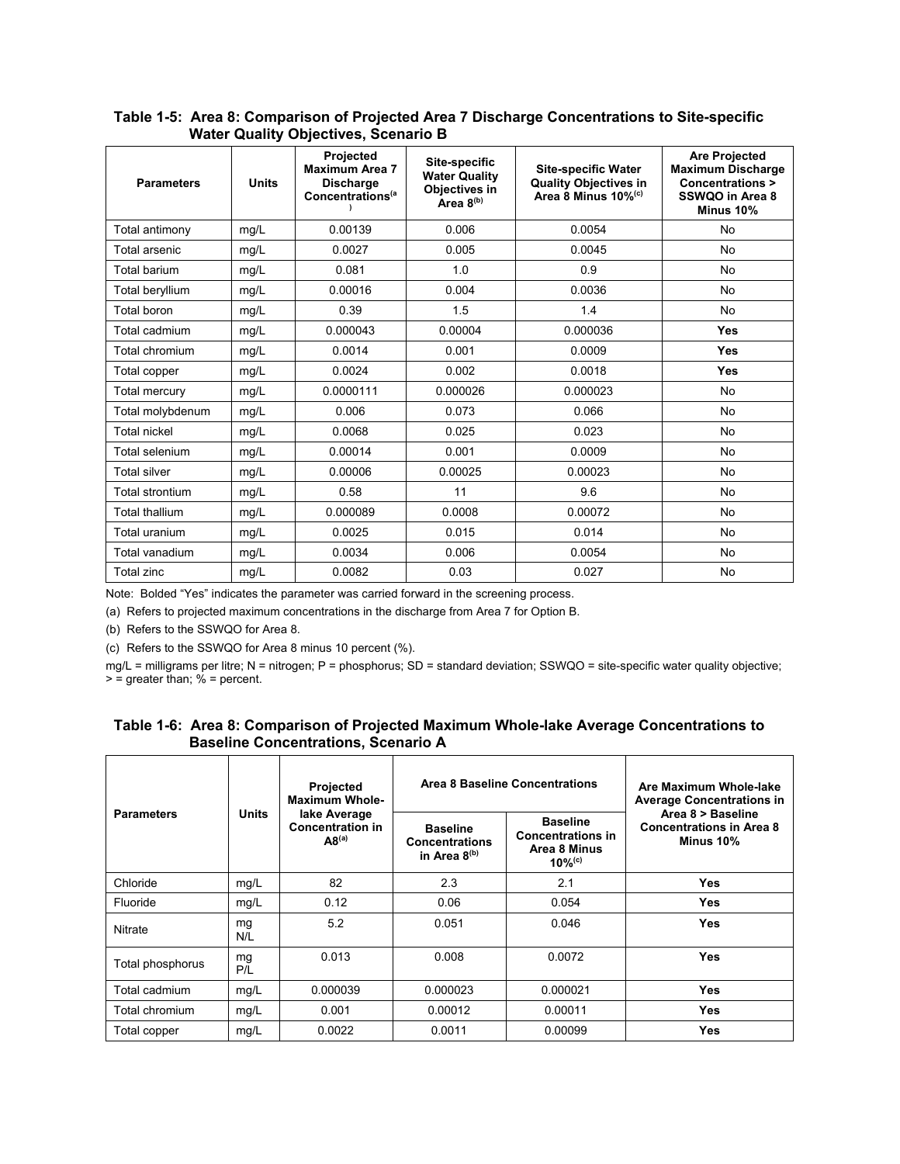| Table 1-5: Area 8: Comparison of Projected Area 7 Discharge Concentrations to Site-specific |
|---------------------------------------------------------------------------------------------|
| <b>Water Quality Objectives, Scenario B</b>                                                 |

| <b>Parameters</b>      | <b>Units</b> | Projected<br><b>Maximum Area 7</b><br><b>Discharge</b><br>Concentrations <sup>(a</sup> | Site-specific<br><b>Site-specific Water</b><br><b>Water Quality</b><br><b>Quality Objectives in</b><br>Objectives in<br>Area 8 Minus 10% <sup>(c)</sup><br>Area 8(b) |          | <b>Are Projected</b><br><b>Maximum Discharge</b><br><b>Concentrations &gt;</b><br>SSWQO in Area 8<br>Minus 10% |  |
|------------------------|--------------|----------------------------------------------------------------------------------------|----------------------------------------------------------------------------------------------------------------------------------------------------------------------|----------|----------------------------------------------------------------------------------------------------------------|--|
| Total antimony         | mg/L         | 0.00139                                                                                | 0.006                                                                                                                                                                | 0.0054   | <b>No</b>                                                                                                      |  |
| Total arsenic          | mg/L         | 0.0027                                                                                 | 0.005                                                                                                                                                                | 0.0045   | <b>No</b>                                                                                                      |  |
| Total barium           | mq/L         | 0.081                                                                                  | 1.0                                                                                                                                                                  | 0.9      | No                                                                                                             |  |
| Total beryllium        | mq/L         | 0.00016                                                                                | 0.004                                                                                                                                                                | 0.0036   | No                                                                                                             |  |
| Total boron            | mq/L         | 0.39                                                                                   | 1.5                                                                                                                                                                  | 1.4      | <b>No</b>                                                                                                      |  |
| Total cadmium          | mg/L         | 0.000043                                                                               | 0.00004                                                                                                                                                              | 0.000036 | <b>Yes</b>                                                                                                     |  |
| Total chromium         | mg/L         | 0.0014                                                                                 | 0.001                                                                                                                                                                | 0.0009   | <b>Yes</b>                                                                                                     |  |
| Total copper           | mg/L         | 0.0024                                                                                 | 0.002                                                                                                                                                                | 0.0018   | Yes                                                                                                            |  |
| Total mercury          | mg/L         | 0.0000111                                                                              | 0.000026                                                                                                                                                             | 0.000023 | <b>No</b>                                                                                                      |  |
| Total molybdenum       | mg/L         | 0.006                                                                                  | 0.073                                                                                                                                                                | 0.066    | <b>No</b>                                                                                                      |  |
| <b>Total nickel</b>    | mg/L         | 0.0068                                                                                 | 0.025                                                                                                                                                                | 0.023    | No                                                                                                             |  |
| Total selenium         | mq/L         | 0.00014                                                                                | 0.001                                                                                                                                                                | 0.0009   | <b>No</b>                                                                                                      |  |
| <b>Total silver</b>    | mg/L         | 0.00006                                                                                | 0.00025                                                                                                                                                              | 0.00023  | <b>No</b>                                                                                                      |  |
| <b>Total strontium</b> | mg/L         | 0.58                                                                                   | 11                                                                                                                                                                   | 9.6      | No                                                                                                             |  |
| <b>Total thallium</b>  | mg/L         | 0.000089                                                                               | 0.0008                                                                                                                                                               | 0.00072  | No                                                                                                             |  |
| Total uranium          | mg/L         | 0.0025                                                                                 | 0.015                                                                                                                                                                | 0.014    | <b>No</b>                                                                                                      |  |
| Total vanadium         | mg/L         | 0.0034                                                                                 | 0.006                                                                                                                                                                | 0.0054   | No                                                                                                             |  |
| <b>Total zinc</b>      | mg/L         | 0.0082                                                                                 | 0.03                                                                                                                                                                 | 0.027    | No                                                                                                             |  |

Note: Bolded "Yes" indicates the parameter was carried forward in the screening process.

(a) Refers to projected maximum concentrations in the discharge from Area 7 for Option B.

(b) Refers to the SSWQO for Area 8.

(c) Refers to the SSWQO for Area 8 minus 10 percent (%).

mg/L = milligrams per litre; N = nitrogen; P = phosphorus; SD = standard deviation; SSWQO = site-specific water quality objective; > = greater than; % = percent.

| <b>Parameters</b> |              | <b>Projected</b><br><b>Maximum Whole-</b>                    |                                                               | Area 8 Baseline Concentrations                                                      | Are Maximum Whole-lake<br><b>Average Concentrations in</b>        |
|-------------------|--------------|--------------------------------------------------------------|---------------------------------------------------------------|-------------------------------------------------------------------------------------|-------------------------------------------------------------------|
|                   | <b>Units</b> | lake Average<br><b>Concentration in</b><br>AB <sup>(a)</sup> | <b>Baseline</b><br><b>Concentrations</b><br>in Area $8^{(b)}$ | <b>Baseline</b><br><b>Concentrations in</b><br>Area 8 Minus<br>$10%$ <sup>(c)</sup> | Area 8 > Baseline<br><b>Concentrations in Area 8</b><br>Minus 10% |
| Chloride          | mg/L         | 82                                                           | 2.3                                                           | 2.1                                                                                 | Yes                                                               |
| Fluoride          | mg/L         | 0.12                                                         | 0.06                                                          | 0.054                                                                               | Yes                                                               |
| Nitrate           | mg<br>N/L    | 5.2                                                          | 0.051                                                         | 0.046                                                                               | Yes                                                               |
| Total phosphorus  | mg<br>P/L    | 0.013                                                        | 0.008                                                         | 0.0072                                                                              | Yes                                                               |
| Total cadmium     | mg/L         | 0.000039                                                     | 0.000023                                                      | 0.000021                                                                            | Yes                                                               |
| Total chromium    | mg/L         | 0.001                                                        | 0.00012                                                       | 0.00011                                                                             | Yes                                                               |
| Total copper      | mg/L         | 0.0022                                                       | 0.0011                                                        | 0.00099                                                                             | Yes                                                               |

|                                            | Table 1-6: Area 8: Comparison of Projected Maximum Whole-lake Average Concentrations to |  |  |
|--------------------------------------------|-----------------------------------------------------------------------------------------|--|--|
| <b>Baseline Concentrations, Scenario A</b> |                                                                                         |  |  |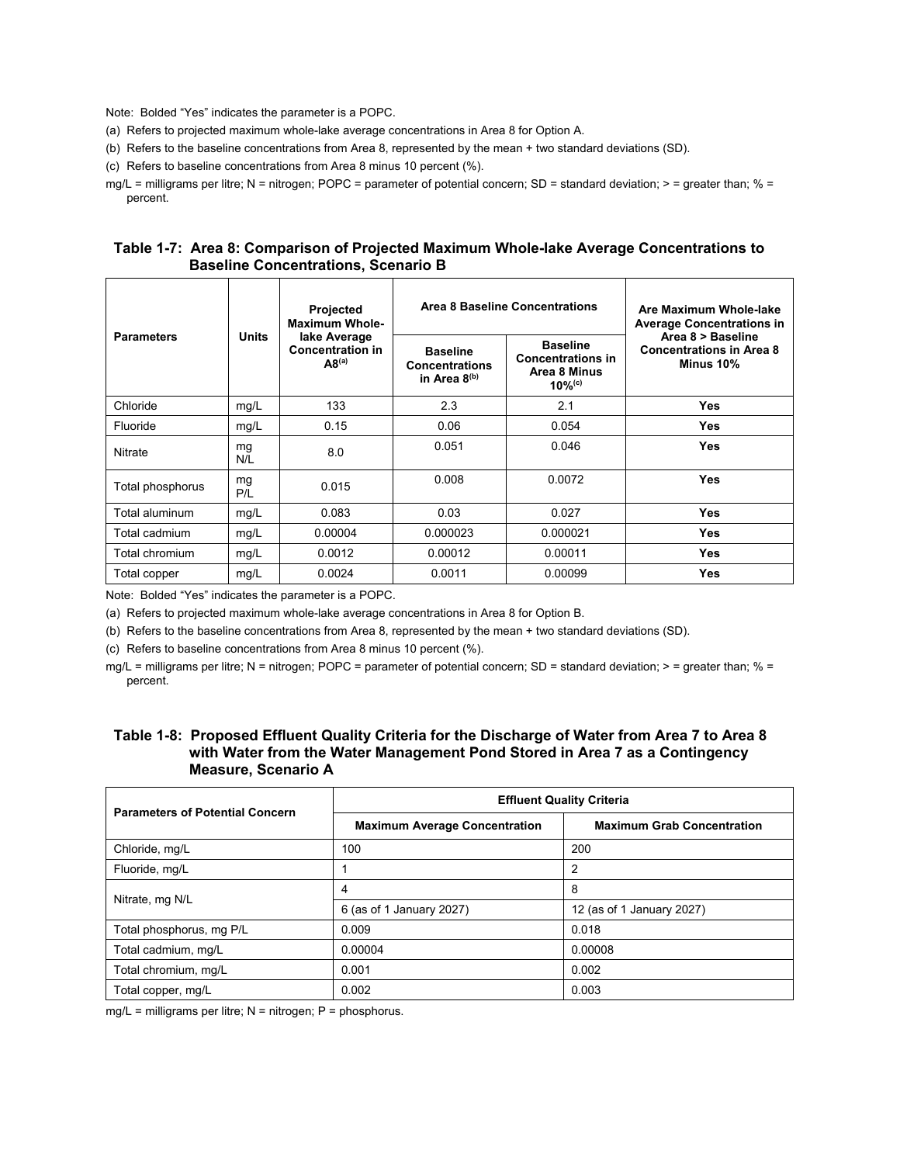Note: Bolded "Yes" indicates the parameter is a POPC.

- (a) Refers to projected maximum whole-lake average concentrations in Area 8 for Option A.
- (b) Refers to the baseline concentrations from Area 8, represented by the mean + two standard deviations (SD).

(c) Refers to baseline concentrations from Area 8 minus 10 percent (%).

mg/L = milligrams per litre; N = nitrogen; POPC = parameter of potential concern; SD = standard deviation; > = greater than; % = percent.

### **Table 1-7: Area 8: Comparison of Projected Maximum Whole-lake Average Concentrations to Baseline Concentrations, Scenario B**

| <b>Parameters</b> |              | <b>Projected</b><br><b>Maximum Whole-</b>                    |                                                               | Area 8 Baseline Concentrations                                                       | Are Maximum Whole-lake<br><b>Average Concentrations in</b>        |  |
|-------------------|--------------|--------------------------------------------------------------|---------------------------------------------------------------|--------------------------------------------------------------------------------------|-------------------------------------------------------------------|--|
|                   | <b>Units</b> | lake Average<br><b>Concentration in</b><br>AB <sup>(a)</sup> | <b>Baseline</b><br><b>Concentrations</b><br>in Area $8^{(b)}$ | <b>Baseline</b><br><b>Concentrations in</b><br>Area 8 Minus<br>$10\%$ <sup>(c)</sup> | Area 8 > Baseline<br><b>Concentrations in Area 8</b><br>Minus 10% |  |
| Chloride          | mg/L         | 133                                                          | 2.3                                                           | 2.1                                                                                  | <b>Yes</b>                                                        |  |
| Fluoride          | mg/L         | 0.15                                                         | 0.06                                                          | 0.054                                                                                | <b>Yes</b>                                                        |  |
| Nitrate           | mg<br>N/L    | 8.0                                                          | 0.051                                                         | 0.046                                                                                | <b>Yes</b>                                                        |  |
| Total phosphorus  | mg<br>P/L    | 0.015                                                        | 0.008                                                         | 0.0072                                                                               | <b>Yes</b>                                                        |  |
| Total aluminum    | mg/L         | 0.083                                                        | 0.03                                                          | 0.027                                                                                | <b>Yes</b>                                                        |  |
| Total cadmium     | mg/L         | 0.00004                                                      | 0.000023                                                      | 0.000021                                                                             | <b>Yes</b>                                                        |  |
| Total chromium    | mg/L         | 0.0012                                                       | 0.00012                                                       | 0.00011                                                                              | <b>Yes</b>                                                        |  |
| Total copper      | mg/L         | 0.0024                                                       | 0.0011                                                        | 0.00099                                                                              | <b>Yes</b>                                                        |  |

Note: Bolded "Yes" indicates the parameter is a POPC.

(a) Refers to projected maximum whole-lake average concentrations in Area 8 for Option B.

(b) Refers to the baseline concentrations from Area 8, represented by the mean + two standard deviations (SD).

(c) Refers to baseline concentrations from Area 8 minus 10 percent (%).

mg/L = milligrams per litre; N = nitrogen; POPC = parameter of potential concern; SD = standard deviation; > = greater than; % = percent.

## **Table 1-8: Proposed Effluent Quality Criteria for the Discharge of Water from Area 7 to Area 8 with Water from the Water Management Pond Stored in Area 7 as a Contingency Measure, Scenario A**

| <b>Parameters of Potential Concern</b> | <b>Effluent Quality Criteria</b>     |                                   |  |  |  |  |  |  |
|----------------------------------------|--------------------------------------|-----------------------------------|--|--|--|--|--|--|
|                                        | <b>Maximum Average Concentration</b> | <b>Maximum Grab Concentration</b> |  |  |  |  |  |  |
| Chloride, mg/L                         | 100                                  | 200                               |  |  |  |  |  |  |
| Fluoride, mg/L                         |                                      | 2                                 |  |  |  |  |  |  |
|                                        | 4                                    | 8                                 |  |  |  |  |  |  |
| Nitrate, mg N/L                        | 6 (as of 1 January 2027)             | 12 (as of 1 January 2027)         |  |  |  |  |  |  |
| Total phosphorus, mg P/L               | 0.009                                | 0.018                             |  |  |  |  |  |  |
| Total cadmium, mg/L                    | 0.00004                              | 0.00008                           |  |  |  |  |  |  |
| Total chromium, mg/L                   | 0.001                                | 0.002                             |  |  |  |  |  |  |
| Total copper, mg/L                     | 0.002                                | 0.003                             |  |  |  |  |  |  |

 $mg/L =$  milligrams per litre; N = nitrogen; P = phosphorus.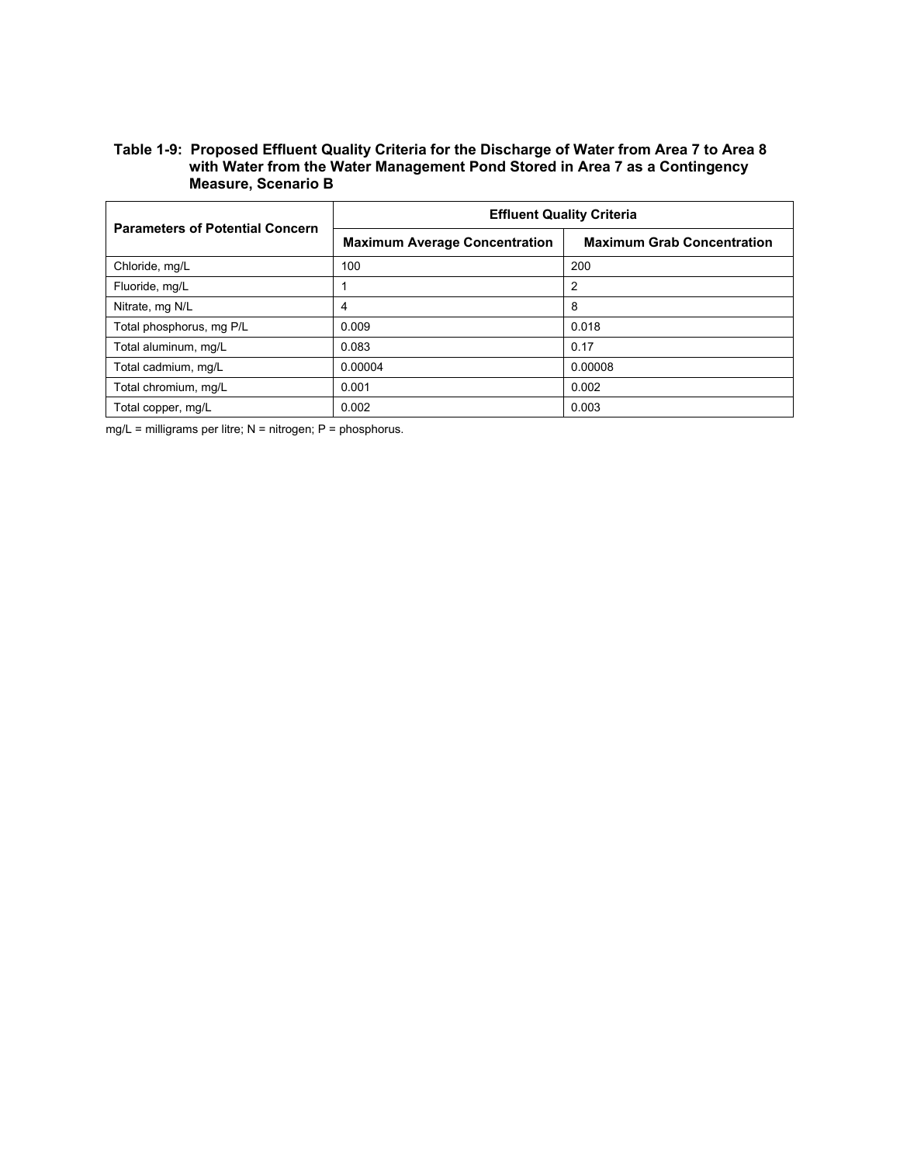# **Table 1-9: Proposed Effluent Quality Criteria for the Discharge of Water from Area 7 to Area 8 with Water from the Water Management Pond Stored in Area 7 as a Contingency Measure, Scenario B**

| <b>Parameters of Potential Concern</b> | <b>Effluent Quality Criteria</b>     |                                   |  |  |  |  |  |  |
|----------------------------------------|--------------------------------------|-----------------------------------|--|--|--|--|--|--|
|                                        | <b>Maximum Average Concentration</b> | <b>Maximum Grab Concentration</b> |  |  |  |  |  |  |
| Chloride, mg/L                         | 100                                  | 200                               |  |  |  |  |  |  |
| Fluoride, mg/L                         |                                      | 2                                 |  |  |  |  |  |  |
| Nitrate, mg N/L                        | 4                                    | 8                                 |  |  |  |  |  |  |
| Total phosphorus, mg P/L               | 0.009                                | 0.018                             |  |  |  |  |  |  |
| Total aluminum, mg/L                   | 0.083                                | 0.17                              |  |  |  |  |  |  |
| Total cadmium, mg/L                    | 0.00004                              | 0.00008                           |  |  |  |  |  |  |
| Total chromium, mg/L                   | 0.001                                | 0.002                             |  |  |  |  |  |  |
| Total copper, mg/L                     | 0.002                                | 0.003                             |  |  |  |  |  |  |

mg/L = milligrams per litre; N = nitrogen; P = phosphorus.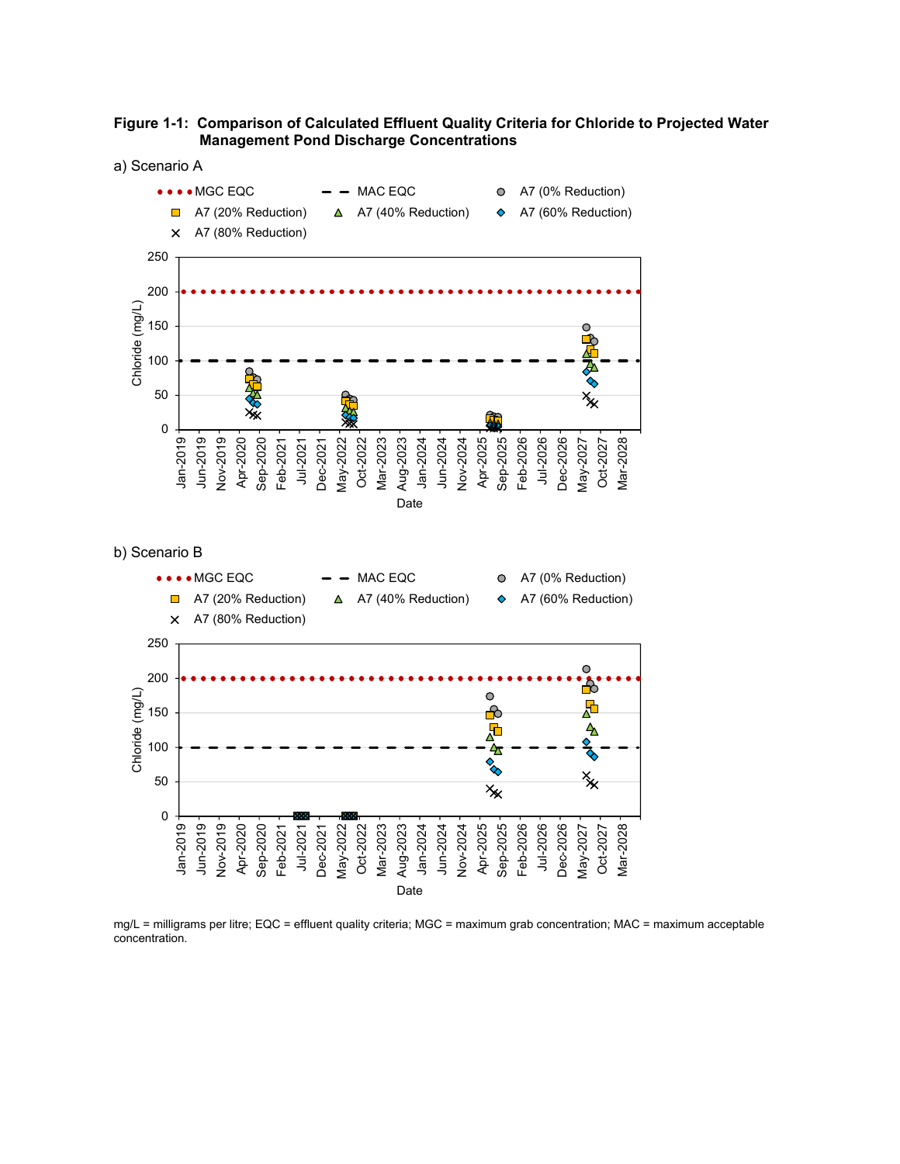



b) Scenario B



mg/L = milligrams per litre; EQC = effluent quality criteria; MGC = maximum grab concentration; MAC = maximum acceptable concentration.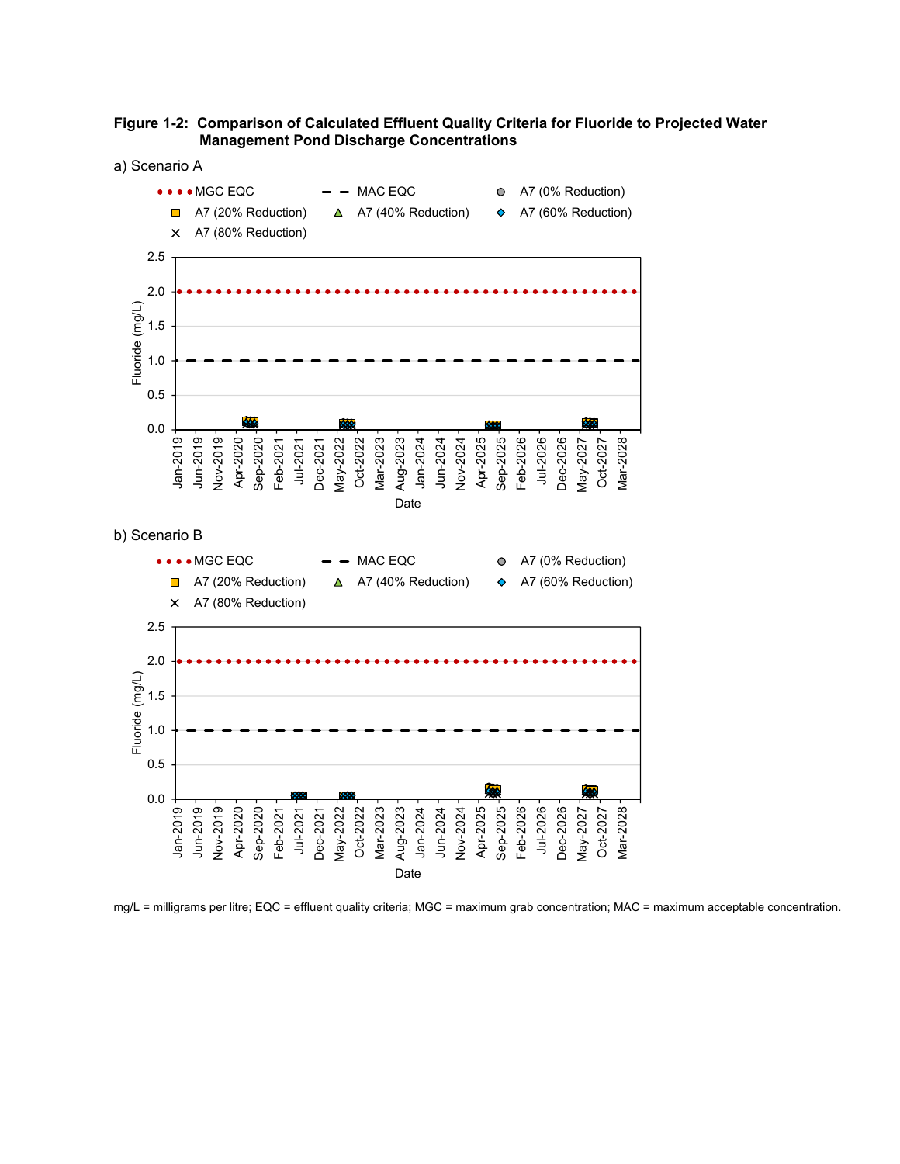

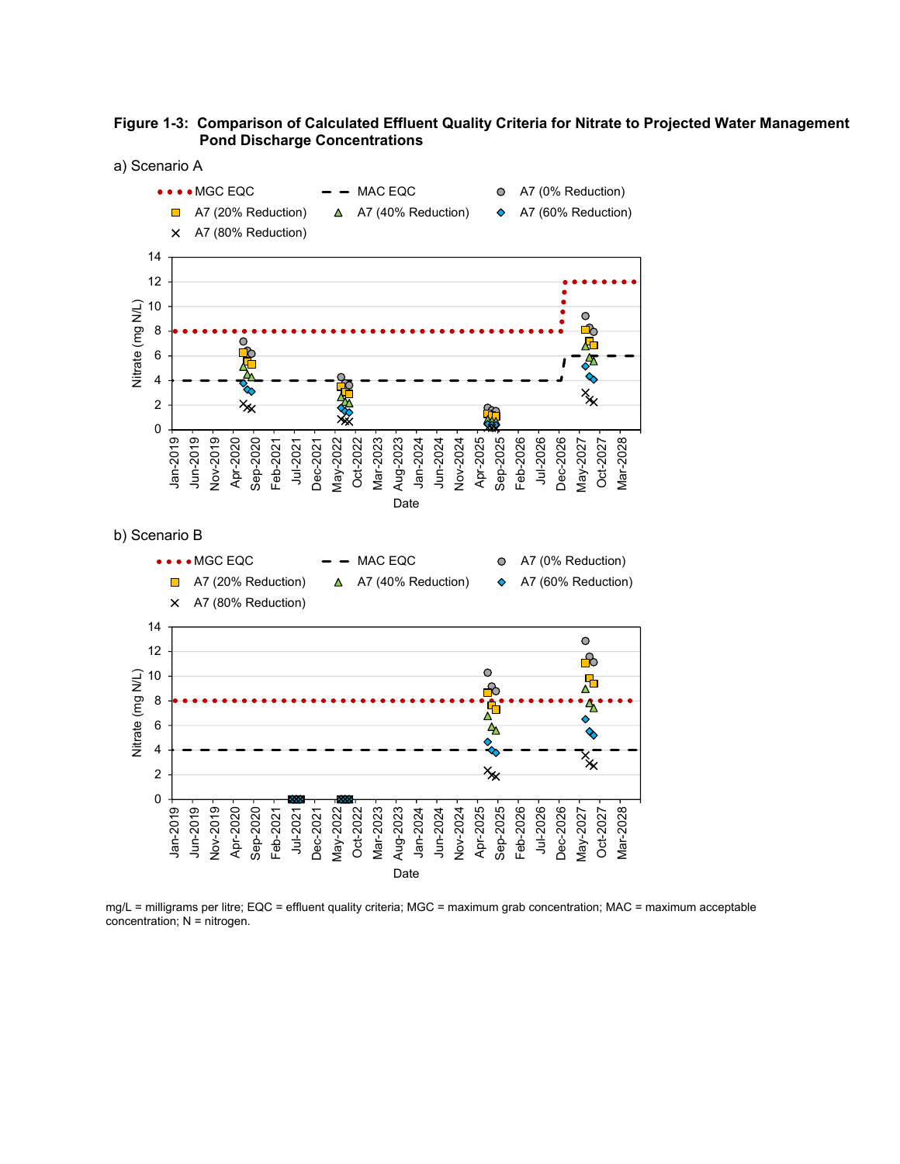



mg/L = milligrams per litre; EQC = effluent quality criteria; MGC = maximum grab concentration; MAC = maximum acceptable concentration; N = nitrogen.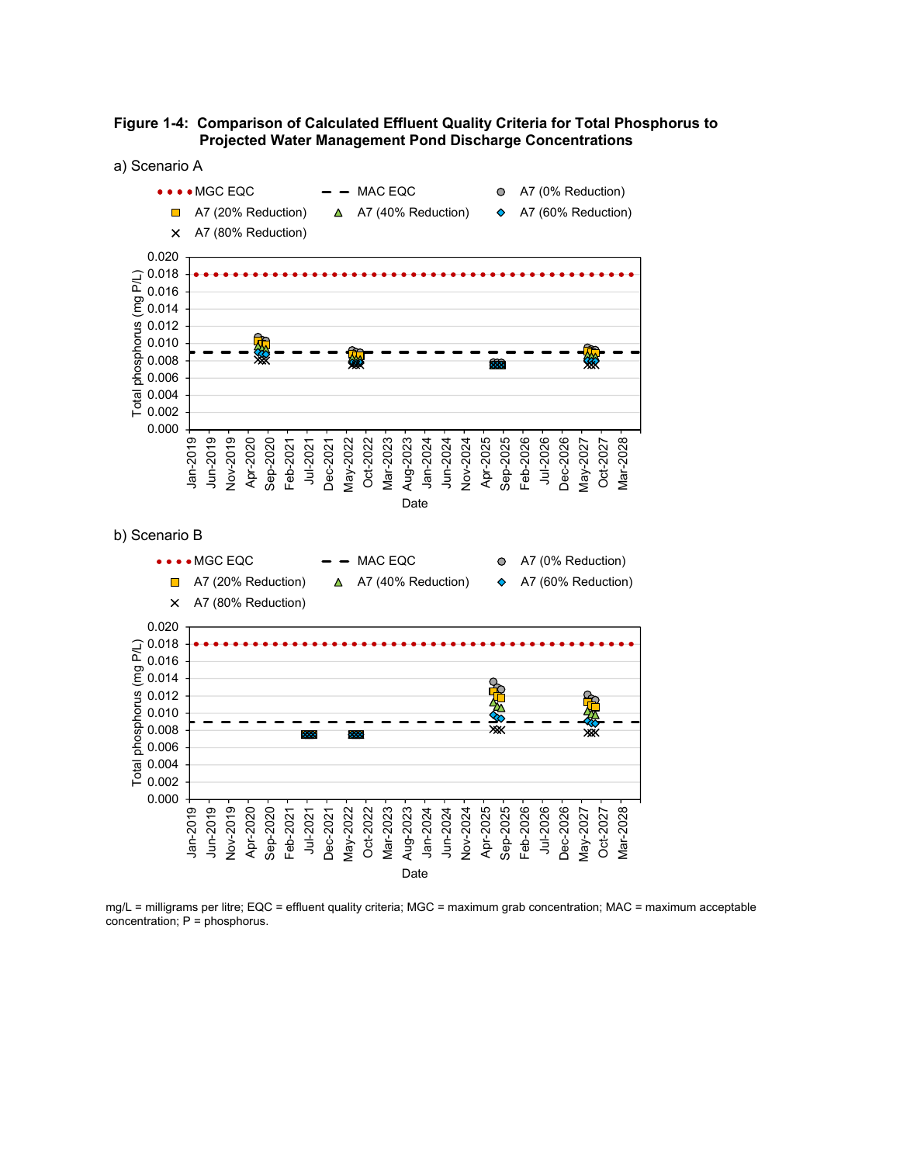

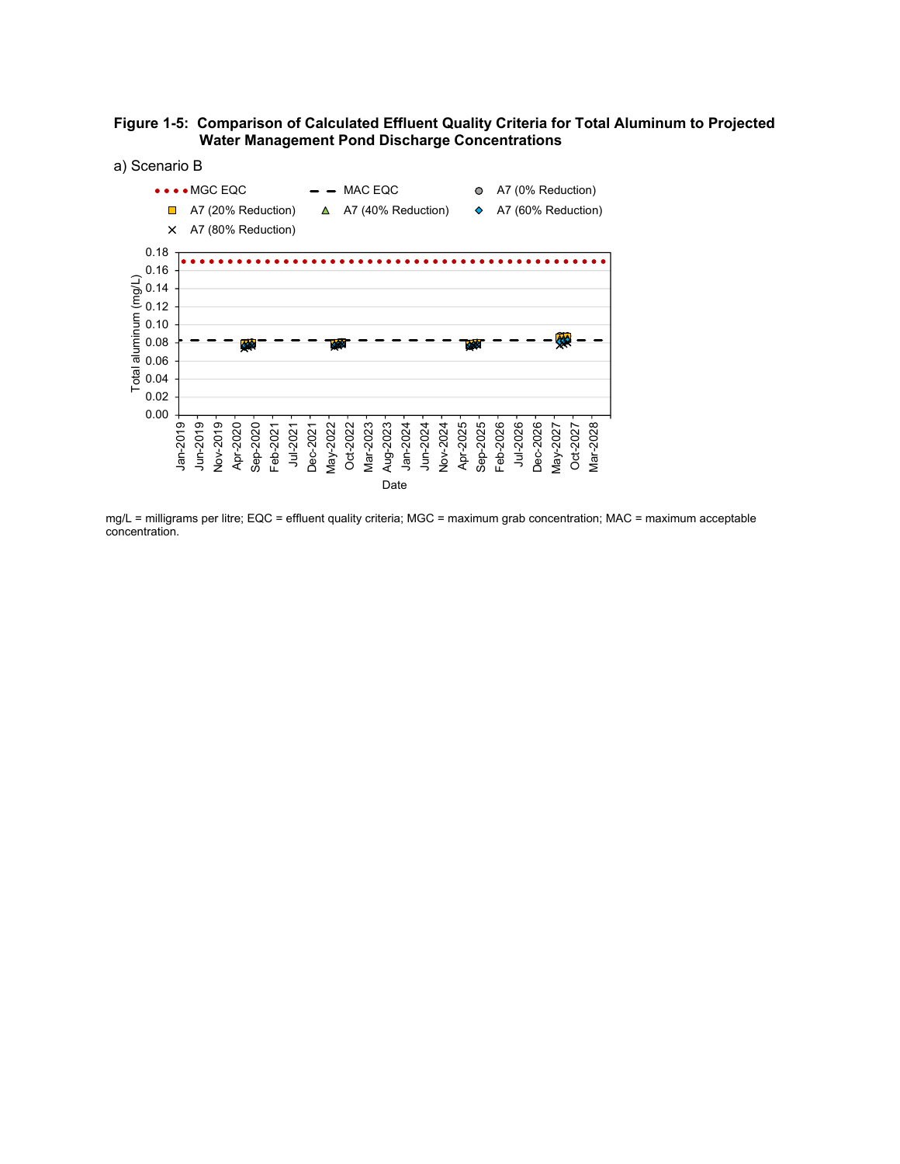

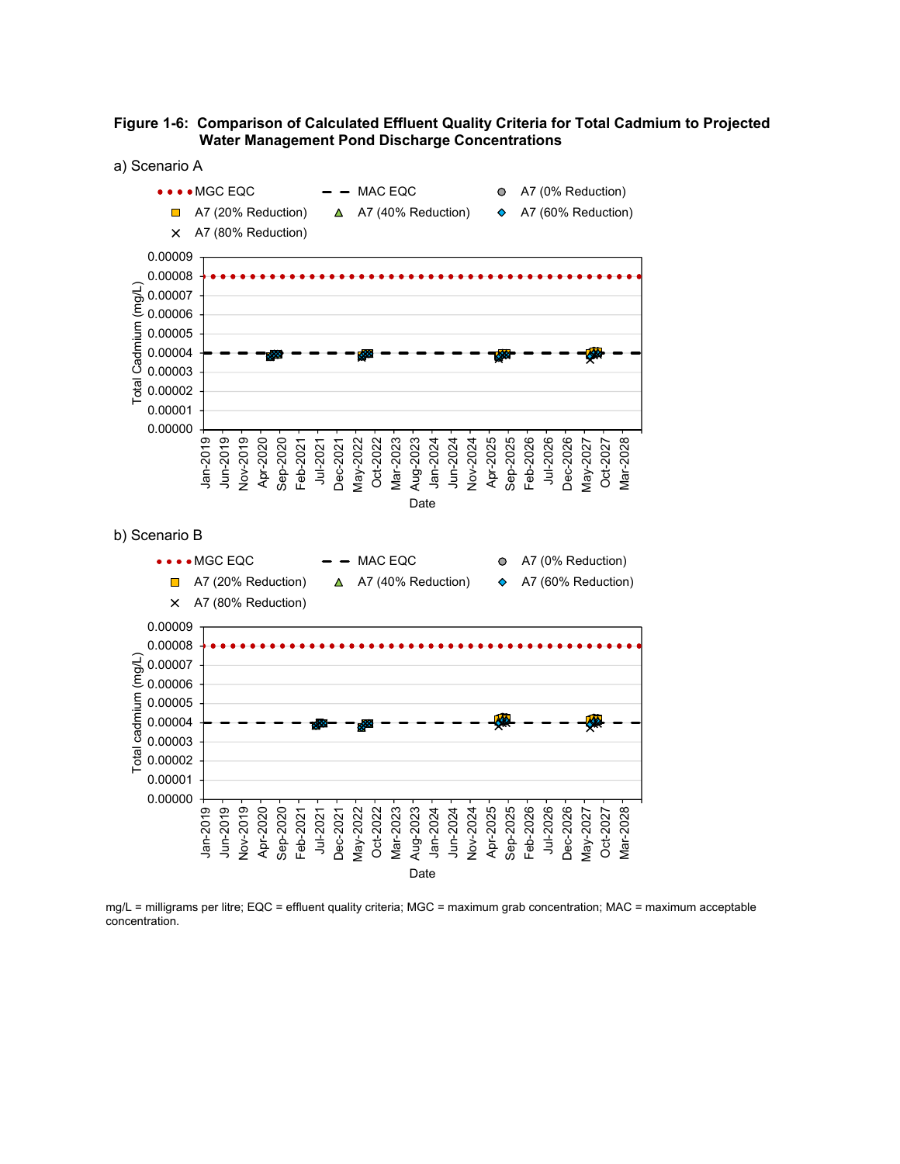

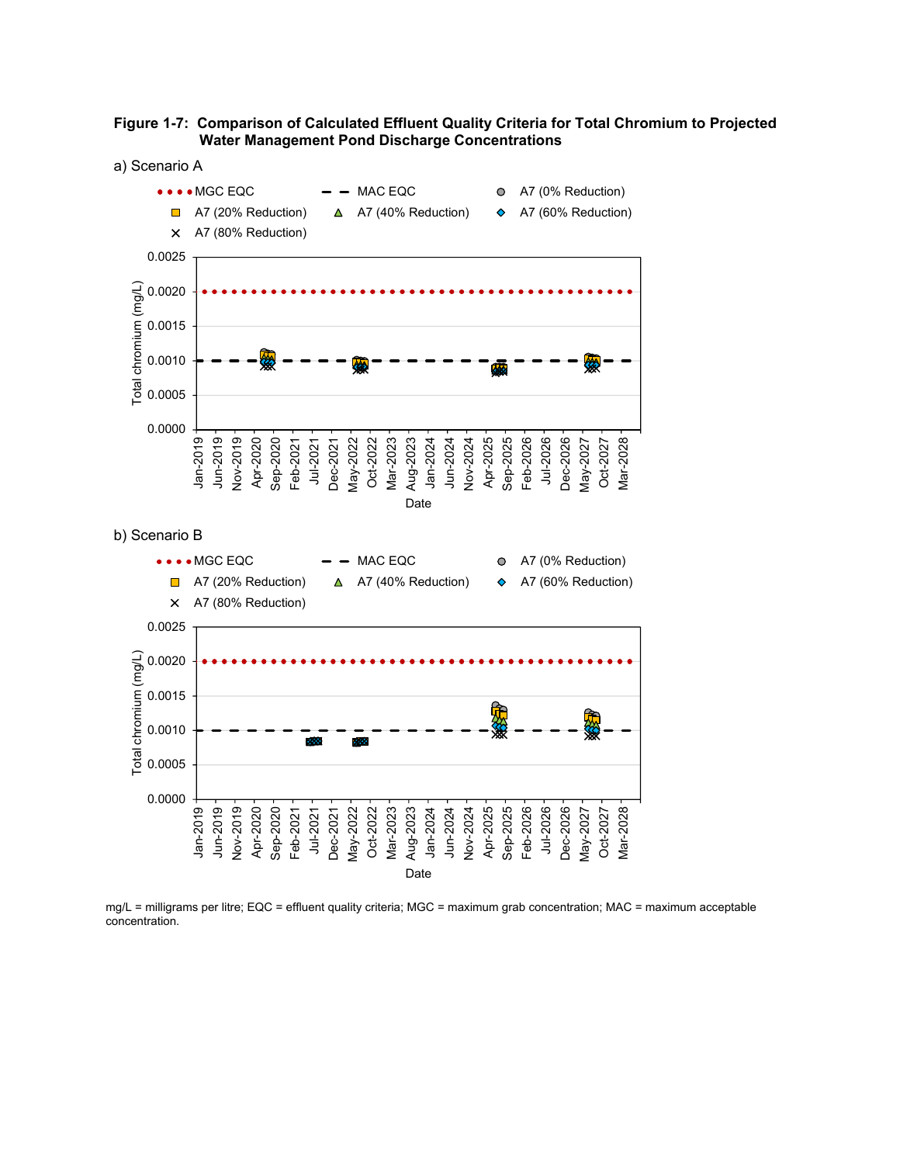



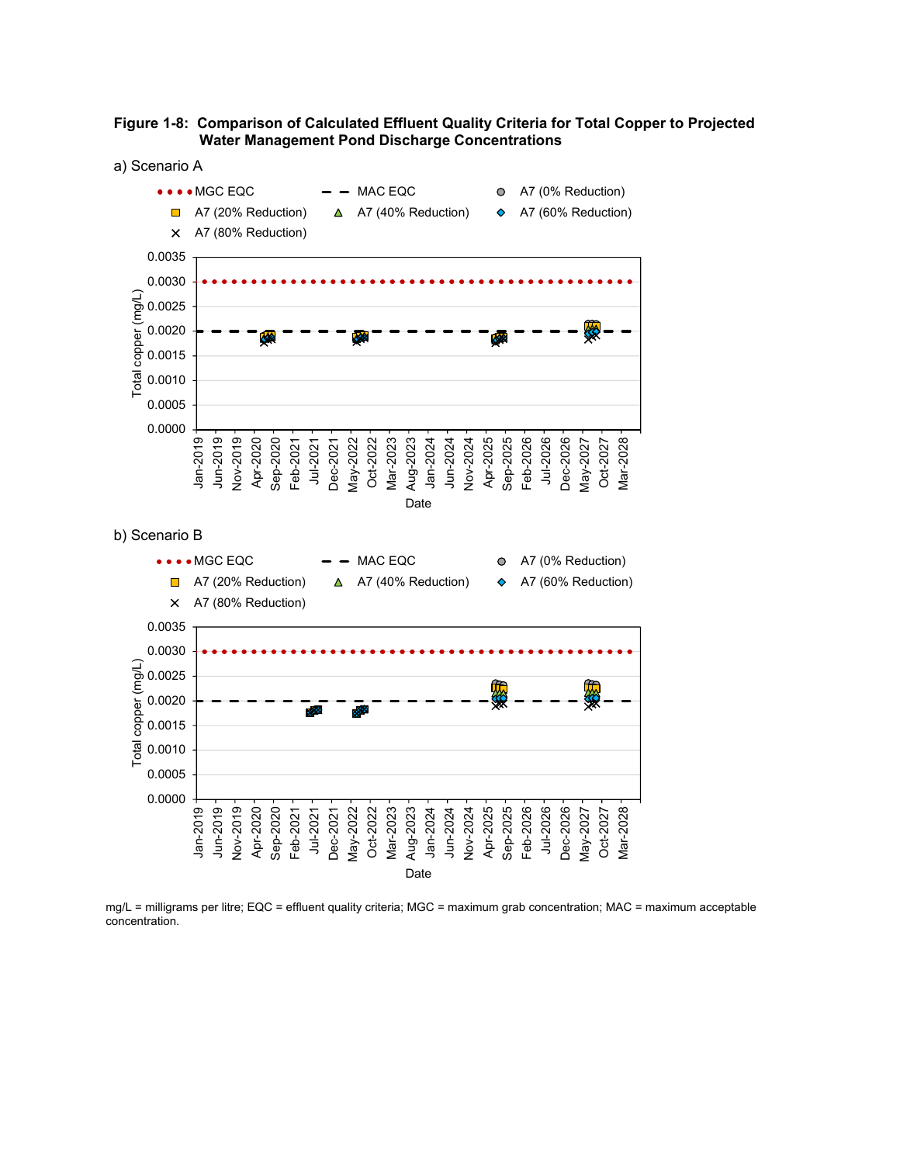



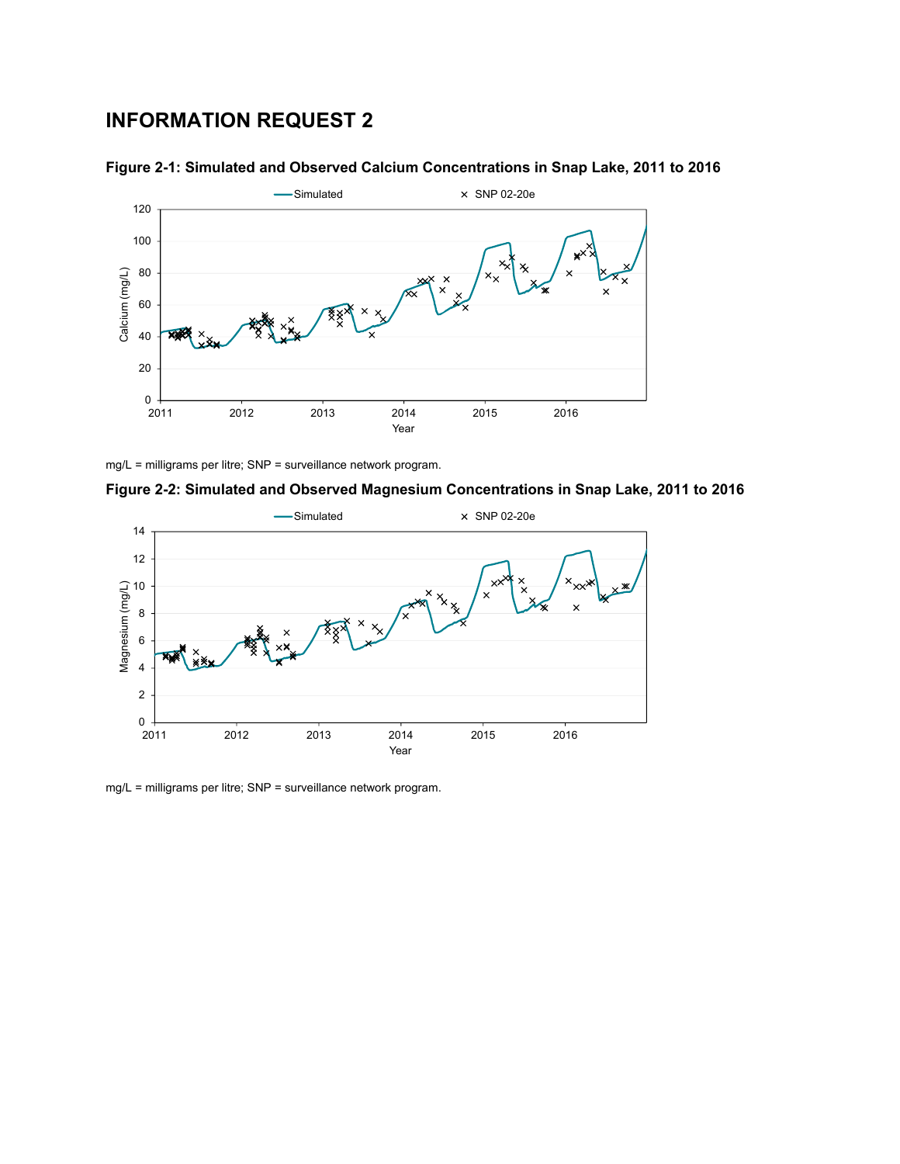# **INFORMATION REQUEST 2**





mg/L = milligrams per litre; SNP = surveillance network program.

**Figure 2-2: Simulated and Observed Magnesium Concentrations in Snap Lake, 2011 to 2016** 



mg/L = milligrams per litre; SNP = surveillance network program.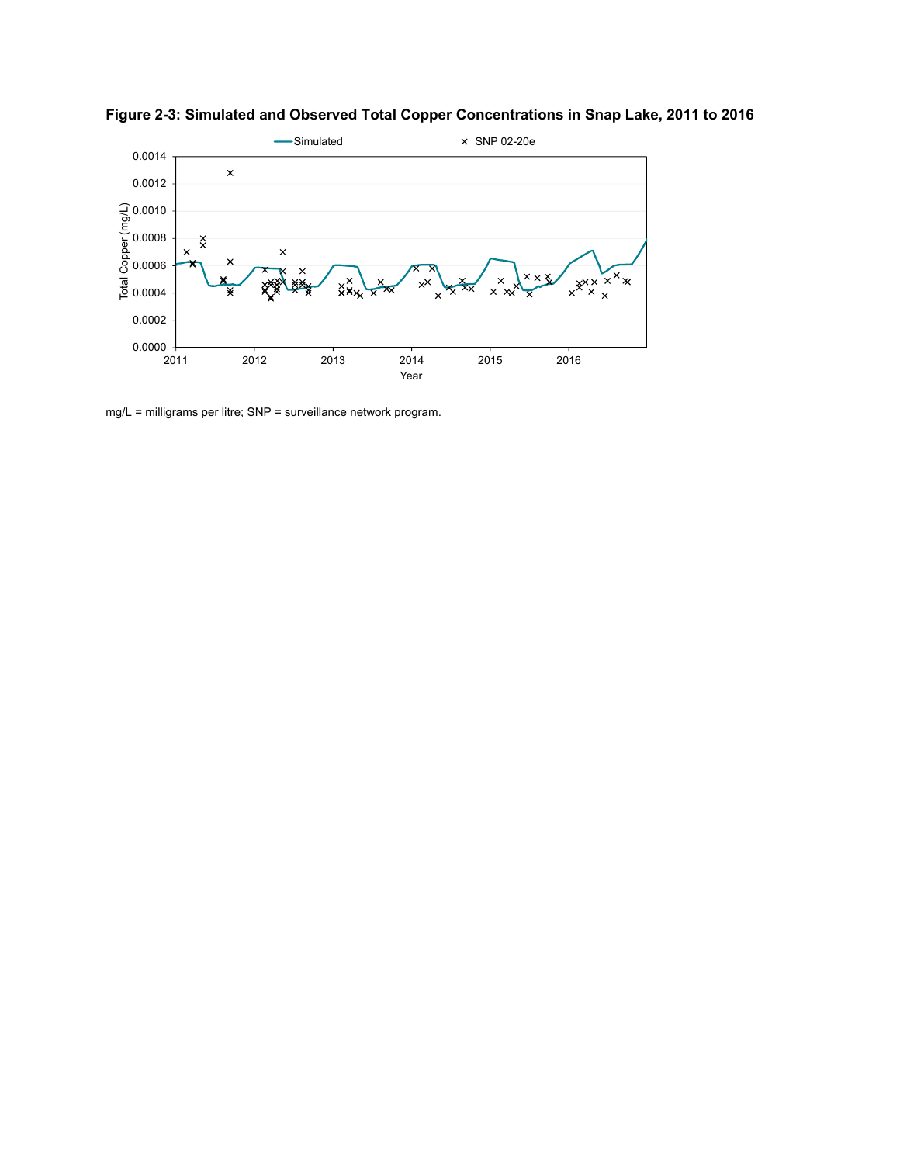

**Figure 2-3: Simulated and Observed Total Copper Concentrations in Snap Lake, 2011 to 2016** 

mg/L = milligrams per litre; SNP = surveillance network program.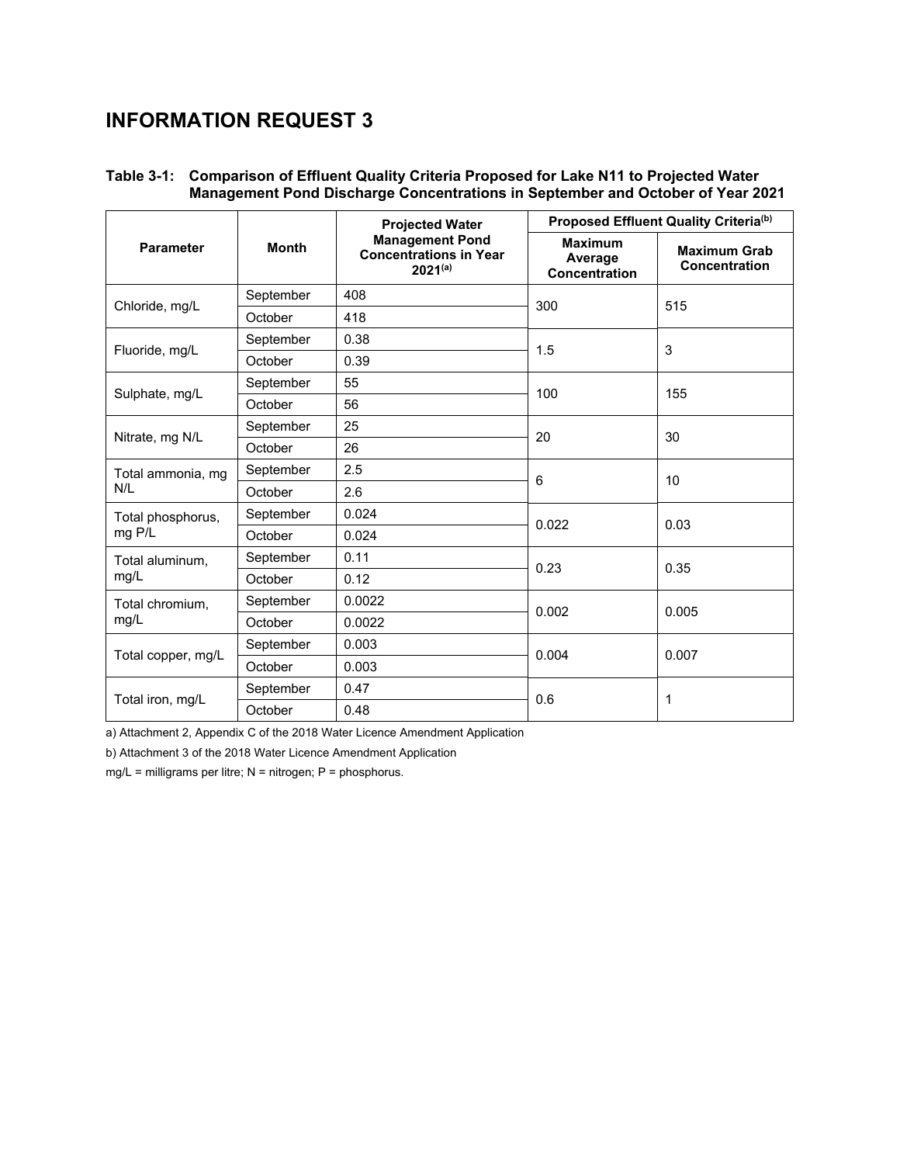# **INFORMATION REQUEST 3**

# **Table 3-1: Comparison of Effluent Quality Criteria Proposed for Lake N11 to Projected Water Management Pond Discharge Concentrations in September and October of Year 2021**

|                    |              | <b>Projected Water</b>                                                  | Proposed Effluent Quality Criteria(b)             |                                      |  |  |  |
|--------------------|--------------|-------------------------------------------------------------------------|---------------------------------------------------|--------------------------------------|--|--|--|
| <b>Parameter</b>   | <b>Month</b> | <b>Management Pond</b><br><b>Concentrations in Year</b><br>$2021^{(a)}$ | <b>Maximum</b><br>Average<br><b>Concentration</b> | <b>Maximum Grab</b><br>Concentration |  |  |  |
| Chloride, mg/L     | September    | 408                                                                     | 300                                               | 515                                  |  |  |  |
|                    | October      | 418                                                                     |                                                   |                                      |  |  |  |
|                    | September    | 0.38                                                                    | 1.5                                               | 3                                    |  |  |  |
| Fluoride, mg/L     | October      | 0.39                                                                    |                                                   |                                      |  |  |  |
|                    | September    | 55                                                                      | 100                                               | 155                                  |  |  |  |
| Sulphate, mg/L     | October      | 56                                                                      |                                                   |                                      |  |  |  |
|                    | September    | 25                                                                      | 20                                                | 30                                   |  |  |  |
| Nitrate, mg N/L    | October      | 26                                                                      |                                                   |                                      |  |  |  |
| Total ammonia, mg  | September    | 2.5                                                                     | 6                                                 | 10                                   |  |  |  |
| N/L                | October      | 2.6                                                                     |                                                   |                                      |  |  |  |
| Total phosphorus,  | September    | 0.024                                                                   | 0.022                                             | 0.03                                 |  |  |  |
| mg P/L             | October      | 0.024                                                                   |                                                   |                                      |  |  |  |
| Total aluminum,    | September    | 0.11                                                                    | 0.23                                              | 0.35                                 |  |  |  |
| mg/L               | October      | 0.12                                                                    |                                                   |                                      |  |  |  |
| Total chromium,    | September    | 0.0022                                                                  | 0.002                                             | 0.005                                |  |  |  |
| mg/L               | October      | 0.0022                                                                  |                                                   |                                      |  |  |  |
|                    | September    | 0.003                                                                   | 0.004                                             | 0.007                                |  |  |  |
| Total copper, mg/L | October      | 0.003                                                                   |                                                   |                                      |  |  |  |
|                    | September    | 0.47                                                                    | 0.6                                               | 1                                    |  |  |  |
| Total iron, mg/L   | October      | 0.48                                                                    |                                                   |                                      |  |  |  |

a) Attachment 2, Appendix C of the 2018 Water Licence Amendment Application

b) Attachment 3 of the 2018 Water Licence Amendment Application

mg/L = milligrams per litre; N = nitrogen; P = phosphorus.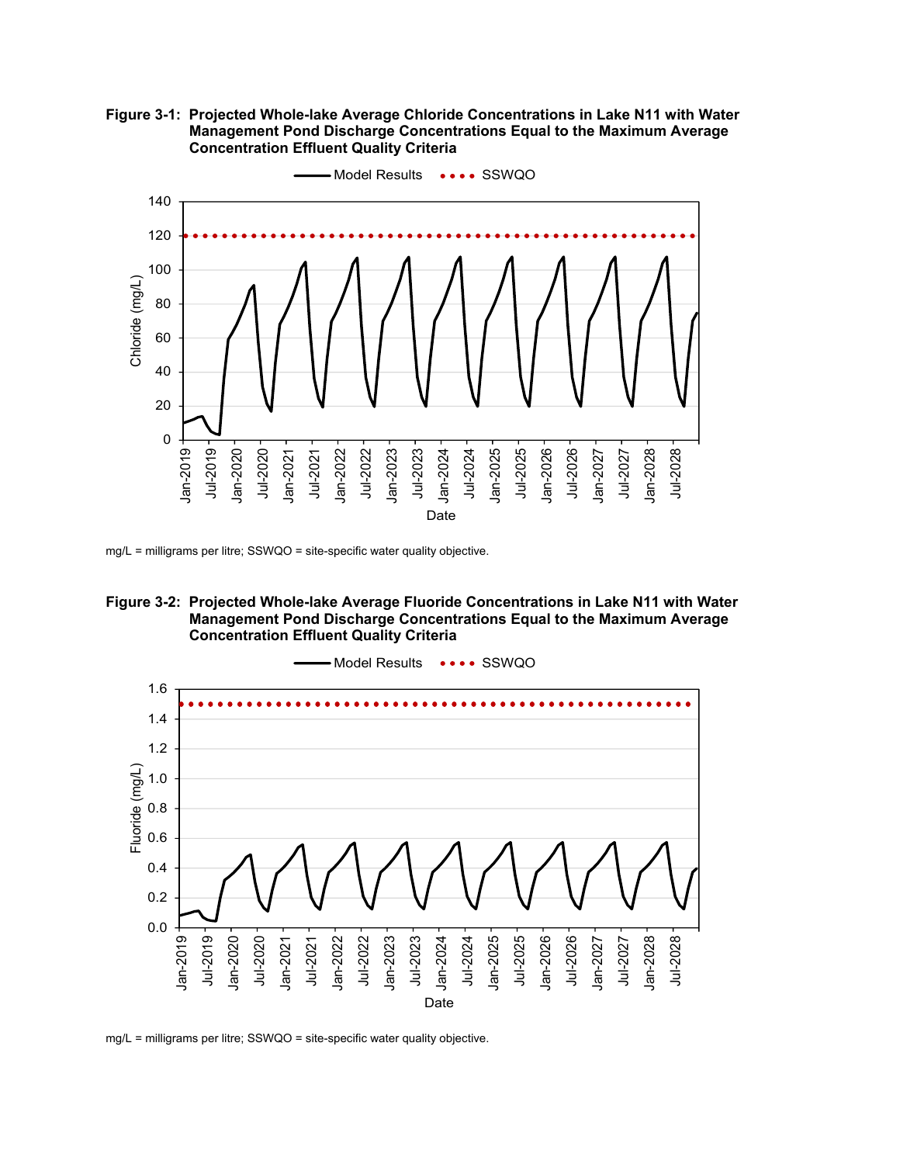**Figure 3-1: Projected Whole-lake Average Chloride Concentrations in Lake N11 with Water Management Pond Discharge Concentrations Equal to the Maximum Average Concentration Effluent Quality Criteria** 



mg/L = milligrams per litre; SSWQO = site-specific water quality objective.





mg/L = milligrams per litre; SSWQO = site-specific water quality objective.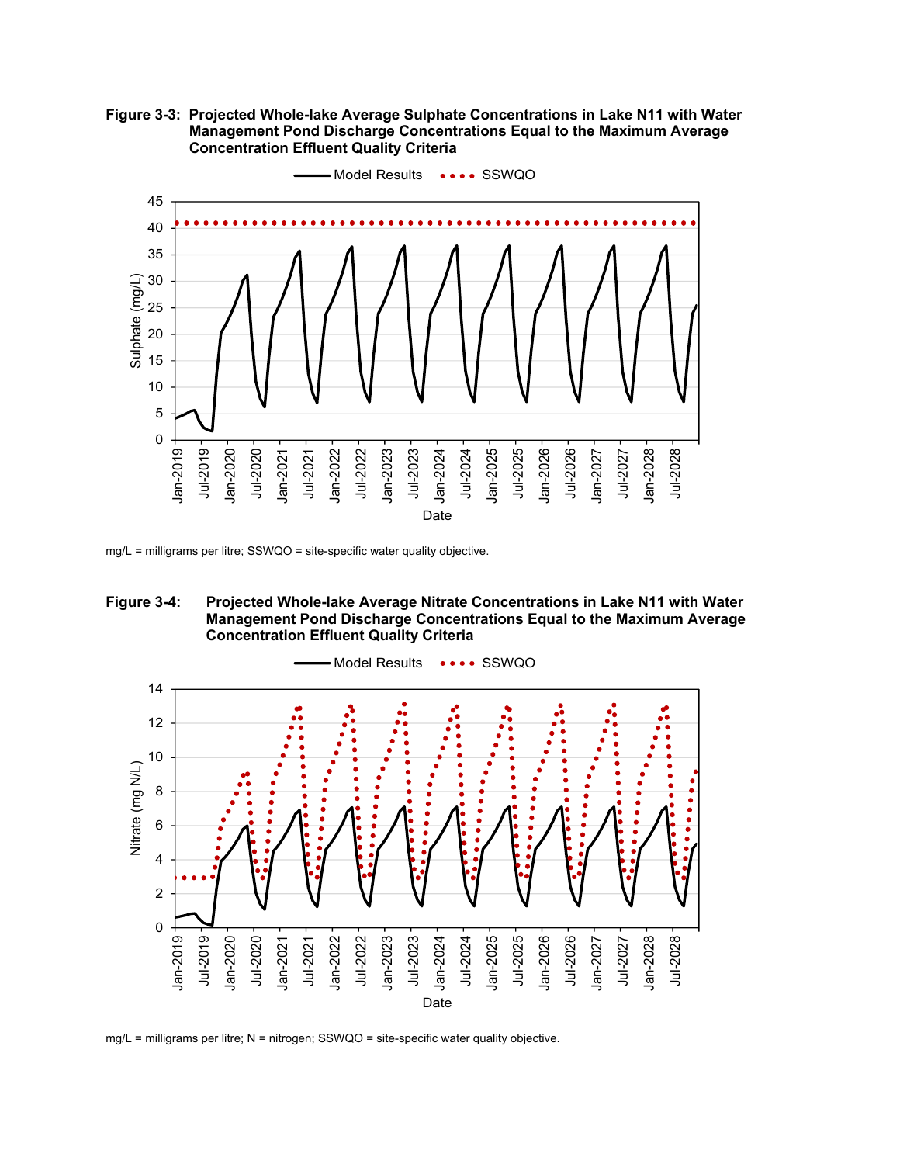**Figure 3-3: Projected Whole-lake Average Sulphate Concentrations in Lake N11 with Water Management Pond Discharge Concentrations Equal to the Maximum Average Concentration Effluent Quality Criteria** 



mg/L = milligrams per litre; SSWQO = site-specific water quality objective.





mg/L = milligrams per litre; N = nitrogen; SSWQO = site-specific water quality objective.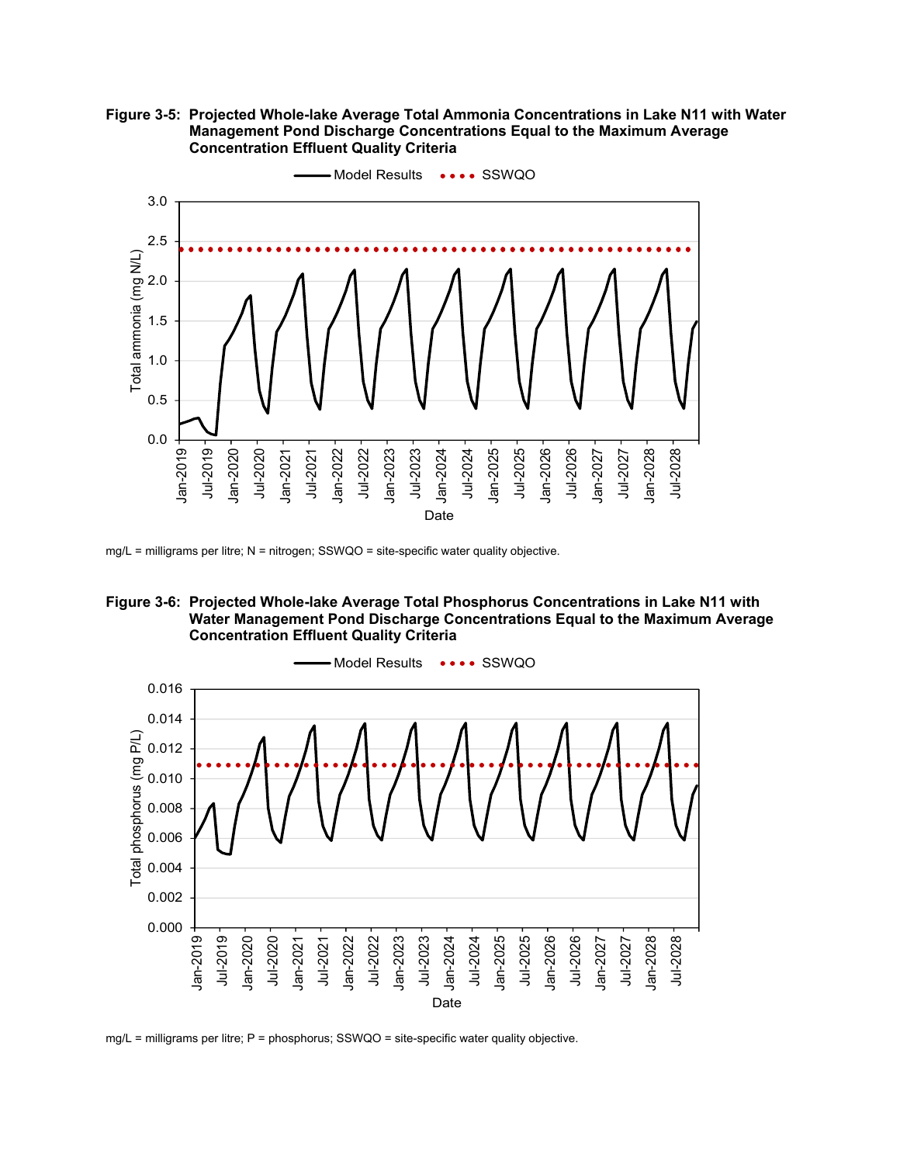**Figure 3-5: Projected Whole-lake Average Total Ammonia Concentrations in Lake N11 with Water Management Pond Discharge Concentrations Equal to the Maximum Average Concentration Effluent Quality Criteria** 



mg/L = milligrams per litre; N = nitrogen; SSWQO = site-specific water quality objective.





mg/L = milligrams per litre; P = phosphorus; SSWQO = site-specific water quality objective.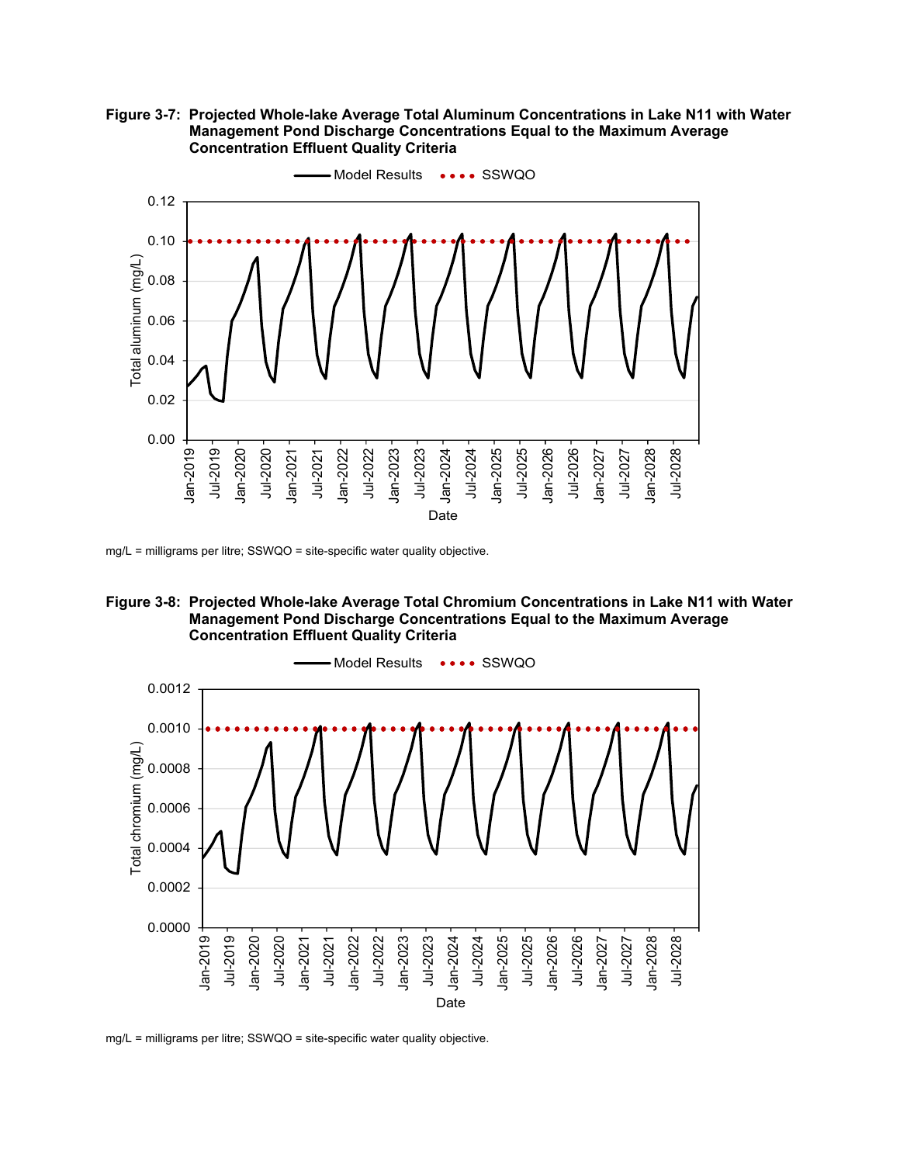**Figure 3-7: Projected Whole-lake Average Total Aluminum Concentrations in Lake N11 with Water Management Pond Discharge Concentrations Equal to the Maximum Average Concentration Effluent Quality Criteria** 



mg/L = milligrams per litre; SSWQO = site-specific water quality objective.





mg/L = milligrams per litre; SSWQO = site-specific water quality objective.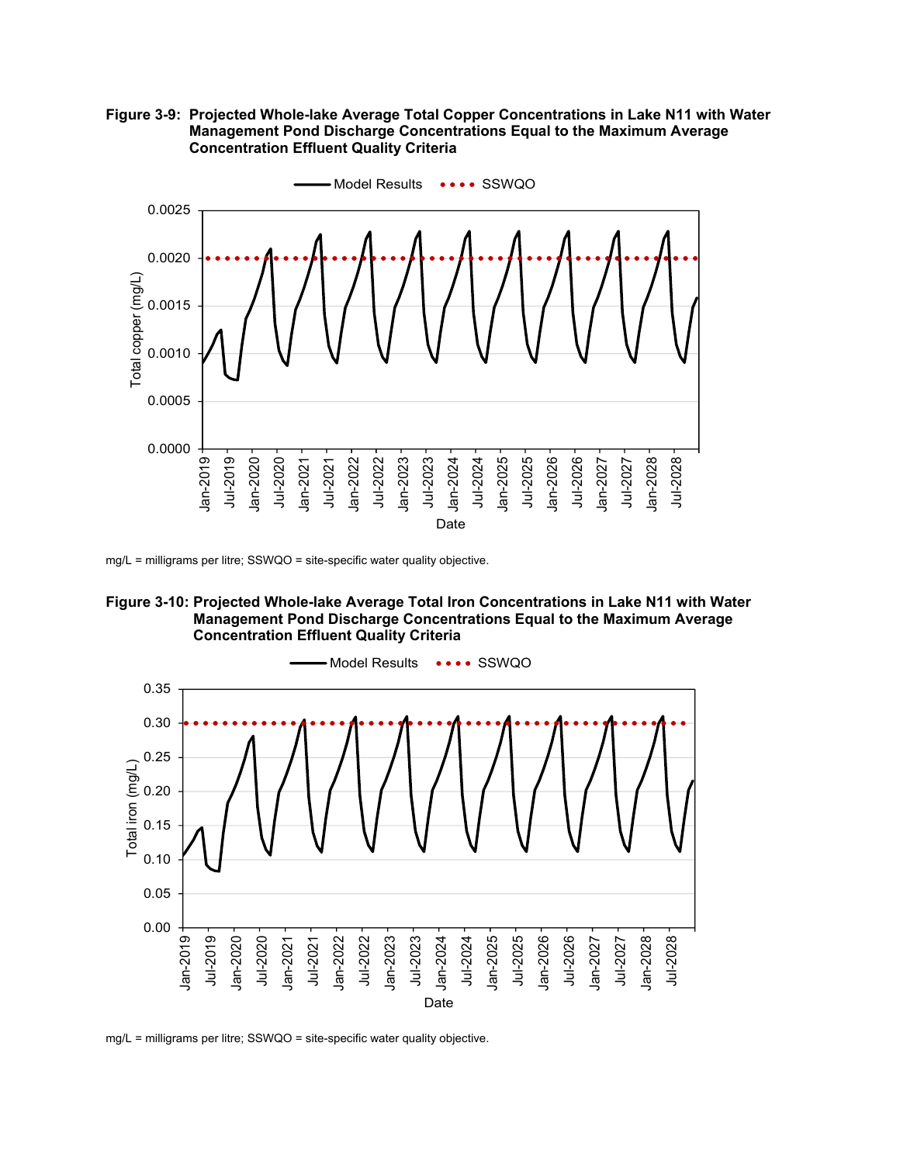**Figure 3-9: Projected Whole-lake Average Total Copper Concentrations in Lake N11 with Water Management Pond Discharge Concentrations Equal to the Maximum Average Concentration Effluent Quality Criteria** 



mg/L = milligrams per litre; SSWQO = site-specific water quality objective.





mg/L = milligrams per litre; SSWQO = site-specific water quality objective.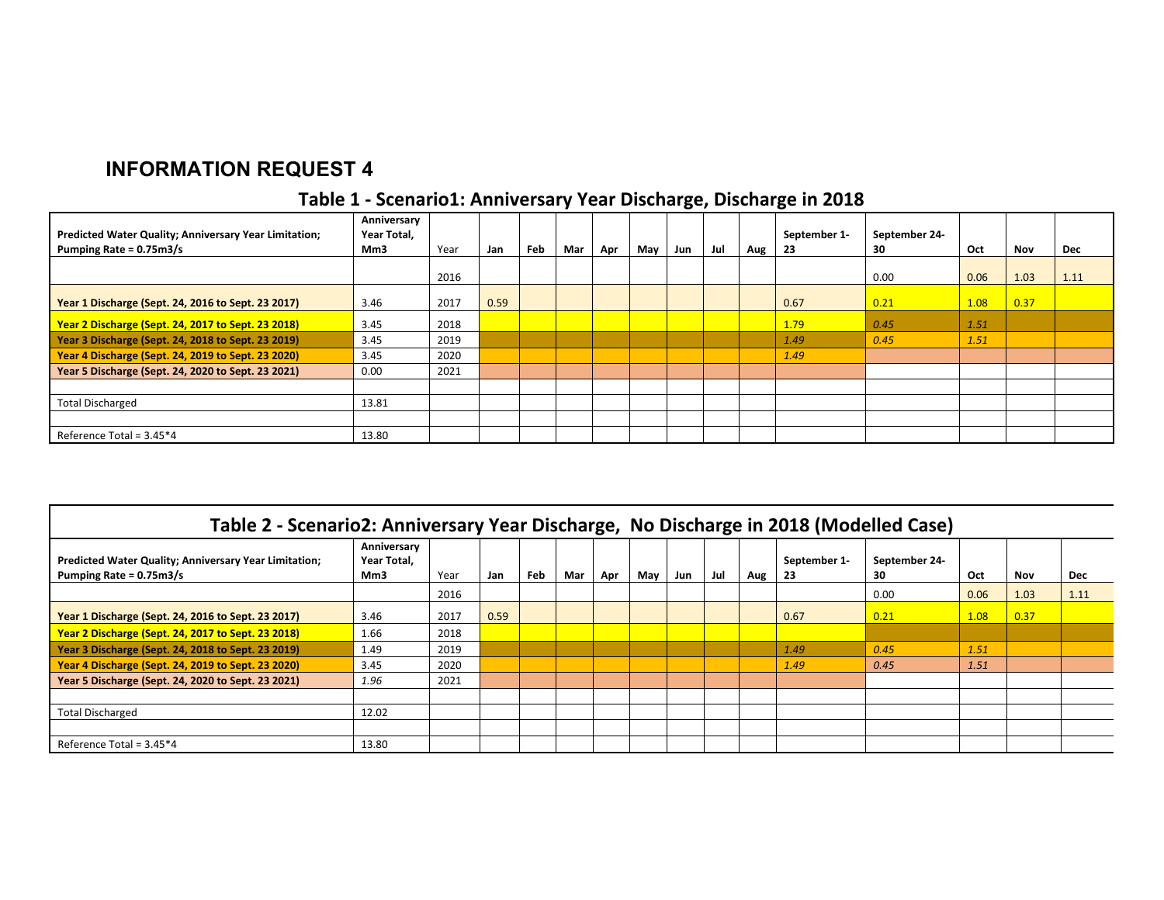# **INFORMATION REQUEST 4**

# **Table 1 ‐ Scenario1: Anniversary Year Discharge, Discharge in 2018**

| Predicted Water Quality; Anniversary Year Limitation;<br>Pumping Rate = 0.75m3/s | Anniversary<br>Year Total,<br>Mm3 | Year | Jan  | Feb | Mar | Apr | May | Jun | Jul | Aug | September 1-<br>-23 | September 24-<br>30 | Oct  | Nov  | Dec  |
|----------------------------------------------------------------------------------|-----------------------------------|------|------|-----|-----|-----|-----|-----|-----|-----|---------------------|---------------------|------|------|------|
|                                                                                  |                                   | 2016 |      |     |     |     |     |     |     |     |                     | 0.00                | 0.06 | 1.03 | 1.11 |
| Year 1 Discharge (Sept. 24, 2016 to Sept. 23 2017)                               | 3.46                              | 2017 | 0.59 |     |     |     |     |     |     |     | 0.67                | 0.21                | 1.08 | 0.37 |      |
| Year 2 Discharge (Sept. 24, 2017 to Sept. 23 2018)                               | 3.45                              | 2018 |      |     |     |     |     |     |     |     | 1.79                | 0.45                | 1.51 |      |      |
| Year 3 Discharge (Sept. 24, 2018 to Sept. 23 2019)                               | 3.45                              | 2019 |      |     |     |     |     |     |     |     | 1.49                | 0.45                | 1.51 |      |      |
| Year 4 Discharge (Sept. 24, 2019 to Sept. 23 2020)                               | 3.45                              | 2020 |      |     |     |     |     |     |     |     | 1.49                |                     |      |      |      |
| Year 5 Discharge (Sept. 24, 2020 to Sept. 23 2021)                               | 0.00                              | 2021 |      |     |     |     |     |     |     |     |                     |                     |      |      |      |
|                                                                                  |                                   |      |      |     |     |     |     |     |     |     |                     |                     |      |      |      |
| <b>Total Discharged</b>                                                          | 13.81                             |      |      |     |     |     |     |     |     |     |                     |                     |      |      |      |
|                                                                                  |                                   |      |      |     |     |     |     |     |     |     |                     |                     |      |      |      |
| Reference Total = $3.45*4$                                                       | 13.80                             |      |      |     |     |     |     |     |     |     |                     |                     |      |      |      |

| Table 2 - Scenario2: Anniversary Year Discharge, No Discharge in 2018 (Modelled Case)   |                                   |      |      |     |     |     |     |     |     |     |                    |                     |      |      |            |
|-----------------------------------------------------------------------------------------|-----------------------------------|------|------|-----|-----|-----|-----|-----|-----|-----|--------------------|---------------------|------|------|------------|
| <b>Predicted Water Quality; Anniversary Year Limitation;</b><br>Pumping Rate = 0.75m3/s | Anniversary<br>Year Total,<br>Mm3 | Year | Jan  | Feb | Mar | Apr | May | Jun | Jul | Aug | September 1-<br>23 | September 24-<br>30 | Oct  | Nov  | <b>Dec</b> |
|                                                                                         |                                   | 2016 |      |     |     |     |     |     |     |     |                    | 0.00                | 0.06 | 1.03 | 1.11       |
| Year 1 Discharge (Sept. 24, 2016 to Sept. 23 2017)                                      | 3.46                              | 2017 | 0.59 |     |     |     |     |     |     |     | 0.67               | 0.21                | 1.08 | 0.37 |            |
| Year 2 Discharge (Sept. 24, 2017 to Sept. 23 2018)                                      | 1.66                              | 2018 |      |     |     |     |     |     |     |     |                    |                     |      |      |            |
| Year 3 Discharge (Sept. 24, 2018 to Sept. 23 2019)                                      | 1.49                              | 2019 |      |     |     |     |     |     |     |     | 1.49               | 0.45                | 1.51 |      |            |
| Year 4 Discharge (Sept. 24, 2019 to Sept. 23 2020)                                      | 3.45                              | 2020 |      |     |     |     |     |     |     |     | 1.49               | 0.45                | 1.51 |      |            |
| Year 5 Discharge (Sept. 24, 2020 to Sept. 23 2021)                                      | 1.96                              | 2021 |      |     |     |     |     |     |     |     |                    |                     |      |      |            |
|                                                                                         |                                   |      |      |     |     |     |     |     |     |     |                    |                     |      |      |            |
| <b>Total Discharged</b>                                                                 | 12.02                             |      |      |     |     |     |     |     |     |     |                    |                     |      |      |            |
|                                                                                         |                                   |      |      |     |     |     |     |     |     |     |                    |                     |      |      |            |
| Reference Total = $3.45*4$                                                              | 13.80                             |      |      |     |     |     |     |     |     |     |                    |                     |      |      |            |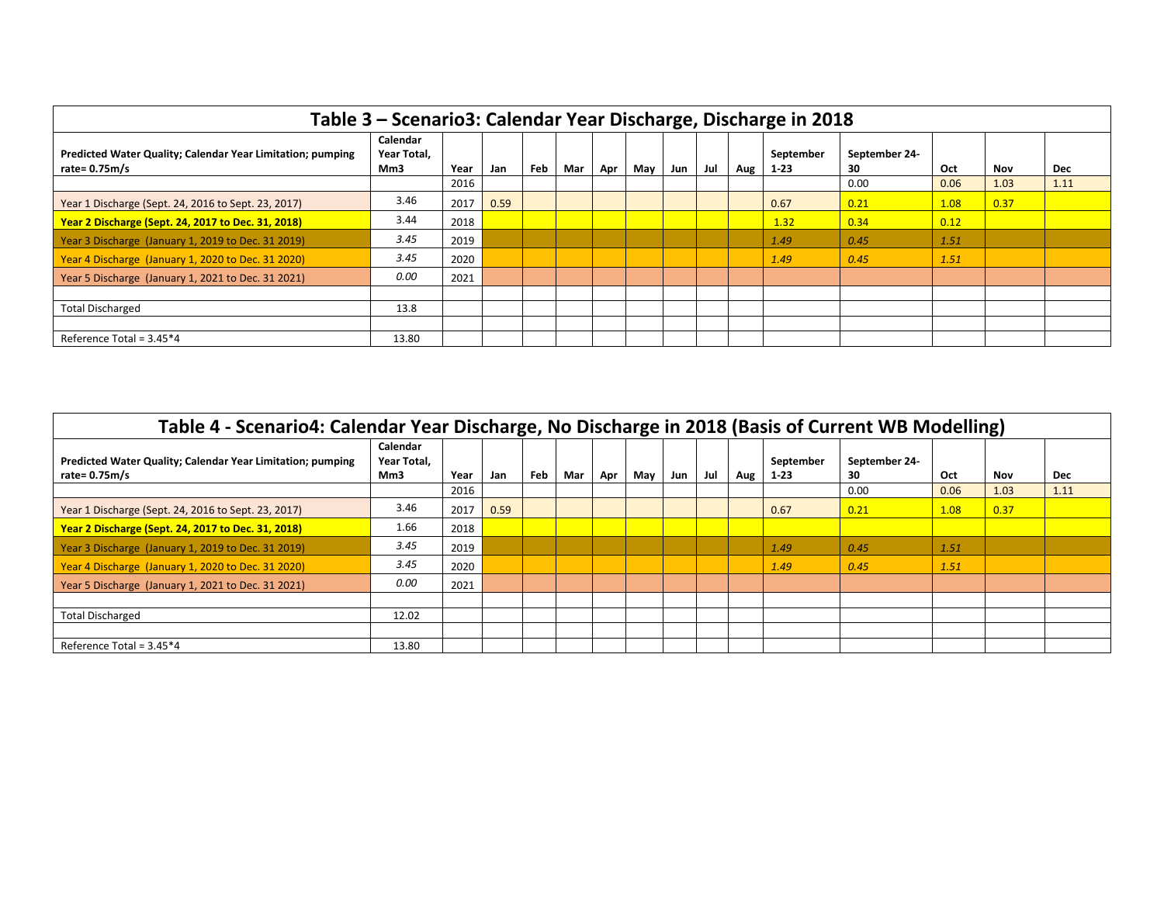| Table 3 - Scenario3: Calendar Year Discharge, Discharge in 2018               |                                |      |      |     |     |     |     |     |     |     |                     |                    |      |      |            |
|-------------------------------------------------------------------------------|--------------------------------|------|------|-----|-----|-----|-----|-----|-----|-----|---------------------|--------------------|------|------|------------|
| Predicted Water Quality; Calendar Year Limitation; pumping<br>rate= $0.75m/s$ | Calendar<br>Year Total.<br>Mm3 | Year | Jan  | Feb | Mar | Apr | May | Jun | Jul | Aug | September<br>$1-23$ | September 24<br>30 | Oct  | Nov  | <b>Dec</b> |
|                                                                               |                                | 2016 |      |     |     |     |     |     |     |     |                     | 0.00               | 0.06 | 1.03 | 1.11       |
| Year 1 Discharge (Sept. 24, 2016 to Sept. 23, 2017)                           | 3.46                           | 2017 | 0.59 |     |     |     |     |     |     |     | 0.67                | 0.21               | 1.08 | 0.37 |            |
| Year 2 Discharge (Sept. 24, 2017 to Dec. 31, 2018)                            | 3.44                           | 2018 |      |     |     |     |     |     |     |     | 1.32                | 0.34               | 0.12 |      |            |
| Year 3 Discharge (January 1, 2019 to Dec. 31 2019)                            | 3.45                           | 2019 |      |     |     |     |     |     |     |     | 1.49                | 0.45               | 1.51 |      |            |
| Year 4 Discharge (January 1, 2020 to Dec. 31 2020)                            | 3.45                           | 2020 |      |     |     |     |     |     |     |     | 1.49                | 0.45               | 1.51 |      |            |
| Year 5 Discharge (January 1, 2021 to Dec. 31 2021)                            | 0.00                           | 2021 |      |     |     |     |     |     |     |     |                     |                    |      |      |            |
|                                                                               |                                |      |      |     |     |     |     |     |     |     |                     |                    |      |      |            |
| <b>Total Discharged</b>                                                       | 13.8                           |      |      |     |     |     |     |     |     |     |                     |                    |      |      |            |
|                                                                               |                                |      |      |     |     |     |     |     |     |     |                     |                    |      |      |            |
| Reference Total = 3.45*4                                                      | 13.80                          |      |      |     |     |     |     |     |     |     |                     |                    |      |      |            |

| Table 4 - Scenario4: Calendar Year Discharge, No Discharge in 2018 (Basis of Current WB Modelling) |                                |      |      |     |     |     |     |     |     |     |                     |                     |      |      |            |
|----------------------------------------------------------------------------------------------------|--------------------------------|------|------|-----|-----|-----|-----|-----|-----|-----|---------------------|---------------------|------|------|------------|
| Predicted Water Quality; Calendar Year Limitation; pumping<br>rate= 0.75m/s                        | Calendar<br>Year Total,<br>Mm3 | Year | Jan  | Feb | Mar | Apr | May | Jun | Jul | Aug | September<br>$1-23$ | September 24-<br>30 | Oct  | Nov  | <b>Dec</b> |
|                                                                                                    |                                | 2016 |      |     |     |     |     |     |     |     |                     | 0.00                | 0.06 | 1.03 | 1.11       |
| Year 1 Discharge (Sept. 24, 2016 to Sept. 23, 2017)                                                | 3.46                           | 2017 | 0.59 |     |     |     |     |     |     |     | 0.67                | 0.21                | 1.08 | 0.37 |            |
| Year 2 Discharge (Sept. 24, 2017 to Dec. 31, 2018)                                                 | 1.66                           | 2018 |      |     |     |     |     |     |     |     |                     |                     |      |      |            |
| Year 3 Discharge (January 1, 2019 to Dec. 31 2019)                                                 | 3.45                           | 2019 |      |     |     |     |     |     |     |     | 1.49                | 0.45                | 1.51 |      |            |
| Year 4 Discharge (January 1, 2020 to Dec. 31 2020)                                                 | 3.45                           | 2020 |      |     |     |     |     |     |     |     | 1.49                | 0.45                | 1.51 |      |            |
| Year 5 Discharge (January 1, 2021 to Dec. 31 2021)                                                 | 0.00                           | 2021 |      |     |     |     |     |     |     |     |                     |                     |      |      |            |
|                                                                                                    |                                |      |      |     |     |     |     |     |     |     |                     |                     |      |      |            |
| <b>Total Discharged</b>                                                                            | 12.02                          |      |      |     |     |     |     |     |     |     |                     |                     |      |      |            |
|                                                                                                    |                                |      |      |     |     |     |     |     |     |     |                     |                     |      |      |            |
| Reference Total = $3.45*4$                                                                         | 13.80                          |      |      |     |     |     |     |     |     |     |                     |                     |      |      |            |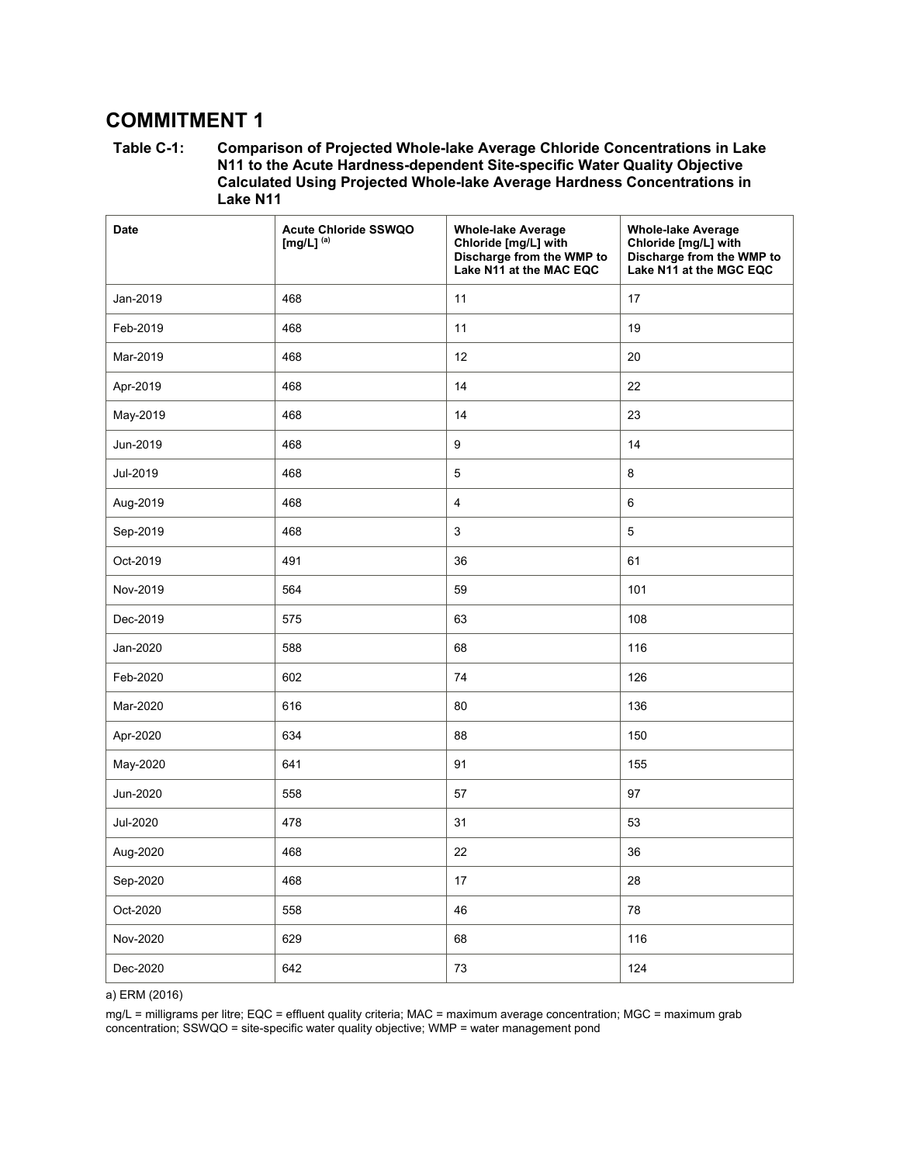# **COMMITMENT 1**

**Table C-1: Comparison of Projected Whole-lake Average Chloride Concentrations in Lake N11 to the Acute Hardness-dependent Site-specific Water Quality Objective Calculated Using Projected Whole-lake Average Hardness Concentrations in Lake N11** 

| <b>Date</b> | <b>Acute Chloride SSWQO</b><br>[mg/L] $(a)$ | <b>Whole-lake Average</b><br>Chloride [mg/L] with<br>Discharge from the WMP to<br>Lake N11 at the MAC EQC | <b>Whole-lake Average</b><br>Chloride [mg/L] with<br>Discharge from the WMP to<br>Lake N11 at the MGC EQC |
|-------------|---------------------------------------------|-----------------------------------------------------------------------------------------------------------|-----------------------------------------------------------------------------------------------------------|
| Jan-2019    | 468                                         | 11                                                                                                        | 17                                                                                                        |
| Feb-2019    | 468                                         | 11                                                                                                        | 19                                                                                                        |
| Mar-2019    | 468                                         | 12                                                                                                        | 20                                                                                                        |
| Apr-2019    | 468                                         | 14                                                                                                        | 22                                                                                                        |
| May-2019    | 468                                         | 14                                                                                                        | 23                                                                                                        |
| Jun-2019    | 468                                         | 9                                                                                                         | 14                                                                                                        |
| Jul-2019    | 468                                         | 5                                                                                                         | 8                                                                                                         |
| Aug-2019    | 468                                         | $\overline{4}$                                                                                            | $6\phantom{1}$                                                                                            |
| Sep-2019    | 468                                         | 3                                                                                                         | $\,$ 5 $\,$                                                                                               |
| Oct-2019    | 491                                         | 36                                                                                                        | 61                                                                                                        |
| Nov-2019    | 564                                         | 59                                                                                                        | 101                                                                                                       |
| Dec-2019    | 575                                         | 63                                                                                                        | 108                                                                                                       |
| Jan-2020    | 588                                         | 68                                                                                                        | 116                                                                                                       |
| Feb-2020    | 602                                         | 74                                                                                                        | 126                                                                                                       |
| Mar-2020    | 616                                         | 80                                                                                                        | 136                                                                                                       |
| Apr-2020    | 634                                         | 88                                                                                                        | 150                                                                                                       |
| May-2020    | 641                                         | 91                                                                                                        | 155                                                                                                       |
| Jun-2020    | 558                                         | 57                                                                                                        | 97                                                                                                        |
| Jul-2020    | 478                                         | 31                                                                                                        | 53                                                                                                        |
| Aug-2020    | 468                                         | 22                                                                                                        | 36                                                                                                        |
| Sep-2020    | 468                                         | 17                                                                                                        | 28                                                                                                        |
| Oct-2020    | 558                                         | 46                                                                                                        | 78                                                                                                        |
| Nov-2020    | 629                                         | 68                                                                                                        | 116                                                                                                       |
| Dec-2020    | 642                                         | 73                                                                                                        | 124                                                                                                       |

a) ERM (2016)

mg/L = milligrams per litre; EQC = effluent quality criteria; MAC = maximum average concentration; MGC = maximum grab concentration; SSWQO = site-specific water quality objective; WMP = water management pond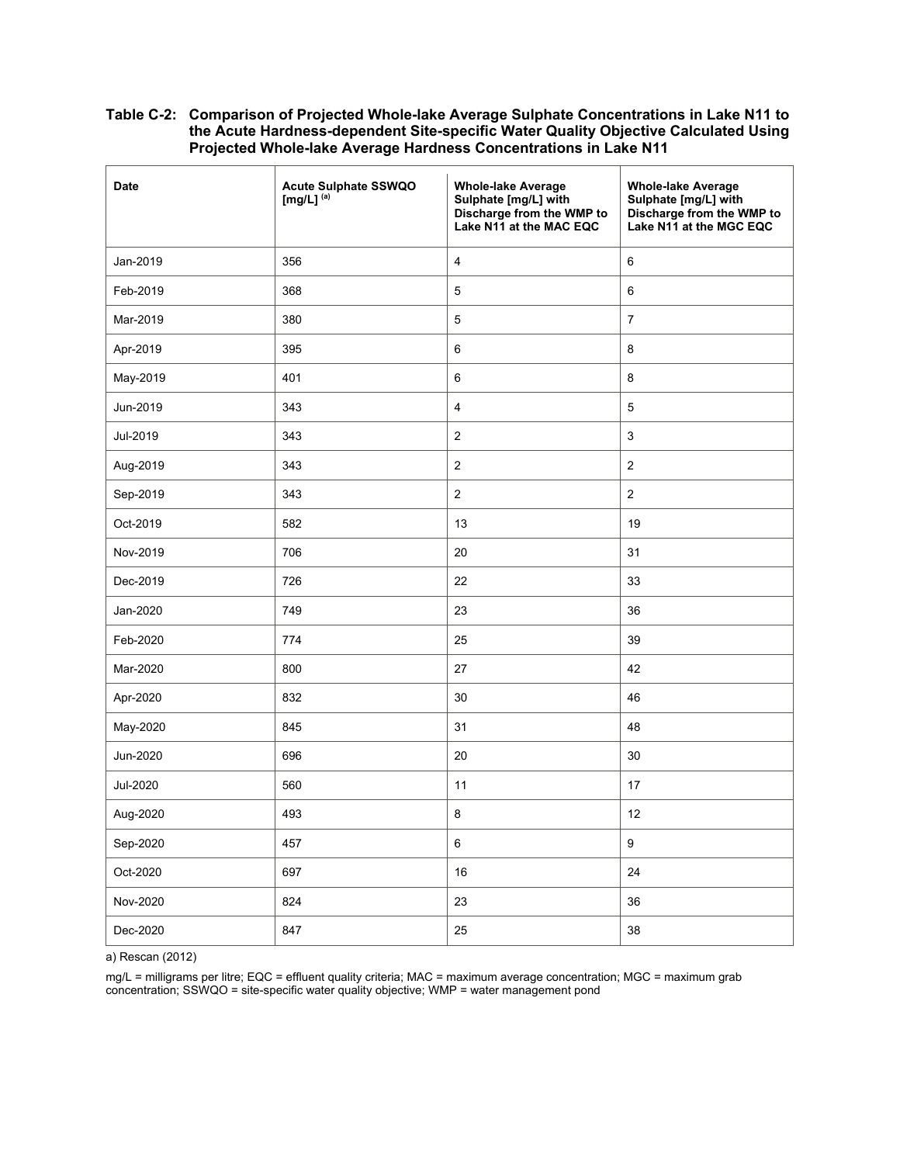| <b>Date</b> | <b>Acute Sulphate SSWQO</b><br>[mg/L] $^{(a)}$ | <b>Whole-lake Average</b><br>Sulphate [mg/L] with<br>Discharge from the WMP to<br>Lake N11 at the MAC EQC | <b>Whole-lake Average</b><br>Sulphate [mg/L] with<br>Discharge from the WMP to<br>Lake N11 at the MGC EQC |
|-------------|------------------------------------------------|-----------------------------------------------------------------------------------------------------------|-----------------------------------------------------------------------------------------------------------|
| Jan-2019    | 356                                            | $\overline{4}$                                                                                            | 6                                                                                                         |
| Feb-2019    | 368                                            | 5                                                                                                         | 6                                                                                                         |
| Mar-2019    | 380                                            | 5                                                                                                         | $\overline{7}$                                                                                            |
| Apr-2019    | 395                                            | $\,6\,$                                                                                                   | 8                                                                                                         |
| May-2019    | 401                                            | $\,6\,$                                                                                                   | 8                                                                                                         |
| Jun-2019    | 343                                            | $\overline{4}$                                                                                            | 5                                                                                                         |
| Jul-2019    | 343                                            | $\sqrt{2}$                                                                                                | $\mathsf 3$                                                                                               |
| Aug-2019    | 343                                            | $\overline{c}$                                                                                            | $\overline{2}$                                                                                            |
| Sep-2019    | 343                                            | $\overline{c}$                                                                                            | $\overline{2}$                                                                                            |
| Oct-2019    | 582                                            | 13                                                                                                        | 19                                                                                                        |
| Nov-2019    | 706                                            | 20                                                                                                        | 31                                                                                                        |
| Dec-2019    | 726                                            | 22                                                                                                        | 33                                                                                                        |
| Jan-2020    | 749                                            | 23                                                                                                        | 36                                                                                                        |
| Feb-2020    | 774                                            | 25                                                                                                        | 39                                                                                                        |
| Mar-2020    | 800                                            | 27                                                                                                        | 42                                                                                                        |
| Apr-2020    | 832                                            | 30                                                                                                        | 46                                                                                                        |
| May-2020    | 845                                            | 31                                                                                                        | 48                                                                                                        |
| Jun-2020    | 696                                            | 20                                                                                                        | 30                                                                                                        |
| Jul-2020    | 560                                            | 11                                                                                                        | 17                                                                                                        |
| Aug-2020    | 493                                            | $\bf 8$                                                                                                   | 12                                                                                                        |
| Sep-2020    | 457                                            | 6                                                                                                         | $\boldsymbol{9}$                                                                                          |
| Oct-2020    | 697                                            | 16                                                                                                        | 24                                                                                                        |
| Nov-2020    | 824                                            | 23                                                                                                        | 36                                                                                                        |
| Dec-2020    | 847                                            | 25                                                                                                        | 38                                                                                                        |

a) Rescan (2012)

mg/L = milligrams per litre; EQC = effluent quality criteria; MAC = maximum average concentration; MGC = maximum grab concentration; SSWQO = site-specific water quality objective; WMP = water management pond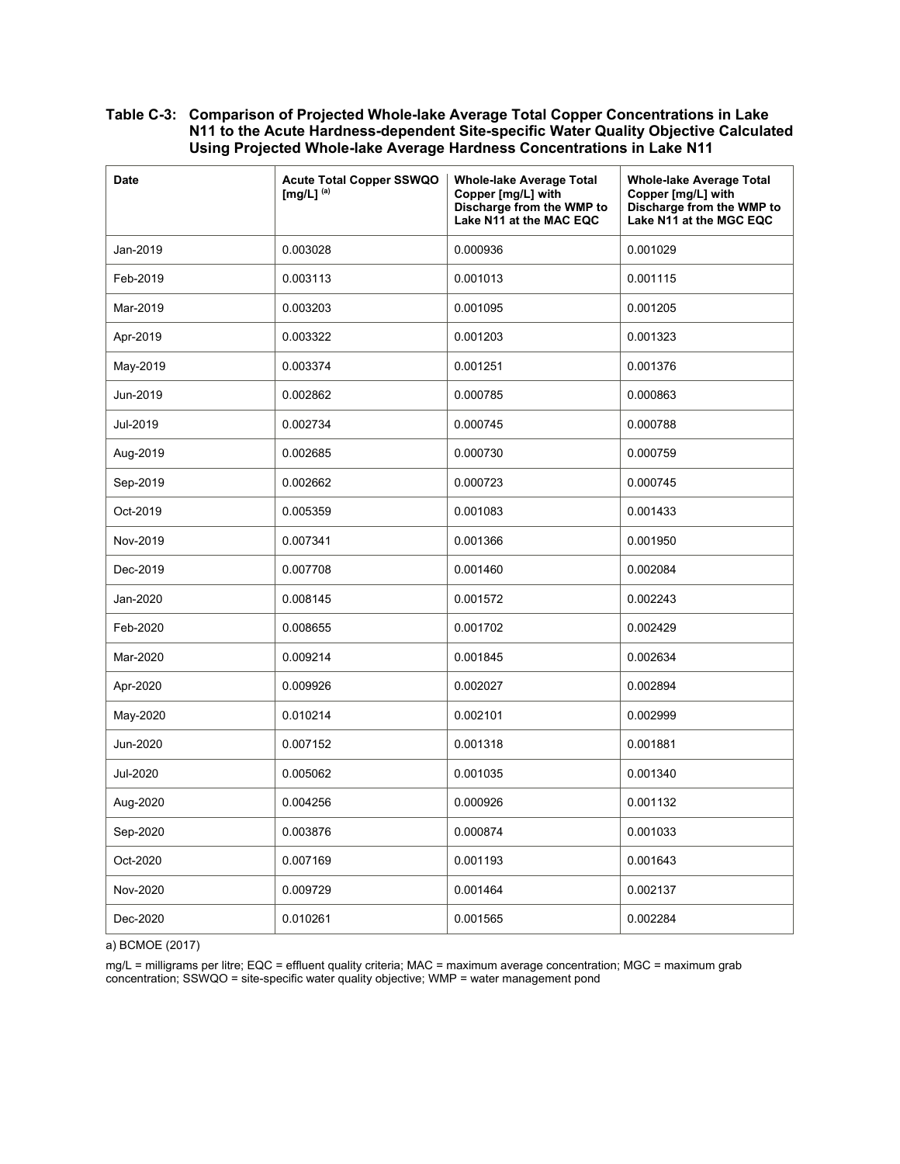| <b>Date</b> | <b>Acute Total Copper SSWQO</b><br>[mg/L] $^{(a)}$ | <b>Whole-lake Average Total</b><br>Copper [mg/L] with<br>Discharge from the WMP to<br>Lake N11 at the MAC EQC | <b>Whole-lake Average Total</b><br>Copper [mg/L] with<br>Discharge from the WMP to<br>Lake N11 at the MGC EQC |
|-------------|----------------------------------------------------|---------------------------------------------------------------------------------------------------------------|---------------------------------------------------------------------------------------------------------------|
| Jan-2019    | 0.003028                                           | 0.000936                                                                                                      | 0.001029                                                                                                      |
| Feb-2019    | 0.003113                                           | 0.001013                                                                                                      | 0.001115                                                                                                      |
| Mar-2019    | 0.003203                                           | 0.001095                                                                                                      | 0.001205                                                                                                      |
| Apr-2019    | 0.003322                                           | 0.001203                                                                                                      | 0.001323                                                                                                      |
| May-2019    | 0.003374                                           | 0.001251                                                                                                      | 0.001376                                                                                                      |
| Jun-2019    | 0.002862                                           | 0.000785                                                                                                      | 0.000863                                                                                                      |
| Jul-2019    | 0.002734                                           | 0.000745                                                                                                      | 0.000788                                                                                                      |
| Aug-2019    | 0.002685                                           | 0.000730                                                                                                      | 0.000759                                                                                                      |
| Sep-2019    | 0.002662                                           | 0.000723                                                                                                      | 0.000745                                                                                                      |
| Oct-2019    | 0.005359                                           | 0.001083                                                                                                      | 0.001433                                                                                                      |
| Nov-2019    | 0.007341                                           | 0.001366                                                                                                      | 0.001950                                                                                                      |
| Dec-2019    | 0.007708                                           | 0.001460                                                                                                      | 0.002084                                                                                                      |
| Jan-2020    | 0.008145                                           | 0.001572                                                                                                      | 0.002243                                                                                                      |
| Feb-2020    | 0.008655                                           | 0.001702                                                                                                      | 0.002429                                                                                                      |
| Mar-2020    | 0.009214                                           | 0.001845                                                                                                      | 0.002634                                                                                                      |
| Apr-2020    | 0.009926                                           | 0.002027                                                                                                      | 0.002894                                                                                                      |
| May-2020    | 0.010214                                           | 0.002101                                                                                                      | 0.002999                                                                                                      |
| Jun-2020    | 0.007152                                           | 0.001318                                                                                                      | 0.001881                                                                                                      |
| Jul-2020    | 0.005062                                           | 0.001035                                                                                                      | 0.001340                                                                                                      |
| Aug-2020    | 0.004256                                           | 0.000926                                                                                                      | 0.001132                                                                                                      |
| Sep-2020    | 0.003876                                           | 0.000874                                                                                                      | 0.001033                                                                                                      |
| Oct-2020    | 0.007169                                           | 0.001193                                                                                                      | 0.001643                                                                                                      |
| Nov-2020    | 0.009729                                           | 0.001464                                                                                                      | 0.002137                                                                                                      |
| Dec-2020    | 0.010261                                           | 0.001565                                                                                                      | 0.002284                                                                                                      |

a) BCMOE (2017)

mg/L = milligrams per litre; EQC = effluent quality criteria; MAC = maximum average concentration; MGC = maximum grab concentration; SSWQO = site-specific water quality objective; WMP = water management pond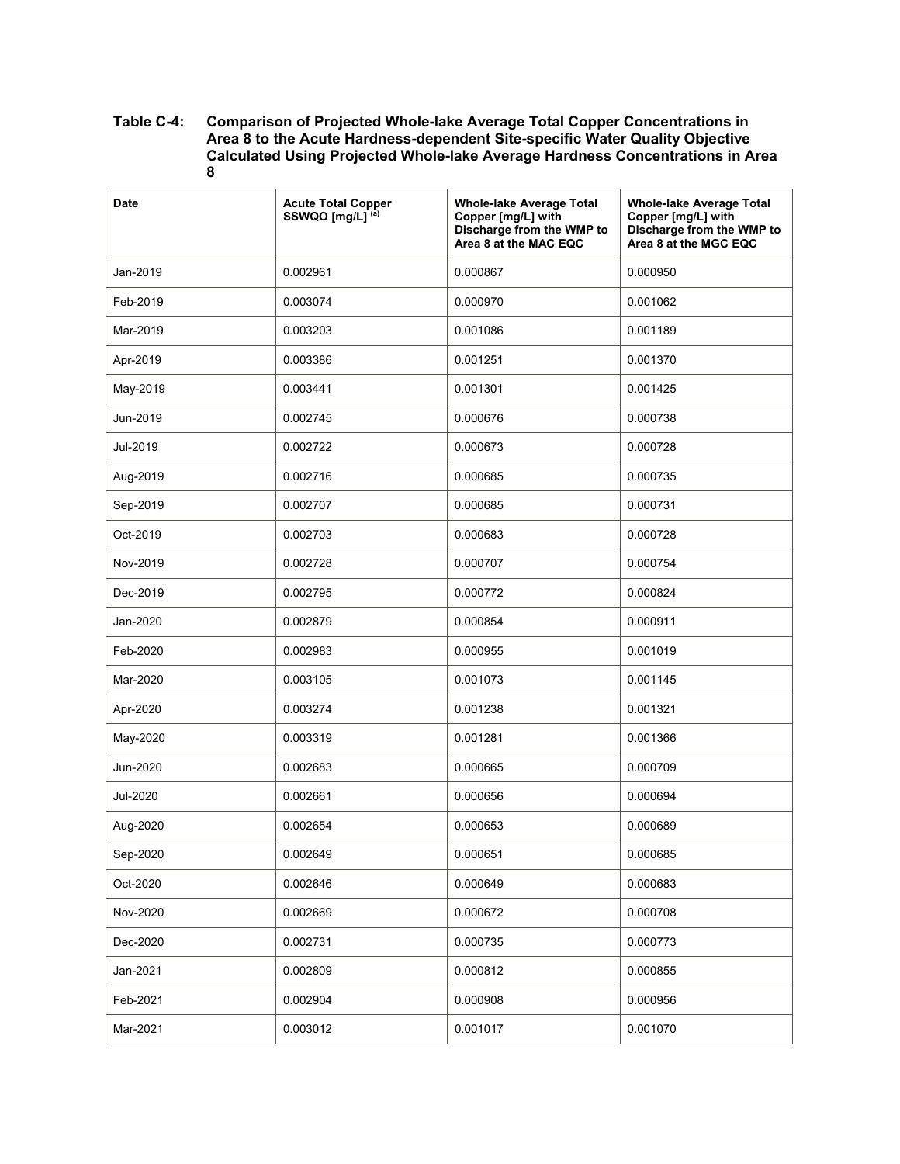| <b>Date</b> | <b>Acute Total Copper</b><br>SSWQO [mg/L] <sup>(a)</sup> | <b>Whole-lake Average Total</b><br>Copper [mg/L] with<br>Discharge from the WMP to<br>Area 8 at the MAC EQC | <b>Whole-lake Average Total</b><br>Copper [mg/L] with<br>Discharge from the WMP to<br>Area 8 at the MGC EQC |
|-------------|----------------------------------------------------------|-------------------------------------------------------------------------------------------------------------|-------------------------------------------------------------------------------------------------------------|
| Jan-2019    | 0.002961                                                 | 0.000867                                                                                                    | 0.000950                                                                                                    |
| Feb-2019    | 0.003074                                                 | 0.000970                                                                                                    | 0.001062                                                                                                    |
| Mar-2019    | 0.003203                                                 | 0.001086                                                                                                    | 0.001189                                                                                                    |
| Apr-2019    | 0.003386                                                 | 0.001251                                                                                                    | 0.001370                                                                                                    |
| May-2019    | 0.003441                                                 | 0.001301                                                                                                    | 0.001425                                                                                                    |
| Jun-2019    | 0.002745                                                 | 0.000676                                                                                                    | 0.000738                                                                                                    |
| Jul-2019    | 0.002722                                                 | 0.000673                                                                                                    | 0.000728                                                                                                    |
| Aug-2019    | 0.002716                                                 | 0.000685                                                                                                    | 0.000735                                                                                                    |
| Sep-2019    | 0.002707                                                 | 0.000685                                                                                                    | 0.000731                                                                                                    |
| Oct-2019    | 0.002703                                                 | 0.000683                                                                                                    | 0.000728                                                                                                    |
| Nov-2019    | 0.002728                                                 | 0.000707                                                                                                    | 0.000754                                                                                                    |
| Dec-2019    | 0.002795                                                 | 0.000772                                                                                                    | 0.000824                                                                                                    |
| Jan-2020    | 0.002879                                                 | 0.000854                                                                                                    | 0.000911                                                                                                    |
| Feb-2020    | 0.002983                                                 | 0.000955                                                                                                    | 0.001019                                                                                                    |
| Mar-2020    | 0.003105                                                 | 0.001073                                                                                                    | 0.001145                                                                                                    |
| Apr-2020    | 0.003274                                                 | 0.001238                                                                                                    | 0.001321                                                                                                    |
| May-2020    | 0.003319                                                 | 0.001281                                                                                                    | 0.001366                                                                                                    |
| Jun-2020    | 0.002683                                                 | 0.000665                                                                                                    | 0.000709                                                                                                    |
| Jul-2020    | 0.002661                                                 | 0.000656                                                                                                    | 0.000694                                                                                                    |
| Aug-2020    | 0.002654                                                 | 0.000653                                                                                                    | 0.000689                                                                                                    |
| Sep-2020    | 0.002649                                                 | 0.000651                                                                                                    | 0.000685                                                                                                    |
| Oct-2020    | 0.002646                                                 | 0.000649                                                                                                    | 0.000683                                                                                                    |
| Nov-2020    | 0.002669                                                 | 0.000672                                                                                                    | 0.000708                                                                                                    |
| Dec-2020    | 0.002731                                                 | 0.000735                                                                                                    | 0.000773                                                                                                    |
| Jan-2021    | 0.002809                                                 | 0.000812                                                                                                    | 0.000855                                                                                                    |
| Feb-2021    | 0.002904                                                 | 0.000908                                                                                                    | 0.000956                                                                                                    |
| Mar-2021    | 0.003012                                                 | 0.001017                                                                                                    | 0.001070                                                                                                    |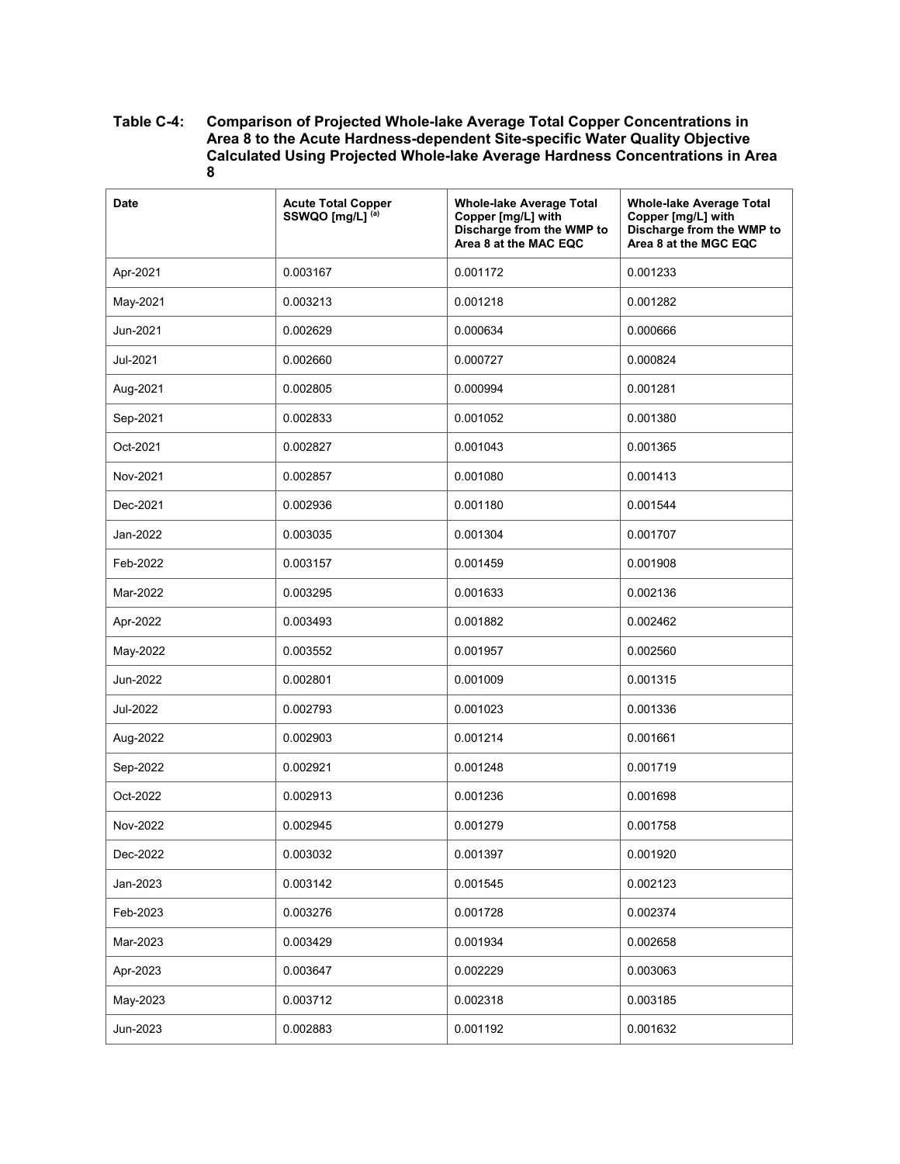| <b>Date</b> | <b>Acute Total Copper</b><br>SSWQO [mg/L] <sup>(a)</sup> | <b>Whole-lake Average Total</b><br>Copper [mg/L] with<br>Discharge from the WMP to<br>Area 8 at the MAC EQC | <b>Whole-lake Average Total</b><br>Copper [mg/L] with<br>Discharge from the WMP to<br>Area 8 at the MGC EQC |
|-------------|----------------------------------------------------------|-------------------------------------------------------------------------------------------------------------|-------------------------------------------------------------------------------------------------------------|
| Apr-2021    | 0.003167                                                 | 0.001172                                                                                                    | 0.001233                                                                                                    |
| May-2021    | 0.003213                                                 | 0.001218                                                                                                    | 0.001282                                                                                                    |
| Jun-2021    | 0.002629                                                 | 0.000634                                                                                                    | 0.000666                                                                                                    |
| Jul-2021    | 0.002660                                                 | 0.000727                                                                                                    | 0.000824                                                                                                    |
| Aug-2021    | 0.002805                                                 | 0.000994                                                                                                    | 0.001281                                                                                                    |
| Sep-2021    | 0.002833                                                 | 0.001052                                                                                                    | 0.001380                                                                                                    |
| Oct-2021    | 0.002827                                                 | 0.001043                                                                                                    | 0.001365                                                                                                    |
| Nov-2021    | 0.002857                                                 | 0.001080                                                                                                    | 0.001413                                                                                                    |
| Dec-2021    | 0.002936                                                 | 0.001180                                                                                                    | 0.001544                                                                                                    |
| Jan-2022    | 0.003035                                                 | 0.001304                                                                                                    | 0.001707                                                                                                    |
| Feb-2022    | 0.003157                                                 | 0.001459                                                                                                    | 0.001908                                                                                                    |
| Mar-2022    | 0.003295                                                 | 0.001633                                                                                                    | 0.002136                                                                                                    |
| Apr-2022    | 0.003493                                                 | 0.001882                                                                                                    | 0.002462                                                                                                    |
| May-2022    | 0.003552                                                 | 0.001957                                                                                                    | 0.002560                                                                                                    |
| Jun-2022    | 0.002801                                                 | 0.001009                                                                                                    | 0.001315                                                                                                    |
| Jul-2022    | 0.002793                                                 | 0.001023                                                                                                    | 0.001336                                                                                                    |
| Aug-2022    | 0.002903                                                 | 0.001214                                                                                                    | 0.001661                                                                                                    |
| Sep-2022    | 0.002921                                                 | 0.001248                                                                                                    | 0.001719                                                                                                    |
| Oct-2022    | 0.002913                                                 | 0.001236                                                                                                    | 0.001698                                                                                                    |
| Nov-2022    | 0.002945                                                 | 0.001279                                                                                                    | 0.001758                                                                                                    |
| Dec-2022    | 0.003032                                                 | 0.001397                                                                                                    | 0.001920                                                                                                    |
| Jan-2023    | 0.003142                                                 | 0.001545                                                                                                    | 0.002123                                                                                                    |
| Feb-2023    | 0.003276                                                 | 0.001728                                                                                                    | 0.002374                                                                                                    |
| Mar-2023    | 0.003429                                                 | 0.001934                                                                                                    | 0.002658                                                                                                    |
| Apr-2023    | 0.003647                                                 | 0.002229                                                                                                    | 0.003063                                                                                                    |
| May-2023    | 0.003712                                                 | 0.002318                                                                                                    | 0.003185                                                                                                    |
| Jun-2023    | 0.002883                                                 | 0.001192                                                                                                    | 0.001632                                                                                                    |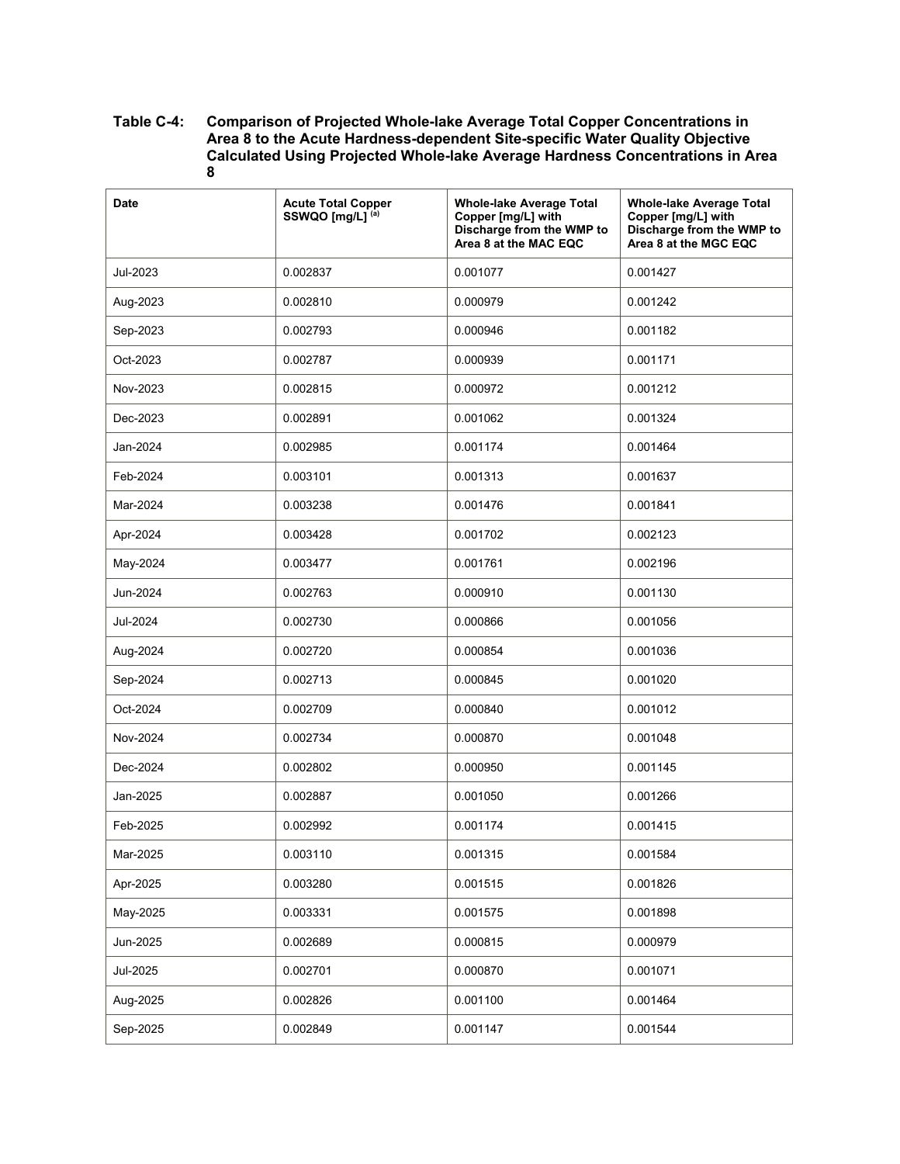| <b>Date</b> | <b>Acute Total Copper</b><br>SSWQO [mg/L] (a) | <b>Whole-lake Average Total</b><br>Copper [mg/L] with<br>Discharge from the WMP to<br>Area 8 at the MAC EQC | <b>Whole-lake Average Total</b><br>Copper [mg/L] with<br>Discharge from the WMP to<br>Area 8 at the MGC EQC |
|-------------|-----------------------------------------------|-------------------------------------------------------------------------------------------------------------|-------------------------------------------------------------------------------------------------------------|
| Jul-2023    | 0.002837                                      | 0.001077                                                                                                    | 0.001427                                                                                                    |
| Aug-2023    | 0.002810                                      | 0.000979                                                                                                    | 0.001242                                                                                                    |
| Sep-2023    | 0.002793                                      | 0.000946                                                                                                    | 0.001182                                                                                                    |
| Oct-2023    | 0.002787                                      | 0.000939                                                                                                    | 0.001171                                                                                                    |
| Nov-2023    | 0.002815                                      | 0.000972                                                                                                    | 0.001212                                                                                                    |
| Dec-2023    | 0.002891                                      | 0.001062                                                                                                    | 0.001324                                                                                                    |
| Jan-2024    | 0.002985                                      | 0.001174                                                                                                    | 0.001464                                                                                                    |
| Feb-2024    | 0.003101                                      | 0.001313                                                                                                    | 0.001637                                                                                                    |
| Mar-2024    | 0.003238                                      | 0.001476                                                                                                    | 0.001841                                                                                                    |
| Apr-2024    | 0.003428                                      | 0.001702                                                                                                    | 0.002123                                                                                                    |
| May-2024    | 0.003477                                      | 0.001761                                                                                                    | 0.002196                                                                                                    |
| Jun-2024    | 0.002763                                      | 0.000910                                                                                                    | 0.001130                                                                                                    |
| Jul-2024    | 0.002730                                      | 0.000866                                                                                                    | 0.001056                                                                                                    |
| Aug-2024    | 0.002720                                      | 0.000854                                                                                                    | 0.001036                                                                                                    |
| Sep-2024    | 0.002713                                      | 0.000845                                                                                                    | 0.001020                                                                                                    |
| Oct-2024    | 0.002709                                      | 0.000840                                                                                                    | 0.001012                                                                                                    |
| Nov-2024    | 0.002734                                      | 0.000870                                                                                                    | 0.001048                                                                                                    |
| Dec-2024    | 0.002802                                      | 0.000950                                                                                                    | 0.001145                                                                                                    |
| Jan-2025    | 0.002887                                      | 0.001050                                                                                                    | 0.001266                                                                                                    |
| Feb-2025    | 0.002992                                      | 0.001174                                                                                                    | 0.001415                                                                                                    |
| Mar-2025    | 0.003110                                      | 0.001315                                                                                                    | 0.001584                                                                                                    |
| Apr-2025    | 0.003280                                      | 0.001515                                                                                                    | 0.001826                                                                                                    |
| May-2025    | 0.003331                                      | 0.001575                                                                                                    | 0.001898                                                                                                    |
| Jun-2025    | 0.002689                                      | 0.000815                                                                                                    | 0.000979                                                                                                    |
| Jul-2025    | 0.002701                                      | 0.000870                                                                                                    | 0.001071                                                                                                    |
| Aug-2025    | 0.002826                                      | 0.001100                                                                                                    | 0.001464                                                                                                    |
| Sep-2025    | 0.002849                                      | 0.001147                                                                                                    | 0.001544                                                                                                    |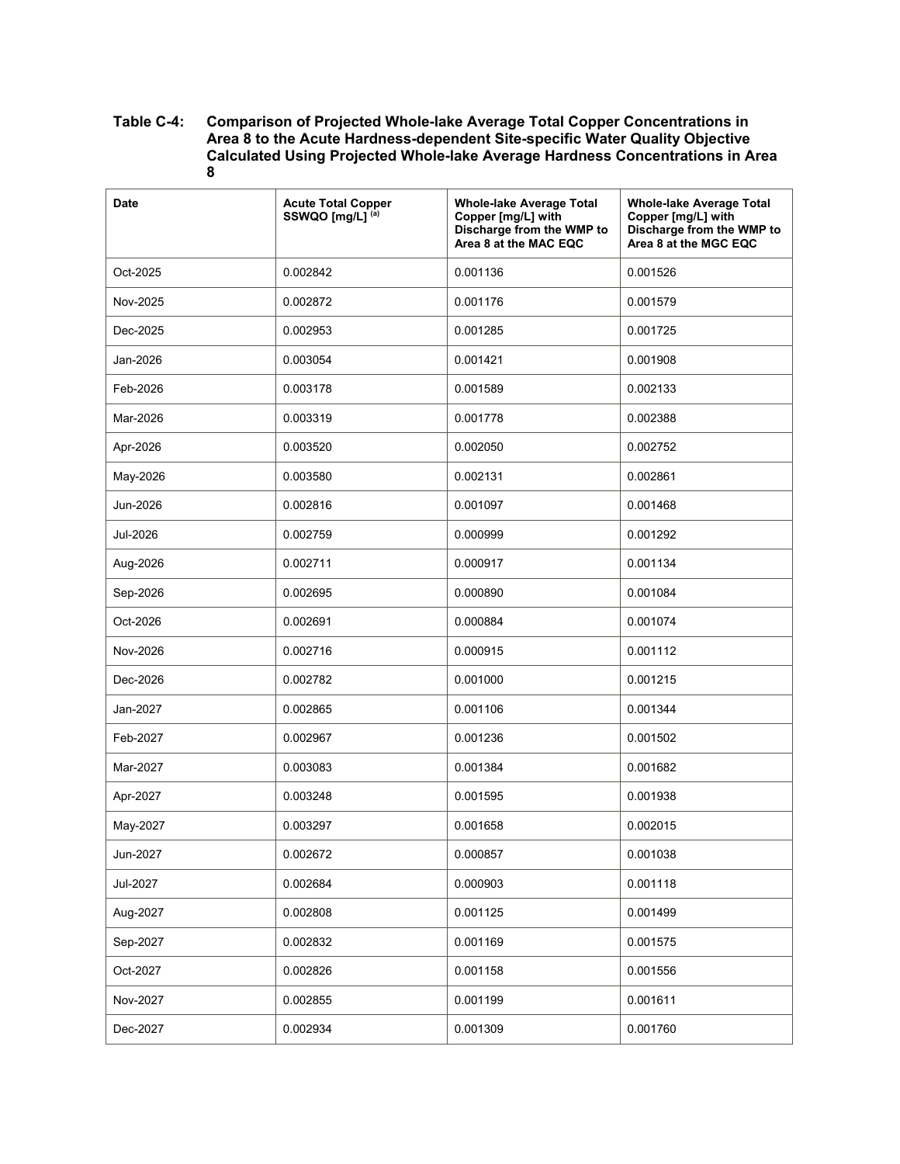| <b>Date</b> | <b>Acute Total Copper</b><br>SSWQO [mg/L] <sup>(a)</sup> | <b>Whole-lake Average Total</b><br>Copper [mg/L] with<br>Discharge from the WMP to<br>Area 8 at the MAC EQC | <b>Whole-lake Average Total</b><br>Copper [mg/L] with<br>Discharge from the WMP to<br>Area 8 at the MGC EQC |
|-------------|----------------------------------------------------------|-------------------------------------------------------------------------------------------------------------|-------------------------------------------------------------------------------------------------------------|
| Oct-2025    | 0.002842                                                 | 0.001136                                                                                                    | 0.001526                                                                                                    |
| Nov-2025    | 0.002872                                                 | 0.001176                                                                                                    | 0.001579                                                                                                    |
| Dec-2025    | 0.002953                                                 | 0.001285                                                                                                    | 0.001725                                                                                                    |
| Jan-2026    | 0.003054                                                 | 0.001421                                                                                                    | 0.001908                                                                                                    |
| Feb-2026    | 0.003178                                                 | 0.001589                                                                                                    | 0.002133                                                                                                    |
| Mar-2026    | 0.003319                                                 | 0.001778                                                                                                    | 0.002388                                                                                                    |
| Apr-2026    | 0.003520                                                 | 0.002050                                                                                                    | 0.002752                                                                                                    |
| May-2026    | 0.003580                                                 | 0.002131                                                                                                    | 0.002861                                                                                                    |
| Jun-2026    | 0.002816                                                 | 0.001097                                                                                                    | 0.001468                                                                                                    |
| Jul-2026    | 0.002759                                                 | 0.000999                                                                                                    | 0.001292                                                                                                    |
| Aug-2026    | 0.002711                                                 | 0.000917                                                                                                    | 0.001134                                                                                                    |
| Sep-2026    | 0.002695                                                 | 0.000890                                                                                                    | 0.001084                                                                                                    |
| Oct-2026    | 0.002691                                                 | 0.000884                                                                                                    | 0.001074                                                                                                    |
| Nov-2026    | 0.002716                                                 | 0.000915                                                                                                    | 0.001112                                                                                                    |
| Dec-2026    | 0.002782                                                 | 0.001000                                                                                                    | 0.001215                                                                                                    |
| Jan-2027    | 0.002865                                                 | 0.001106                                                                                                    | 0.001344                                                                                                    |
| Feb-2027    | 0.002967                                                 | 0.001236                                                                                                    | 0.001502                                                                                                    |
| Mar-2027    | 0.003083                                                 | 0.001384                                                                                                    | 0.001682                                                                                                    |
| Apr-2027    | 0.003248                                                 | 0.001595                                                                                                    | 0.001938                                                                                                    |
| May-2027    | 0.003297                                                 | 0.001658                                                                                                    | 0.002015                                                                                                    |
| Jun-2027    | 0.002672                                                 | 0.000857                                                                                                    | 0.001038                                                                                                    |
| Jul-2027    | 0.002684                                                 | 0.000903                                                                                                    | 0.001118                                                                                                    |
| Aug-2027    | 0.002808                                                 | 0.001125                                                                                                    | 0.001499                                                                                                    |
| Sep-2027    | 0.002832                                                 | 0.001169                                                                                                    | 0.001575                                                                                                    |
| Oct-2027    | 0.002826                                                 | 0.001158                                                                                                    | 0.001556                                                                                                    |
| Nov-2027    | 0.002855                                                 | 0.001199                                                                                                    | 0.001611                                                                                                    |
| Dec-2027    | 0.002934                                                 | 0.001309                                                                                                    | 0.001760                                                                                                    |